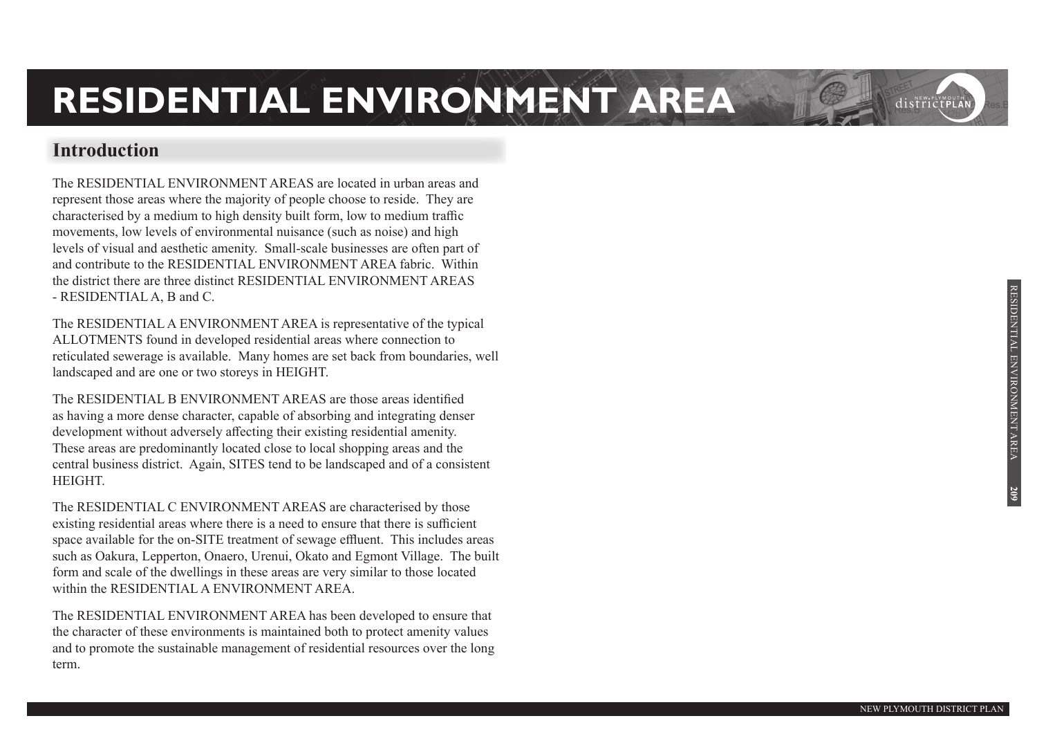#### **Introduction**

The RESIDENTIAL ENVIRONMENT AREAS are located in urban areas and represent those areas where the majority of people choose to reside. They are characterised by a medium to high density built form, low to medium traffic movements, low levels of environmental nuisance (such as noise) and high levels of visual and aesthetic amenity. Small-scale businesses are often part of and contribute to the RESIDENTIAL ENVIRONMENT AREA fabric. Within the district there are three distinct RESIDENTIAL ENVIRONMENT AREAS - RESIDENTIAL A, B and C.

The RESIDENTIAL A ENVIRONMENT AREA is representative of the typical ALLOTMENTS found in developed residential areas where connection to reticulated sewerage is available. Many homes are set back from boundaries, well landscaped and are one or two storeys in HEIGHT.

The RESIDENTIAL B ENVIRONMENT AREAS are those areas identified as having a more dense character, capable of absorbing and integrating denser development without adversely affecting their existing residential amenity. These areas are predominantly located close to local shopping areas and the central business district. Again, SITES tend to be landscaped and of a consistent HEIGHT.

The RESIDENTIAL C ENVIRONMENT AREAS are characterised by those existing residential areas where there is a need to ensure that there is sufficient space available for the on-SITE treatment of sewage effluent. This includes areas such as Oakura, Lepperton, Onaero, Urenui, Okato and Egmont Village. The built form and scale of the dwellings in these areas are very similar to those located within the RESIDENTIAL A ENVIRONMENT AREA.

The RESIDENTIAL ENVIRONMENT AREA has been developed to ensure that the character of these environments is maintained both to protect amenity values and to promote the sustainable management of residential resources over the long term.

districtPLA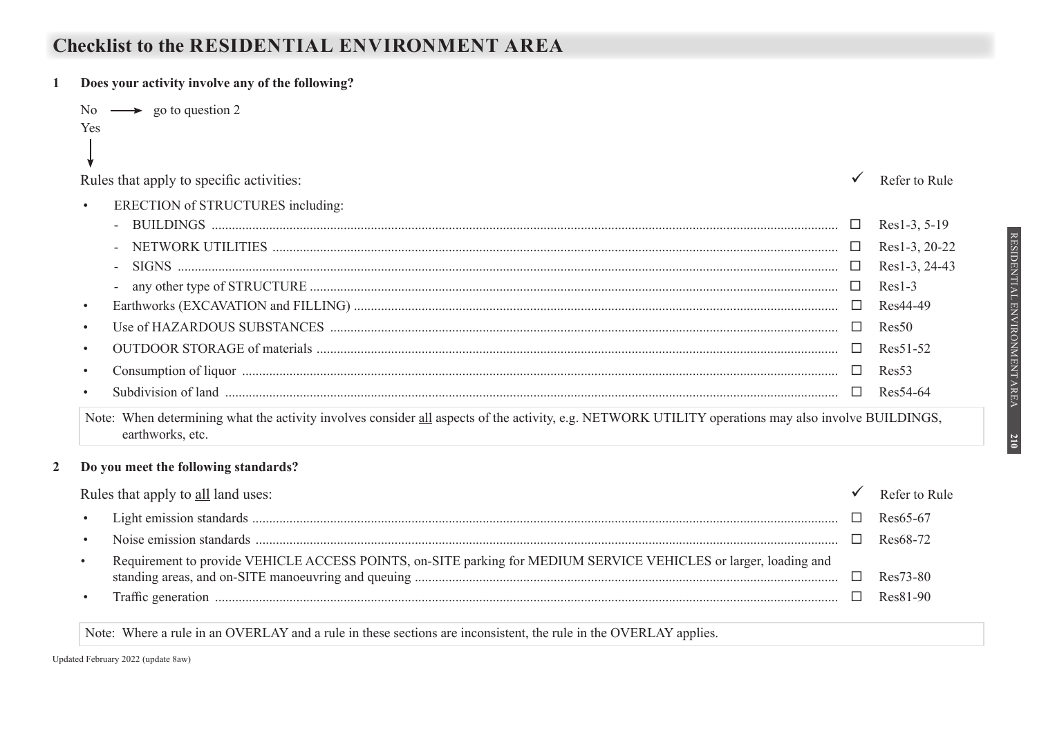### **Checklist to the RESIDENTIAL ENVIRONMENT AREA**

**1 Does your activity involve any of the following?** 

|   |           | No $\longrightarrow$ go to question 2                                                                                                                                   |               |                |
|---|-----------|-------------------------------------------------------------------------------------------------------------------------------------------------------------------------|---------------|----------------|
|   | Yes       |                                                                                                                                                                         |               |                |
|   |           | Rules that apply to specific activities:                                                                                                                                |               | Refer to Rule  |
|   | $\bullet$ | ERECTION of STRUCTURES including:                                                                                                                                       |               |                |
|   |           |                                                                                                                                                                         | $\Box$        | $Res1-3, 5-19$ |
|   |           |                                                                                                                                                                         | $\Box$        | Res1-3, 20-22  |
|   |           |                                                                                                                                                                         | $\Box$        | Res1-3, 24-43  |
|   |           |                                                                                                                                                                         | $\Box$        | $Res1-3$       |
|   | $\bullet$ |                                                                                                                                                                         | □             | Res44-49       |
|   | $\bullet$ |                                                                                                                                                                         |               | Res50          |
|   | $\bullet$ |                                                                                                                                                                         |               | Res51-52       |
|   | $\bullet$ |                                                                                                                                                                         |               | Res53          |
|   | $\bullet$ |                                                                                                                                                                         |               | Res54-64       |
|   |           | Note: When determining what the activity involves consider all aspects of the activity, e.g. NETWORK UTILITY operations may also involve BUILDINGS,<br>earthworks, etc. |               |                |
| 2 |           | Do you meet the following standards?                                                                                                                                    |               |                |
|   |           | Rules that apply to all land uses:                                                                                                                                      |               | Refer to Rule  |
|   |           |                                                                                                                                                                         | $\mathcal{L}$ | $Res65-67$     |

• Noise emission standards ............................................................................................................................................................................ Res68-72 • Requirement to provide VEHICLE ACCESS POINTS, on-SITE parking for MEDIUM SERVICE VEHICLES or larger, loading and standing areas, and on-SITE manoeuvring and queuing ............................................................................................................................. Res73-80 • Traffic generation ........................................................................................................................................................................................ Res81-90

Note: Where a rule in an OVERLAY and a rule in these sections are inconsistent, the rule in the OVERLAY applies.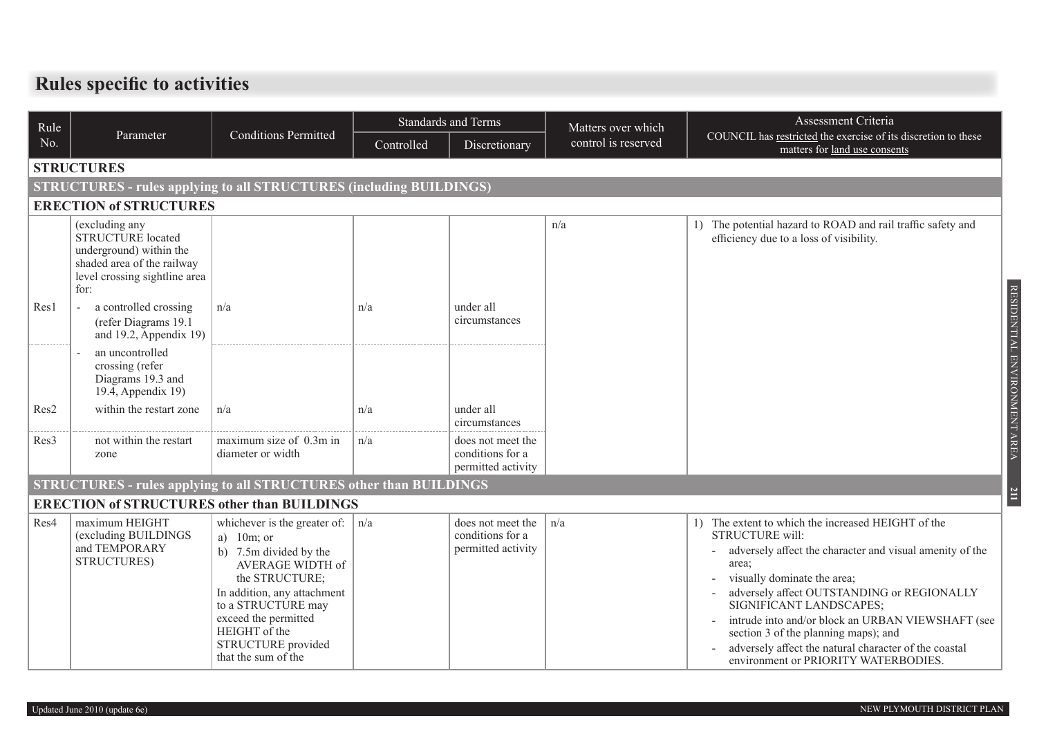## **Rules specific to activities**

| Rule             |                                                                                                                                              |                                                                                                                                                                                                                                                          |            | <b>Standards and Terms</b>                                  | Matters over which  | Assessment Criteria                                                                                                                                                                                                                                                                                                                                                                                                                              |  |  |  |  |
|------------------|----------------------------------------------------------------------------------------------------------------------------------------------|----------------------------------------------------------------------------------------------------------------------------------------------------------------------------------------------------------------------------------------------------------|------------|-------------------------------------------------------------|---------------------|--------------------------------------------------------------------------------------------------------------------------------------------------------------------------------------------------------------------------------------------------------------------------------------------------------------------------------------------------------------------------------------------------------------------------------------------------|--|--|--|--|
| No.              | Parameter                                                                                                                                    | <b>Conditions Permitted</b>                                                                                                                                                                                                                              | Controlled | Discretionary                                               | control is reserved | COUNCIL has restricted the exercise of its discretion to these<br>matters for land use consents                                                                                                                                                                                                                                                                                                                                                  |  |  |  |  |
|                  | <b>STRUCTURES</b>                                                                                                                            |                                                                                                                                                                                                                                                          |            |                                                             |                     |                                                                                                                                                                                                                                                                                                                                                                                                                                                  |  |  |  |  |
|                  | <b>STRUCTURES - rules applying to all STRUCTURES (including BUILDINGS)</b>                                                                   |                                                                                                                                                                                                                                                          |            |                                                             |                     |                                                                                                                                                                                                                                                                                                                                                                                                                                                  |  |  |  |  |
|                  | <b>ERECTION of STRUCTURES</b>                                                                                                                |                                                                                                                                                                                                                                                          |            |                                                             |                     |                                                                                                                                                                                                                                                                                                                                                                                                                                                  |  |  |  |  |
|                  | (excluding any<br><b>STRUCTURE</b> located<br>underground) within the<br>shaded area of the railway<br>level crossing sightline area<br>for: |                                                                                                                                                                                                                                                          |            |                                                             | n/a                 | The potential hazard to ROAD and rail traffic safety and<br>1)<br>efficiency due to a loss of visibility.                                                                                                                                                                                                                                                                                                                                        |  |  |  |  |
| Res1             | a controlled crossing<br>(refer Diagrams 19.1)<br>and 19.2, Appendix 19)                                                                     | n/a                                                                                                                                                                                                                                                      | n/a        | under all<br>circumstances                                  |                     |                                                                                                                                                                                                                                                                                                                                                                                                                                                  |  |  |  |  |
|                  | an uncontrolled<br>crossing (refer<br>Diagrams 19.3 and<br>19.4, Appendix 19)                                                                |                                                                                                                                                                                                                                                          |            |                                                             |                     |                                                                                                                                                                                                                                                                                                                                                                                                                                                  |  |  |  |  |
| Res2             | within the restart zone                                                                                                                      | n/a                                                                                                                                                                                                                                                      | n/a        | under all<br>circumstances                                  |                     |                                                                                                                                                                                                                                                                                                                                                                                                                                                  |  |  |  |  |
| Res <sub>3</sub> | not within the restart<br>zone                                                                                                               | maximum size of 0.3m in<br>diameter or width                                                                                                                                                                                                             | n/a        | does not meet the<br>conditions for a<br>permitted activity |                     |                                                                                                                                                                                                                                                                                                                                                                                                                                                  |  |  |  |  |
|                  |                                                                                                                                              | <b>STRUCTURES - rules applying to all STRUCTURES other than BUILDINGS</b>                                                                                                                                                                                |            |                                                             |                     |                                                                                                                                                                                                                                                                                                                                                                                                                                                  |  |  |  |  |
|                  |                                                                                                                                              | <b>ERECTION of STRUCTURES other than BUILDINGS</b>                                                                                                                                                                                                       |            |                                                             |                     |                                                                                                                                                                                                                                                                                                                                                                                                                                                  |  |  |  |  |
| Res4             | maximum HEIGHT<br>(excluding BUILDINGS<br>and TEMPORARY<br>STRUCTURES)                                                                       | whichever is the greater of:<br>a) $10m$ ; or<br>b) 7.5m divided by the<br>AVERAGE WIDTH of<br>the STRUCTURE;<br>In addition, any attachment<br>to a STRUCTURE may<br>exceed the permitted<br>HEIGHT of the<br>STRUCTURE provided<br>that the sum of the | n/a        | does not meet the<br>conditions for a<br>permitted activity | n/a                 | 1) The extent to which the increased HEIGHT of the<br>STRUCTURE will:<br>adversely affect the character and visual amenity of the<br>area;<br>visually dominate the area;<br>adversely affect OUTSTANDING or REGIONALLY<br>SIGNIFICANT LANDSCAPES;<br>intrude into and/or block an URBAN VIEWSHAFT (see<br>section 3 of the planning maps); and<br>adversely affect the natural character of the coastal<br>environment or PRIORITY WATERBODIES. |  |  |  |  |

RESIDENTIAL ENVIRONMENT AREA

RESIDENTIAL ENVIRONMENT AREA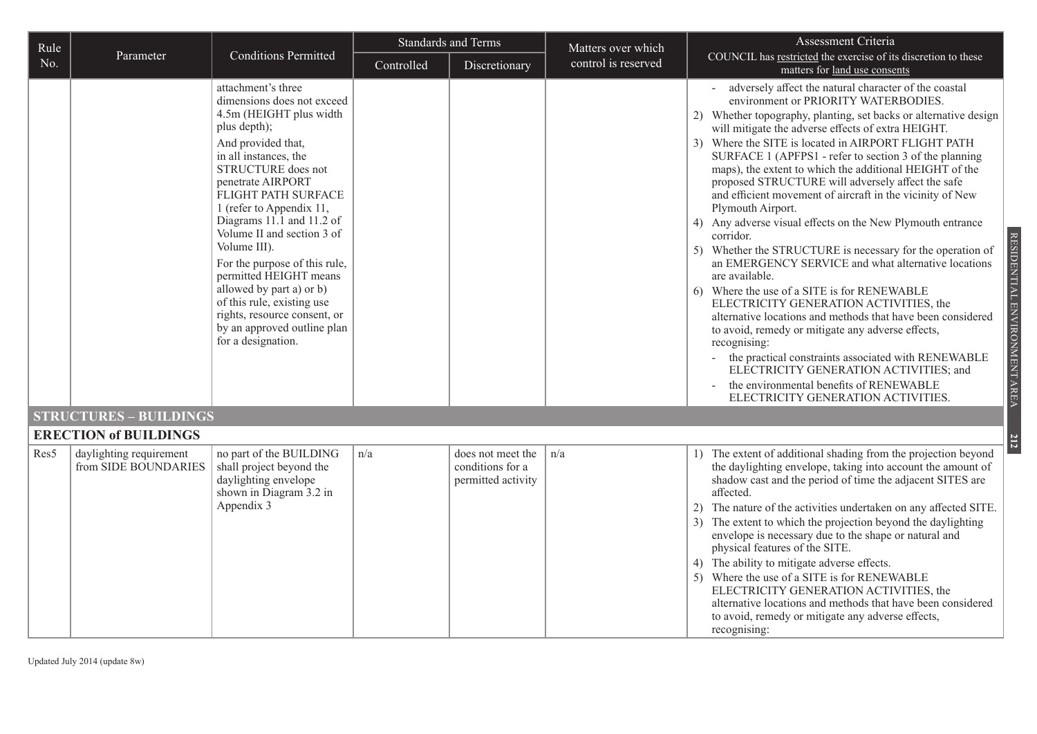| Rule |                                                 |                                                                                                                                                                                                                                                                                                                                                                                                                                                                                                                               |            | <b>Standards and Terms</b>                                  | Matters over which  | Assessment Criteria                                                                                                                                                                                                                                                                                                                                                                                                                                                                                                                                                                                                                                                                                                                                                                                                                                                                                                                                                                                                                                                                                                                                                                                                  |
|------|-------------------------------------------------|-------------------------------------------------------------------------------------------------------------------------------------------------------------------------------------------------------------------------------------------------------------------------------------------------------------------------------------------------------------------------------------------------------------------------------------------------------------------------------------------------------------------------------|------------|-------------------------------------------------------------|---------------------|----------------------------------------------------------------------------------------------------------------------------------------------------------------------------------------------------------------------------------------------------------------------------------------------------------------------------------------------------------------------------------------------------------------------------------------------------------------------------------------------------------------------------------------------------------------------------------------------------------------------------------------------------------------------------------------------------------------------------------------------------------------------------------------------------------------------------------------------------------------------------------------------------------------------------------------------------------------------------------------------------------------------------------------------------------------------------------------------------------------------------------------------------------------------------------------------------------------------|
| No.  | Parameter                                       | <b>Conditions Permitted</b>                                                                                                                                                                                                                                                                                                                                                                                                                                                                                                   | Controlled | Discretionary                                               | control is reserved | COUNCIL has restricted the exercise of its discretion to these<br>matters for land use consents                                                                                                                                                                                                                                                                                                                                                                                                                                                                                                                                                                                                                                                                                                                                                                                                                                                                                                                                                                                                                                                                                                                      |
|      |                                                 | attachment's three<br>dimensions does not exceed<br>4.5m (HEIGHT plus width<br>plus depth);<br>And provided that,<br>in all instances, the<br>STRUCTURE does not<br>penetrate AIRPORT<br>FLIGHT PATH SURFACE<br>1 (refer to Appendix 11,<br>Diagrams 11.1 and 11.2 of<br>Volume II and section 3 of<br>Volume III).<br>For the purpose of this rule,<br>permitted HEIGHT means<br>allowed by part a) or b)<br>of this rule, existing use<br>rights, resource consent, or<br>by an approved outline plan<br>for a designation. |            |                                                             |                     | adversely affect the natural character of the coastal<br>environment or PRIORITY WATERBODIES.<br>2) Whether topography, planting, set backs or alternative design<br>will mitigate the adverse effects of extra HEIGHT.<br>3) Where the SITE is located in AIRPORT FLIGHT PATH<br>SURFACE 1 (APFPS1 - refer to section 3 of the planning<br>maps), the extent to which the additional HEIGHT of the<br>proposed STRUCTURE will adversely affect the safe<br>and efficient movement of aircraft in the vicinity of New<br>Plymouth Airport.<br>Any adverse visual effects on the New Plymouth entrance<br>4)<br>corridor.<br>RESIDENTIAL ENVIRONMENT AREA<br>Whether the STRUCTURE is necessary for the operation of<br>5)<br>an EMERGENCY SERVICE and what alternative locations<br>are available.<br>Where the use of a SITE is for RENEWABLE<br>6)<br>ELECTRICITY GENERATION ACTIVITIES, the<br>alternative locations and methods that have been considered<br>to avoid, remedy or mitigate any adverse effects,<br>recognising:<br>the practical constraints associated with RENEWABLE<br>ELECTRICITY GENERATION ACTIVITIES; and<br>the environmental benefits of RENEWABLE<br>ELECTRICITY GENERATION ACTIVITIES. |
|      | <b>STRUCTURES - BUILDINGS</b>                   |                                                                                                                                                                                                                                                                                                                                                                                                                                                                                                                               |            |                                                             |                     |                                                                                                                                                                                                                                                                                                                                                                                                                                                                                                                                                                                                                                                                                                                                                                                                                                                                                                                                                                                                                                                                                                                                                                                                                      |
|      | <b>ERECTION of BUILDINGS</b>                    |                                                                                                                                                                                                                                                                                                                                                                                                                                                                                                                               |            |                                                             |                     |                                                                                                                                                                                                                                                                                                                                                                                                                                                                                                                                                                                                                                                                                                                                                                                                                                                                                                                                                                                                                                                                                                                                                                                                                      |
| Res5 | daylighting requirement<br>from SIDE BOUNDARIES | no part of the BUILDING<br>shall project beyond the<br>daylighting envelope<br>shown in Diagram 3.2 in<br>Appendix 3                                                                                                                                                                                                                                                                                                                                                                                                          | n/a        | does not meet the<br>conditions for a<br>permitted activity | n/a                 | 1) The extent of additional shading from the projection beyond<br>the daylighting envelope, taking into account the amount of<br>shadow cast and the period of time the adjacent SITES are<br>affected.<br>The nature of the activities undertaken on any affected SITE.<br>2)<br>The extent to which the projection beyond the daylighting<br>3 <sup>)</sup><br>envelope is necessary due to the shape or natural and<br>physical features of the SITE.<br>4) The ability to mitigate adverse effects.<br>Where the use of a SITE is for RENEWABLE<br>5)<br>ELECTRICITY GENERATION ACTIVITIES, the<br>alternative locations and methods that have been considered<br>to avoid, remedy or mitigate any adverse effects,<br>recognising:                                                                                                                                                                                                                                                                                                                                                                                                                                                                              |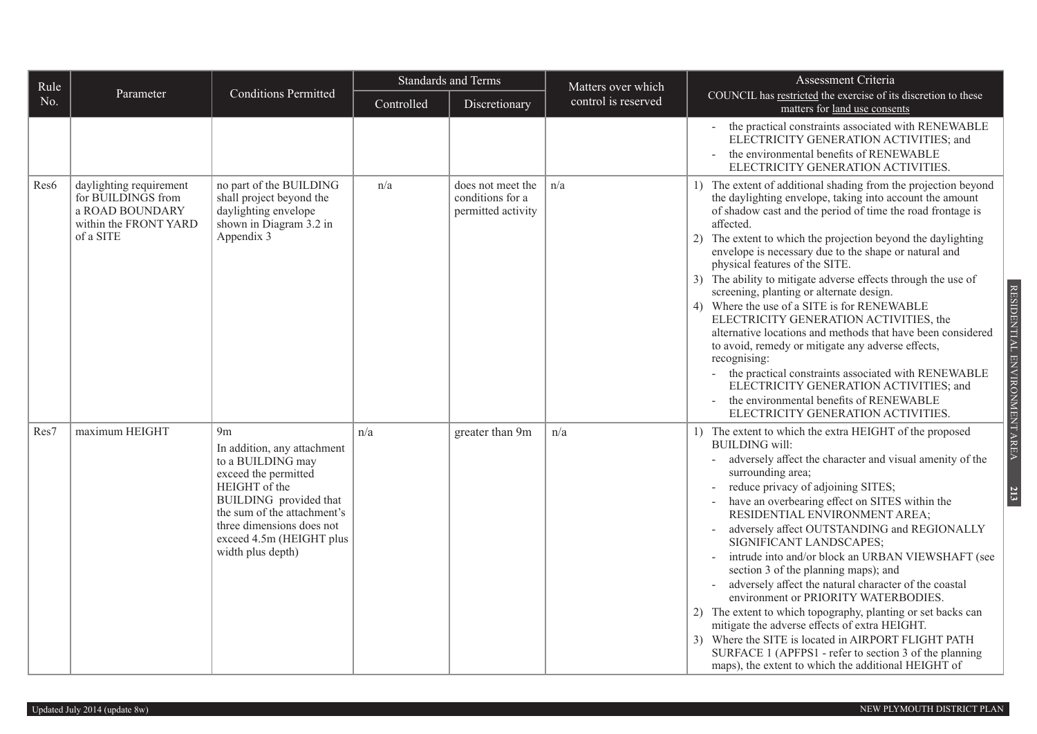| Rule             |                                                                                                        |                                                                                                                                                                                                                                                    |            | <b>Standards and Terms</b>                                  | Matters over which  | Assessment Criteria                                                                                                                                                                                                                                                                                                                                                                                                                                                                                                                                                                                                                                                                                                                                                                                                                                                                                                                                            |
|------------------|--------------------------------------------------------------------------------------------------------|----------------------------------------------------------------------------------------------------------------------------------------------------------------------------------------------------------------------------------------------------|------------|-------------------------------------------------------------|---------------------|----------------------------------------------------------------------------------------------------------------------------------------------------------------------------------------------------------------------------------------------------------------------------------------------------------------------------------------------------------------------------------------------------------------------------------------------------------------------------------------------------------------------------------------------------------------------------------------------------------------------------------------------------------------------------------------------------------------------------------------------------------------------------------------------------------------------------------------------------------------------------------------------------------------------------------------------------------------|
| No.              | Parameter                                                                                              | <b>Conditions Permitted</b>                                                                                                                                                                                                                        | Controlled | Discretionary                                               | control is reserved | COUNCIL has restricted the exercise of its discretion to these<br>matters for land use consents                                                                                                                                                                                                                                                                                                                                                                                                                                                                                                                                                                                                                                                                                                                                                                                                                                                                |
|                  |                                                                                                        |                                                                                                                                                                                                                                                    |            |                                                             |                     | the practical constraints associated with RENEWABLE<br>ELECTRICITY GENERATION ACTIVITIES; and<br>the environmental benefits of RENEWABLE<br>ELECTRICITY GENERATION ACTIVITIES.                                                                                                                                                                                                                                                                                                                                                                                                                                                                                                                                                                                                                                                                                                                                                                                 |
| Res <sub>6</sub> | daylighting requirement<br>for BUILDINGS from<br>a ROAD BOUNDARY<br>within the FRONT YARD<br>of a SITE | no part of the BUILDING<br>shall project beyond the<br>daylighting envelope<br>shown in Diagram 3.2 in<br>Appendix 3                                                                                                                               | n/a        | does not meet the<br>conditions for a<br>permitted activity | n/a                 | 1) The extent of additional shading from the projection beyond<br>the daylighting envelope, taking into account the amount<br>of shadow cast and the period of time the road frontage is<br>affected.<br>The extent to which the projection beyond the daylighting<br>2)<br>envelope is necessary due to the shape or natural and<br>physical features of the SITE.<br>3) The ability to mitigate adverse effects through the use of<br>RESIDENTIAL ENVIRONMENT AREA<br>screening, planting or alternate design.<br>Where the use of a SITE is for RENEWABLE<br>4)<br>ELECTRICITY GENERATION ACTIVITIES, the<br>alternative locations and methods that have been considered<br>to avoid, remedy or mitigate any adverse effects,<br>recognising:<br>the practical constraints associated with RENEWABLE<br>$\overline{\phantom{a}}$<br>ELECTRICITY GENERATION ACTIVITIES; and<br>the environmental benefits of RENEWABLE<br>ELECTRICITY GENERATION ACTIVITIES. |
| Res7             | maximum HEIGHT                                                                                         | 9 <sub>m</sub><br>In addition, any attachment<br>to a BUILDING may<br>exceed the permitted<br>HEIGHT of the<br>BUILDING provided that<br>the sum of the attachment's<br>three dimensions does not<br>exceed 4.5m (HEIGHT plus<br>width plus depth) | n/a        | greater than 9m                                             | n/a                 | 1) The extent to which the extra HEIGHT of the proposed<br><b>BUILDING</b> will:<br>adversely affect the character and visual amenity of the<br>surrounding area;<br>reduce privacy of adjoining SITES;<br>213<br>have an overbearing effect on SITES within the<br>RESIDENTIAL ENVIRONMENT AREA;<br>adversely affect OUTSTANDING and REGIONALLY<br>SIGNIFICANT LANDSCAPES;<br>intrude into and/or block an URBAN VIEWSHAFT (see<br>section 3 of the planning maps); and<br>adversely affect the natural character of the coastal<br>environment or PRIORITY WATERBODIES.<br>2) The extent to which topography, planting or set backs can<br>mitigate the adverse effects of extra HEIGHT.<br>3) Where the SITE is located in AIRPORT FLIGHT PATH<br>SURFACE 1 (APFPS1 - refer to section 3 of the planning<br>maps), the extent to which the additional HEIGHT of                                                                                             |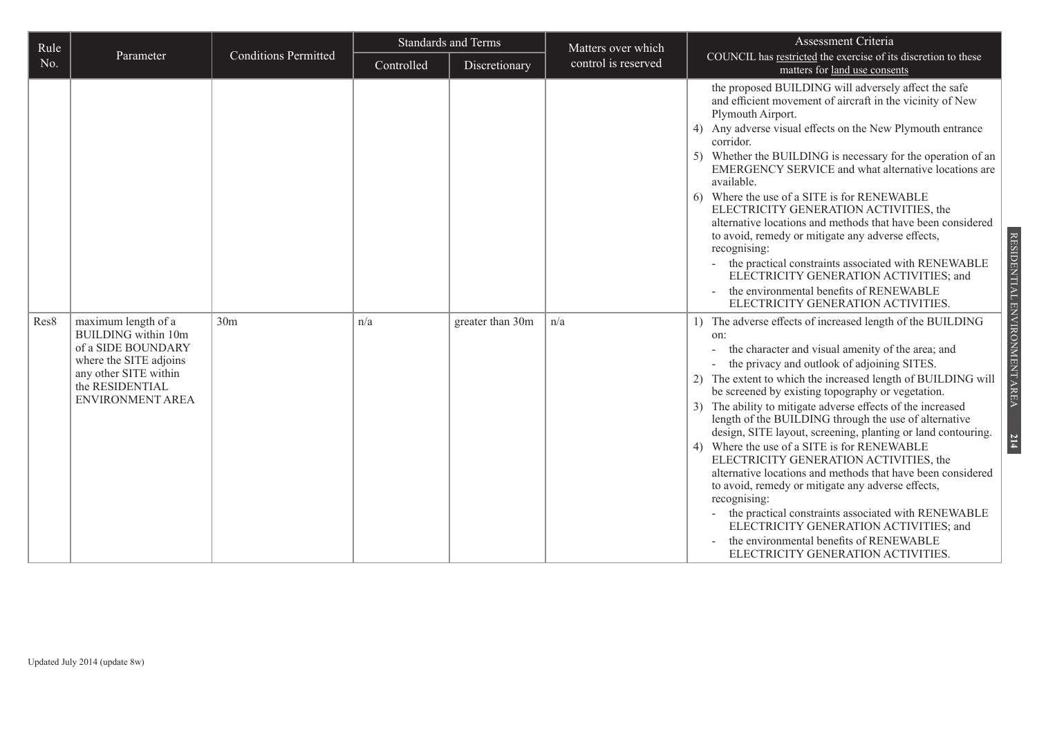| Rule |                                                                                                                                                                   |                             | <b>Standards and Terms</b> |                  | Matters over which  | Assessment Criteria                                                                                                                                                                                                                                                                                                                                                                                                                                                                                                                                                                                                                                                                                                                                                                                                                                                                                                    |  |  |
|------|-------------------------------------------------------------------------------------------------------------------------------------------------------------------|-----------------------------|----------------------------|------------------|---------------------|------------------------------------------------------------------------------------------------------------------------------------------------------------------------------------------------------------------------------------------------------------------------------------------------------------------------------------------------------------------------------------------------------------------------------------------------------------------------------------------------------------------------------------------------------------------------------------------------------------------------------------------------------------------------------------------------------------------------------------------------------------------------------------------------------------------------------------------------------------------------------------------------------------------------|--|--|
| No.  | Parameter                                                                                                                                                         | <b>Conditions Permitted</b> | Controlled                 | Discretionary    | control is reserved | COUNCIL has restricted the exercise of its discretion to these<br>matters for land use consents                                                                                                                                                                                                                                                                                                                                                                                                                                                                                                                                                                                                                                                                                                                                                                                                                        |  |  |
|      |                                                                                                                                                                   |                             |                            |                  |                     | the proposed BUILDING will adversely affect the safe<br>and efficient movement of aircraft in the vicinity of New<br>Plymouth Airport.<br>4) Any adverse visual effects on the New Plymouth entrance<br>corridor.<br>5) Whether the BUILDING is necessary for the operation of an<br>EMERGENCY SERVICE and what alternative locations are<br>available.<br>6) Where the use of a SITE is for RENEWABLE<br>ELECTRICITY GENERATION ACTIVITIES, the<br>alternative locations and methods that have been considered<br>to avoid, remedy or mitigate any adverse effects,<br>recognising:<br>the practical constraints associated with RENEWABLE<br>ELECTRICITY GENERATION ACTIVITIES; and<br>the environmental benefits of RENEWABLE<br>ELECTRICITY GENERATION ACTIVITIES.                                                                                                                                                 |  |  |
| Res8 | maximum length of a<br><b>BUILDING</b> within 10m<br>of a SIDE BOUNDARY<br>where the SITE adjoins<br>any other SITE within<br>the RESIDENTIAL<br>ENVIRONMENT AREA | 30 <sub>m</sub>             | n/a                        | greater than 30m | n/a                 | 1) The adverse effects of increased length of the BUILDING<br>on:<br>the character and visual amenity of the area; and<br>the privacy and outlook of adjoining SITES.<br>The extent to which the increased length of BUILDING will<br>2)<br>be screened by existing topography or vegetation.<br>The ability to mitigate adverse effects of the increased<br>3)<br>length of the BUILDING through the use of alternative<br>design, SITE layout, screening, planting or land contouring.<br>Where the use of a SITE is for RENEWABLE<br>4)<br>ELECTRICITY GENERATION ACTIVITIES, the<br>alternative locations and methods that have been considered<br>to avoid, remedy or mitigate any adverse effects,<br>recognising:<br>the practical constraints associated with RENEWABLE<br>$\equiv$<br>ELECTRICITY GENERATION ACTIVITIES; and<br>the environmental benefits of RENEWABLE<br>ELECTRICITY GENERATION ACTIVITIES. |  |  |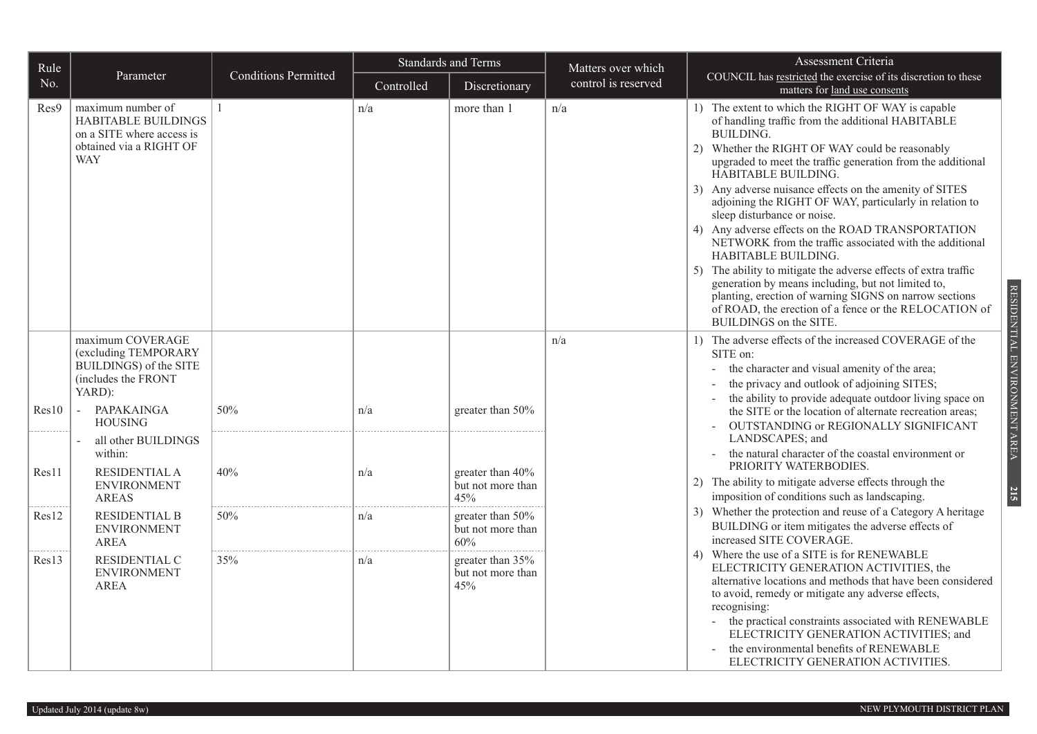| Rule  |                                                                                                                               | <b>Conditions Permitted</b> | <b>Standards and Terms</b> |                                              | Matters over which  | Assessment Criteria                                                                                                                                                                                                                                                                                                                                                                                                                                                                                                                                                                                                                                                                                                                                                                                                                           |  |  |
|-------|-------------------------------------------------------------------------------------------------------------------------------|-----------------------------|----------------------------|----------------------------------------------|---------------------|-----------------------------------------------------------------------------------------------------------------------------------------------------------------------------------------------------------------------------------------------------------------------------------------------------------------------------------------------------------------------------------------------------------------------------------------------------------------------------------------------------------------------------------------------------------------------------------------------------------------------------------------------------------------------------------------------------------------------------------------------------------------------------------------------------------------------------------------------|--|--|
| No.   | Parameter                                                                                                                     |                             | Controlled                 | Discretionary                                | control is reserved | COUNCIL has restricted the exercise of its discretion to these<br>matters for land use consents                                                                                                                                                                                                                                                                                                                                                                                                                                                                                                                                                                                                                                                                                                                                               |  |  |
| Res9  | maximum number of<br><b>HABITABLE BUILDINGS</b><br>on a SITE where access is<br>obtained via a RIGHT OF<br><b>WAY</b>         |                             | n/a                        | more than 1                                  | n/a                 | 1) The extent to which the RIGHT OF WAY is capable<br>of handling traffic from the additional HABITABLE<br><b>BUILDING.</b><br>2) Whether the RIGHT OF WAY could be reasonably<br>upgraded to meet the traffic generation from the additional<br>HABITABLE BUILDING.<br>3) Any adverse nuisance effects on the amenity of SITES<br>adjoining the RIGHT OF WAY, particularly in relation to<br>sleep disturbance or noise.<br>4) Any adverse effects on the ROAD TRANSPORTATION<br>NETWORK from the traffic associated with the additional<br><b>HABITABLE BUILDING.</b><br>5) The ability to mitigate the adverse effects of extra traffic<br>generation by means including, but not limited to,<br>planting, erection of warning SIGNS on narrow sections<br>of ROAD, the erection of a fence or the RELOCATION of<br>BUILDINGS on the SITE. |  |  |
| Res10 | maximum COVERAGE<br>(excluding TEMPORARY<br>BUILDINGS) of the SITE<br>(includes the FRONT<br>YARD):<br>PAPAKAINGA<br>$\omega$ | 50%                         | n/a                        | greater than $50\%$                          | n/a                 | 1) The adverse effects of the increased COVERAGE of the<br>SITE on:<br>the character and visual amenity of the area;<br>the privacy and outlook of adjoining SITES;<br>the ability to provide adequate outdoor living space on<br>the SITE or the location of alternate recreation areas;                                                                                                                                                                                                                                                                                                                                                                                                                                                                                                                                                     |  |  |
|       | <b>HOUSING</b><br>all other BUILDINGS                                                                                         |                             |                            |                                              |                     | OUTSTANDING or REGIONALLY SIGNIFICANT<br>LANDSCAPES; and                                                                                                                                                                                                                                                                                                                                                                                                                                                                                                                                                                                                                                                                                                                                                                                      |  |  |
| Res11 | within:<br><b>RESIDENTIAL A</b>                                                                                               | 40%                         | n/a                        | greater than 40%                             |                     | the natural character of the coastal environment or<br>PRIORITY WATERBODIES.                                                                                                                                                                                                                                                                                                                                                                                                                                                                                                                                                                                                                                                                                                                                                                  |  |  |
|       | <b>ENVIRONMENT</b><br><b>AREAS</b>                                                                                            |                             |                            | but not more than<br>45%                     |                     | 2) The ability to mitigate adverse effects through the<br>imposition of conditions such as landscaping.                                                                                                                                                                                                                                                                                                                                                                                                                                                                                                                                                                                                                                                                                                                                       |  |  |
| Res12 | <b>RESIDENTIAL B</b><br><b>ENVIRONMENT</b><br><b>AREA</b>                                                                     | 50%                         | n/a                        | greater than 50%<br>but not more than<br>60% |                     | 3) Whether the protection and reuse of a Category A heritage<br>BUILDING or item mitigates the adverse effects of<br>increased SITE COVERAGE.                                                                                                                                                                                                                                                                                                                                                                                                                                                                                                                                                                                                                                                                                                 |  |  |
| Res13 | RESIDENTIAL C<br><b>ENVIRONMENT</b><br>AREA                                                                                   | 35%                         | n/a                        | greater than 35%<br>but not more than<br>45% |                     | Where the use of a SITE is for RENEWABLE<br>4)<br>ELECTRICITY GENERATION ACTIVITIES, the<br>alternative locations and methods that have been considered<br>to avoid, remedy or mitigate any adverse effects,<br>recognising:<br>- the practical constraints associated with RENEWABLE<br>ELECTRICITY GENERATION ACTIVITIES; and<br>the environmental benefits of RENEWABLE<br>ELECTRICITY GENERATION ACTIVITIES.                                                                                                                                                                                                                                                                                                                                                                                                                              |  |  |

RESIDENTIAL ENVIRONMENT AREA RESIDENTIAL ENVIRONMENT AREA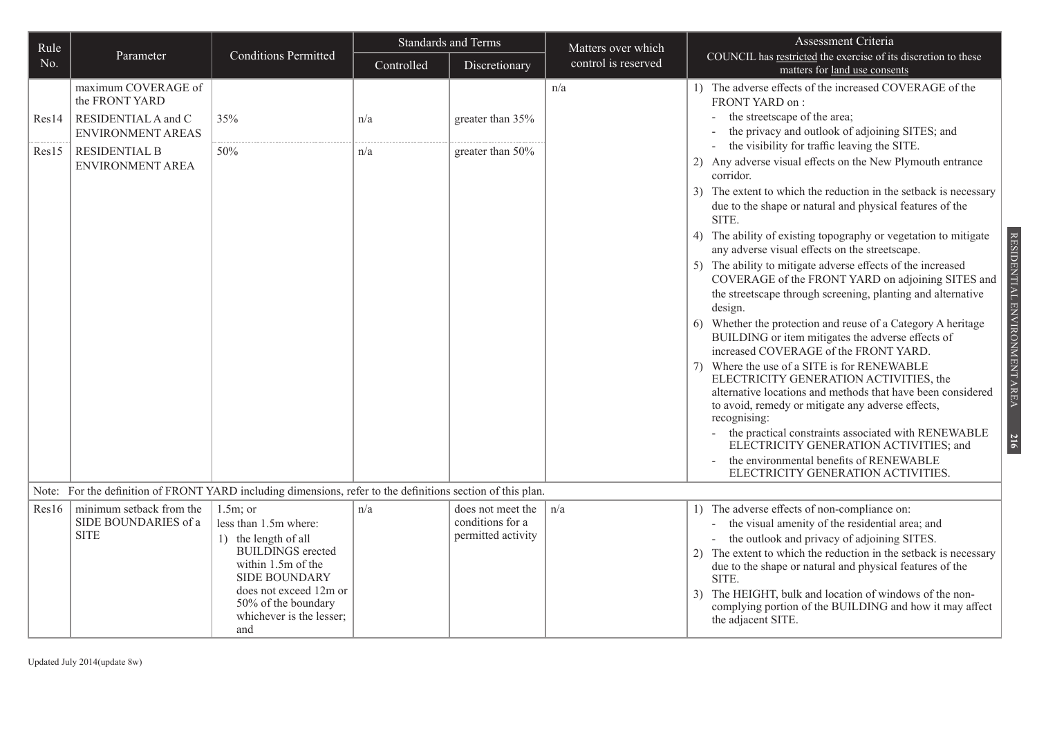| Rule  |                                                                                                             |                                                                                                                                                                                                                              | <b>Standards and Terms</b> |                                                             | Matters over which  | Assessment Criteria                                                                                                                                                                                                                                                                                                                                                                                                                                                                                                                                                                                                                                                                                                                                                                                                                                                                                                                                                                                                                                                                                                                                                                                     |
|-------|-------------------------------------------------------------------------------------------------------------|------------------------------------------------------------------------------------------------------------------------------------------------------------------------------------------------------------------------------|----------------------------|-------------------------------------------------------------|---------------------|---------------------------------------------------------------------------------------------------------------------------------------------------------------------------------------------------------------------------------------------------------------------------------------------------------------------------------------------------------------------------------------------------------------------------------------------------------------------------------------------------------------------------------------------------------------------------------------------------------------------------------------------------------------------------------------------------------------------------------------------------------------------------------------------------------------------------------------------------------------------------------------------------------------------------------------------------------------------------------------------------------------------------------------------------------------------------------------------------------------------------------------------------------------------------------------------------------|
| No.   | Parameter                                                                                                   | <b>Conditions Permitted</b>                                                                                                                                                                                                  | Controlled                 | Discretionary                                               | control is reserved | COUNCIL has restricted the exercise of its discretion to these<br>matters for land use consents                                                                                                                                                                                                                                                                                                                                                                                                                                                                                                                                                                                                                                                                                                                                                                                                                                                                                                                                                                                                                                                                                                         |
| Res14 | maximum COVERAGE of<br>the FRONT YARD<br>RESIDENTIAL A and C<br>ENVIRONMENT AREAS                           | 35%                                                                                                                                                                                                                          | n/a                        | greater than 35%                                            | n/a                 | 1) The adverse effects of the increased COVERAGE of the<br>FRONT YARD on:<br>the streetscape of the area;<br>the privacy and outlook of adjoining SITES; and                                                                                                                                                                                                                                                                                                                                                                                                                                                                                                                                                                                                                                                                                                                                                                                                                                                                                                                                                                                                                                            |
| Res15 | <b>RESIDENTIAL B</b><br><b>ENVIRONMENT AREA</b>                                                             | 50%                                                                                                                                                                                                                          | n/a                        | greater than 50%                                            |                     | the visibility for traffic leaving the SITE.<br>Any adverse visual effects on the New Plymouth entrance<br>corridor.<br>3) The extent to which the reduction in the setback is necessary<br>due to the shape or natural and physical features of the<br>SITE.<br>RESIDENTIAL ENVIRONMENT AREA<br>4) The ability of existing topography or vegetation to mitigate<br>any adverse visual effects on the streetscape.<br>5) The ability to mitigate adverse effects of the increased<br>COVERAGE of the FRONT YARD on adjoining SITES and<br>the streetscape through screening, planting and alternative<br>design.<br>6) Whether the protection and reuse of a Category A heritage<br>BUILDING or item mitigates the adverse effects of<br>increased COVERAGE of the FRONT YARD.<br>Where the use of a SITE is for RENEWABLE<br>7)<br>ELECTRICITY GENERATION ACTIVITIES, the<br>alternative locations and methods that have been considered<br>to avoid, remedy or mitigate any adverse effects,<br>recognising:<br>the practical constraints associated with RENEWABLE<br>216<br>ELECTRICITY GENERATION ACTIVITIES; and<br>the environmental benefits of RENEWABLE<br>ELECTRICITY GENERATION ACTIVITIES. |
|       | Note: For the definition of FRONT YARD including dimensions, refer to the definitions section of this plan. |                                                                                                                                                                                                                              |                            |                                                             |                     |                                                                                                                                                                                                                                                                                                                                                                                                                                                                                                                                                                                                                                                                                                                                                                                                                                                                                                                                                                                                                                                                                                                                                                                                         |
| Res16 | minimum setback from the<br>SIDE BOUNDARIES of a<br><b>SITE</b>                                             | $1.5m$ ; or<br>less than 1.5m where:<br>1) the length of all<br><b>BUILDINGS</b> erected<br>within $1.5m$ of the<br><b>SIDE BOUNDARY</b><br>does not exceed 12m or<br>50% of the boundary<br>whichever is the lesser;<br>and | n/a                        | does not meet the<br>conditions for a<br>permitted activity | n/a                 | 1) The adverse effects of non-compliance on:<br>the visual amenity of the residential area; and<br>the outlook and privacy of adjoining SITES.<br>The extent to which the reduction in the setback is necessary<br>(2)<br>due to the shape or natural and physical features of the<br>SITE.<br>The HEIGHT, bulk and location of windows of the non-<br>3)<br>complying portion of the BUILDING and how it may affect<br>the adjacent SITE.                                                                                                                                                                                                                                                                                                                                                                                                                                                                                                                                                                                                                                                                                                                                                              |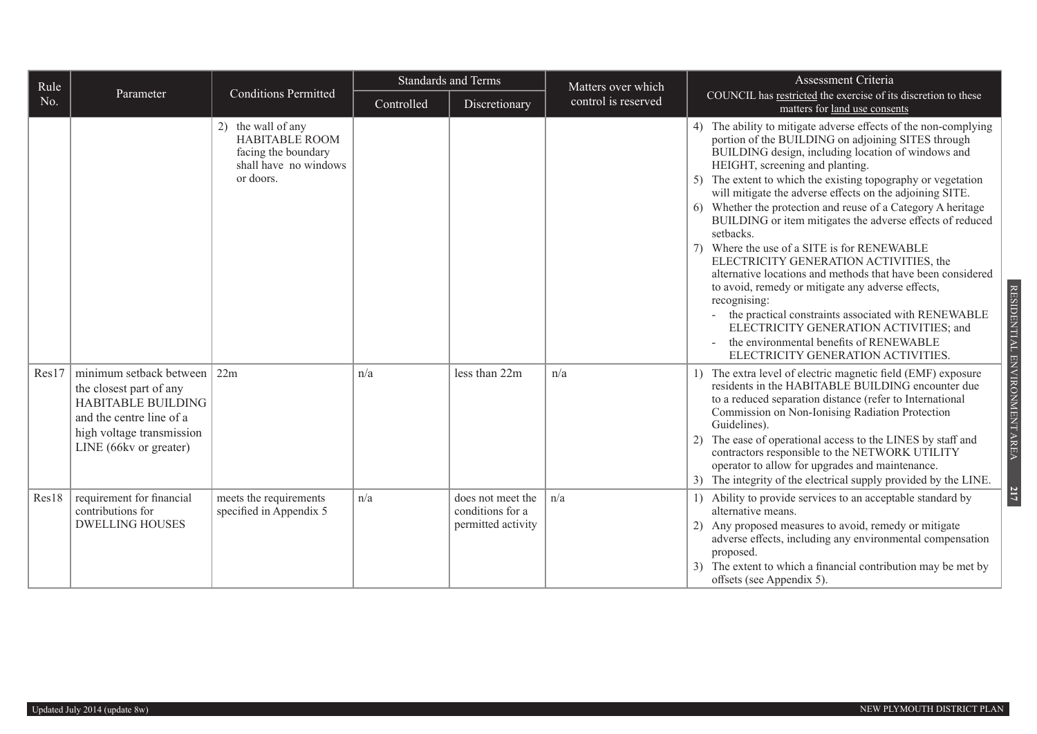| Rule  |                                                                                                                                                                    |                                                                                                          | Standards and Terms |                                                             | Matters over which  | Assessment Criteria                                                                                                                                                                                                                                                                                                                                                                                                                                                                                                                                                                                                                                                                                                                                                                                                                                                                                           |  |
|-------|--------------------------------------------------------------------------------------------------------------------------------------------------------------------|----------------------------------------------------------------------------------------------------------|---------------------|-------------------------------------------------------------|---------------------|---------------------------------------------------------------------------------------------------------------------------------------------------------------------------------------------------------------------------------------------------------------------------------------------------------------------------------------------------------------------------------------------------------------------------------------------------------------------------------------------------------------------------------------------------------------------------------------------------------------------------------------------------------------------------------------------------------------------------------------------------------------------------------------------------------------------------------------------------------------------------------------------------------------|--|
| No.   | Parameter                                                                                                                                                          | <b>Conditions Permitted</b>                                                                              | Controlled          | Discretionary                                               | control is reserved | COUNCIL has restricted the exercise of its discretion to these<br>matters for land use consents                                                                                                                                                                                                                                                                                                                                                                                                                                                                                                                                                                                                                                                                                                                                                                                                               |  |
|       |                                                                                                                                                                    | 2) the wall of any<br><b>HABITABLE ROOM</b><br>facing the boundary<br>shall have no windows<br>or doors. |                     |                                                             |                     | 4) The ability to mitigate adverse effects of the non-complying<br>portion of the BUILDING on adjoining SITES through<br>BUILDING design, including location of windows and<br>HEIGHT, screening and planting.<br>5) The extent to which the existing topography or vegetation<br>will mitigate the adverse effects on the adjoining SITE.<br>6) Whether the protection and reuse of a Category A heritage<br>BUILDING or item mitigates the adverse effects of reduced<br>setbacks.<br>7) Where the use of a SITE is for RENEWABLE<br>ELECTRICITY GENERATION ACTIVITIES, the<br>alternative locations and methods that have been considered<br>to avoid, remedy or mitigate any adverse effects,<br>recognising:<br>the practical constraints associated with RENEWABLE<br>$\sim$<br>ELECTRICITY GENERATION ACTIVITIES; and<br>the environmental benefits of RENEWABLE<br>ELECTRICITY GENERATION ACTIVITIES. |  |
| Res17 | minimum setback between<br>the closest part of any<br><b>HABITABLE BUILDING</b><br>and the centre line of a<br>high voltage transmission<br>LINE (66kv or greater) | 22m                                                                                                      | n/a                 | less than 22m                                               | n/a                 | 1) The extra level of electric magnetic field (EMF) exposure<br>residents in the HABITABLE BUILDING encounter due<br>to a reduced separation distance (refer to International<br>Commission on Non-Ionising Radiation Protection<br>Guidelines).<br>The ease of operational access to the LINES by staff and<br>2)<br>contractors responsible to the NETWORK UTILITY<br>operator to allow for upgrades and maintenance.<br>3) The integrity of the electrical supply provided by the LINE.                                                                                                                                                                                                                                                                                                                                                                                                                    |  |
| Res18 | requirement for financial<br>contributions for<br><b>DWELLING HOUSES</b>                                                                                           | meets the requirements<br>specified in Appendix 5                                                        | n/a                 | does not meet the<br>conditions for a<br>permitted activity | n/a                 | 1) Ability to provide services to an acceptable standard by<br>alternative means.<br>2) Any proposed measures to avoid, remedy or mitigate<br>adverse effects, including any environmental compensation<br>proposed.<br>3) The extent to which a financial contribution may be met by<br>offsets (see Appendix 5).                                                                                                                                                                                                                                                                                                                                                                                                                                                                                                                                                                                            |  |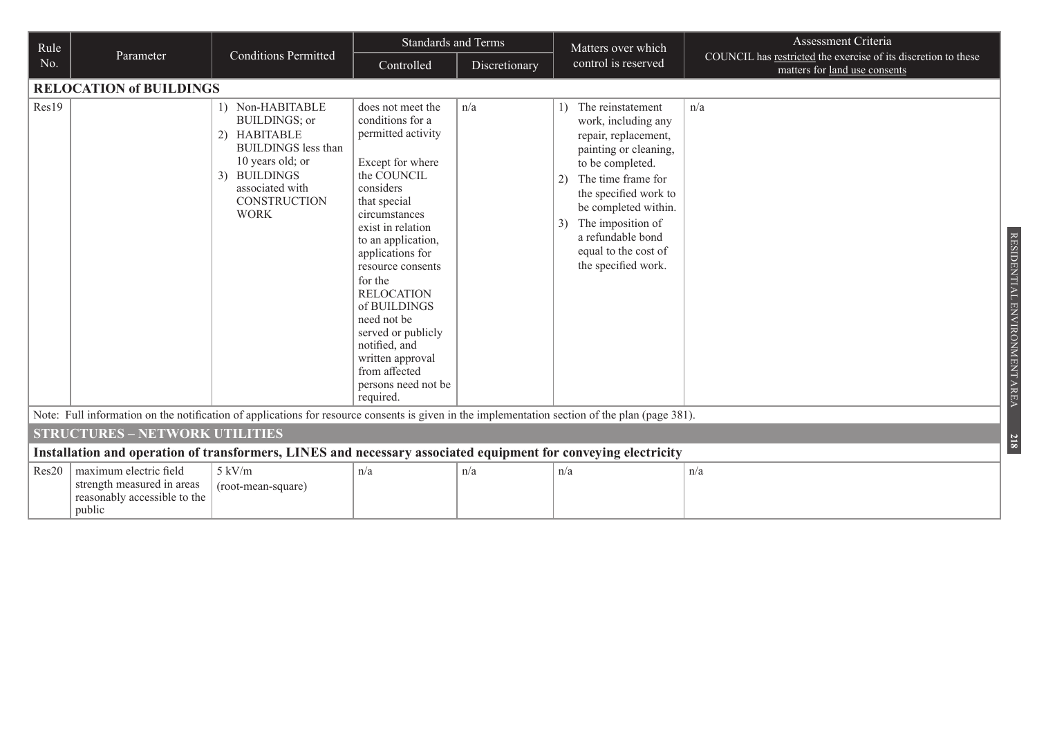| Rule  |                                                                                                                                                 |                                                                                                                                                                                                    | <b>Standards and Terms</b>                                                                                                                                                                                                                                                                                                                                                                                      |               | Matters over which                                                                                                                                                                                                                                                                              | Assessment Criteria                                                                             |  |  |  |
|-------|-------------------------------------------------------------------------------------------------------------------------------------------------|----------------------------------------------------------------------------------------------------------------------------------------------------------------------------------------------------|-----------------------------------------------------------------------------------------------------------------------------------------------------------------------------------------------------------------------------------------------------------------------------------------------------------------------------------------------------------------------------------------------------------------|---------------|-------------------------------------------------------------------------------------------------------------------------------------------------------------------------------------------------------------------------------------------------------------------------------------------------|-------------------------------------------------------------------------------------------------|--|--|--|
| No.   | Parameter                                                                                                                                       | <b>Conditions Permitted</b>                                                                                                                                                                        | Controlled                                                                                                                                                                                                                                                                                                                                                                                                      | Discretionary | control is reserved                                                                                                                                                                                                                                                                             | COUNCIL has restricted the exercise of its discretion to these<br>matters for land use consents |  |  |  |
|       | <b>RELOCATION of BUILDINGS</b>                                                                                                                  |                                                                                                                                                                                                    |                                                                                                                                                                                                                                                                                                                                                                                                                 |               |                                                                                                                                                                                                                                                                                                 |                                                                                                 |  |  |  |
| Res19 |                                                                                                                                                 | 1) Non-HABITABLE<br><b>BUILDINGS; or</b><br>2) HABITABLE<br><b>BUILDINGS</b> less than<br>10 years old; or<br><b>BUILDINGS</b><br>3 <sup>)</sup><br>associated with<br>CONSTRUCTION<br><b>WORK</b> | does not meet the<br>conditions for a<br>permitted activity<br>Except for where<br>the COUNCIL<br>considers<br>that special<br>circumstances<br>exist in relation<br>to an application,<br>applications for<br>resource consents<br>for the<br><b>RELOCATION</b><br>of BUILDINGS<br>need not be<br>served or publicly<br>notified, and<br>written approval<br>from affected<br>persons need not be<br>required. | n/a           | The reinstatement<br>1)<br>work, including any<br>repair, replacement,<br>painting or cleaning,<br>to be completed.<br>The time frame for<br>2)<br>the specified work to<br>be completed within.<br>The imposition of<br>3)<br>a refundable bond<br>equal to the cost of<br>the specified work. | n/a<br>RESIDENTIAL ENVIRONMENT AREA                                                             |  |  |  |
|       | Note: Full information on the notification of applications for resource consents is given in the implementation section of the plan (page 381). |                                                                                                                                                                                                    |                                                                                                                                                                                                                                                                                                                                                                                                                 |               |                                                                                                                                                                                                                                                                                                 |                                                                                                 |  |  |  |
|       | <b>STRUCTURES - NETWORK UTILITIES</b>                                                                                                           |                                                                                                                                                                                                    |                                                                                                                                                                                                                                                                                                                                                                                                                 |               |                                                                                                                                                                                                                                                                                                 | <b>218</b>                                                                                      |  |  |  |
|       | Installation and operation of transformers, LINES and necessary associated equipment for conveying electricity                                  |                                                                                                                                                                                                    |                                                                                                                                                                                                                                                                                                                                                                                                                 |               |                                                                                                                                                                                                                                                                                                 |                                                                                                 |  |  |  |
| Res20 | maximum electric field<br>strength measured in areas<br>reasonably accessible to the<br>public                                                  | $5 \text{ kV/m}$<br>(root-mean-square)                                                                                                                                                             | n/a                                                                                                                                                                                                                                                                                                                                                                                                             | n/a           | n/a                                                                                                                                                                                                                                                                                             | n/a                                                                                             |  |  |  |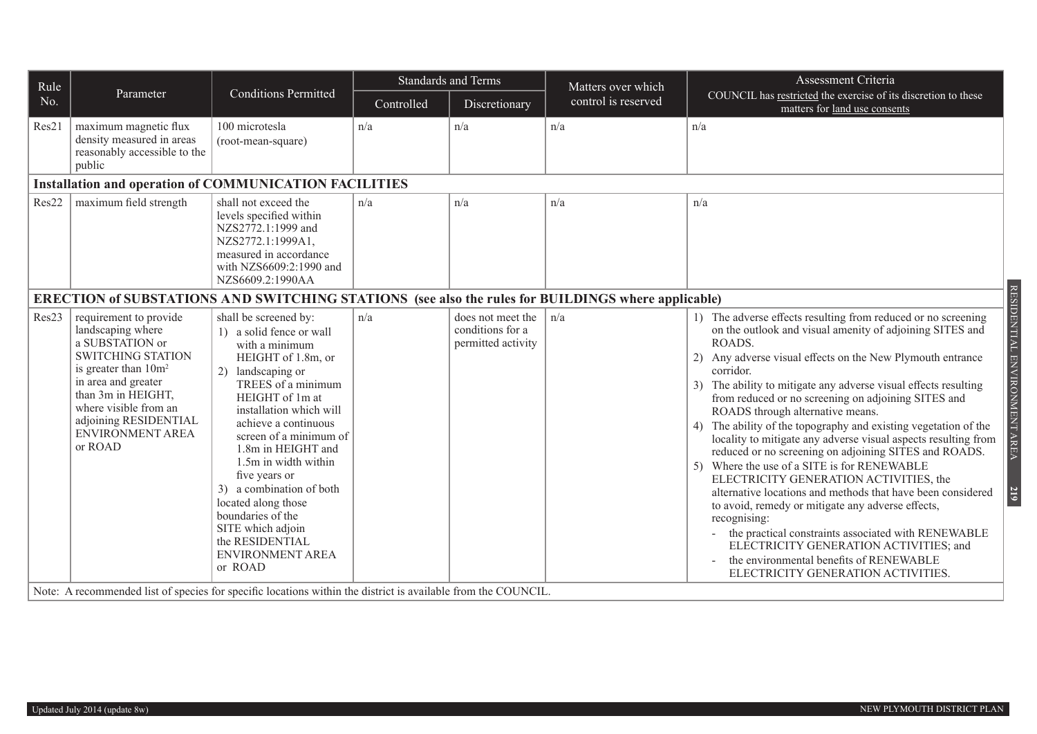| Rule                                                          |                                                                                                                                                                                                                                                              |                                                                                                                                                                                                                                                                                                                                                                                                                                                                                                                                                                            |            | <b>Standards and Terms</b>                                  | Matters over which  | Assessment Criteria                                                                                                                                                                                                                                                                                                                                                                                                                                                                                                                                                                                                                                                                                                                                                                                                                                                                                                                                                                                                                    |  |  |  |  |  |
|---------------------------------------------------------------|--------------------------------------------------------------------------------------------------------------------------------------------------------------------------------------------------------------------------------------------------------------|----------------------------------------------------------------------------------------------------------------------------------------------------------------------------------------------------------------------------------------------------------------------------------------------------------------------------------------------------------------------------------------------------------------------------------------------------------------------------------------------------------------------------------------------------------------------------|------------|-------------------------------------------------------------|---------------------|----------------------------------------------------------------------------------------------------------------------------------------------------------------------------------------------------------------------------------------------------------------------------------------------------------------------------------------------------------------------------------------------------------------------------------------------------------------------------------------------------------------------------------------------------------------------------------------------------------------------------------------------------------------------------------------------------------------------------------------------------------------------------------------------------------------------------------------------------------------------------------------------------------------------------------------------------------------------------------------------------------------------------------------|--|--|--|--|--|
| No.                                                           | Parameter                                                                                                                                                                                                                                                    | <b>Conditions Permitted</b>                                                                                                                                                                                                                                                                                                                                                                                                                                                                                                                                                | Controlled | Discretionary                                               | control is reserved | COUNCIL has restricted the exercise of its discretion to these<br>matters for land use consents                                                                                                                                                                                                                                                                                                                                                                                                                                                                                                                                                                                                                                                                                                                                                                                                                                                                                                                                        |  |  |  |  |  |
| Res21                                                         | maximum magnetic flux<br>density measured in areas<br>reasonably accessible to the<br>public                                                                                                                                                                 | 100 microtesla<br>(root-mean-square)                                                                                                                                                                                                                                                                                                                                                                                                                                                                                                                                       | n/a        | n/a                                                         | n/a                 | n/a                                                                                                                                                                                                                                                                                                                                                                                                                                                                                                                                                                                                                                                                                                                                                                                                                                                                                                                                                                                                                                    |  |  |  |  |  |
| <b>Installation and operation of COMMUNICATION FACILITIES</b> |                                                                                                                                                                                                                                                              |                                                                                                                                                                                                                                                                                                                                                                                                                                                                                                                                                                            |            |                                                             |                     |                                                                                                                                                                                                                                                                                                                                                                                                                                                                                                                                                                                                                                                                                                                                                                                                                                                                                                                                                                                                                                        |  |  |  |  |  |
| Res22                                                         | maximum field strength                                                                                                                                                                                                                                       | shall not exceed the<br>levels specified within<br>NZS2772.1:1999 and<br>NZS2772.1:1999A1,<br>measured in accordance<br>with NZS6609:2:1990 and<br>NZS6609.2:1990AA                                                                                                                                                                                                                                                                                                                                                                                                        | n/a        | n/a                                                         | n/a                 | n/a                                                                                                                                                                                                                                                                                                                                                                                                                                                                                                                                                                                                                                                                                                                                                                                                                                                                                                                                                                                                                                    |  |  |  |  |  |
|                                                               | ERECTION of SUBSTATIONS AND SWITCHING STATIONS (see also the rules for BUILDINGS where applicable)                                                                                                                                                           |                                                                                                                                                                                                                                                                                                                                                                                                                                                                                                                                                                            |            |                                                             |                     |                                                                                                                                                                                                                                                                                                                                                                                                                                                                                                                                                                                                                                                                                                                                                                                                                                                                                                                                                                                                                                        |  |  |  |  |  |
| Res23                                                         | requirement to provide<br>landscaping where<br>a SUBSTATION or<br><b>SWITCHING STATION</b><br>is greater than 10m <sup>2</sup><br>in area and greater<br>than 3m in HEIGHT,<br>where visible from an<br>adjoining RESIDENTIAL<br>ENVIRONMENT AREA<br>or ROAD | shall be screened by:<br>1) a solid fence or wall<br>with a minimum<br>HEIGHT of 1.8m, or<br>2) landscaping or<br>TREES of a minimum<br>HEIGHT of 1m at<br>installation which will<br>achieve a continuous<br>screen of a minimum of<br>1.8m in HEIGHT and<br>1.5m in width within<br>five years or<br>3) a combination of both<br>located along those<br>boundaries of the<br>SITE which adjoin<br>the RESIDENTIAL<br><b>ENVIRONMENT AREA</b><br>or ROAD<br>Note: A recommended list of species for specific locations within the district is available from the COUNCIL. | n/a        | does not meet the<br>conditions for a<br>permitted activity | n/a                 | RESIDENTIAL ENVIRONMENT AREA<br>1) The adverse effects resulting from reduced or no screening<br>on the outlook and visual amenity of adjoining SITES and<br>ROADS.<br>2) Any adverse visual effects on the New Plymouth entrance<br>corridor.<br>The ability to mitigate any adverse visual effects resulting<br>3)<br>from reduced or no screening on adjoining SITES and<br>ROADS through alternative means.<br>The ability of the topography and existing vegetation of the<br>4)<br>locality to mitigate any adverse visual aspects resulting from<br>reduced or no screening on adjoining SITES and ROADS.<br>5) Where the use of a SITE is for RENEWABLE<br>ELECTRICITY GENERATION ACTIVITIES, the<br>alternative locations and methods that have been considered<br>219<br>to avoid, remedy or mitigate any adverse effects,<br>recognising:<br>the practical constraints associated with RENEWABLE<br>ELECTRICITY GENERATION ACTIVITIES; and<br>the environmental benefits of RENEWABLE<br>ELECTRICITY GENERATION ACTIVITIES. |  |  |  |  |  |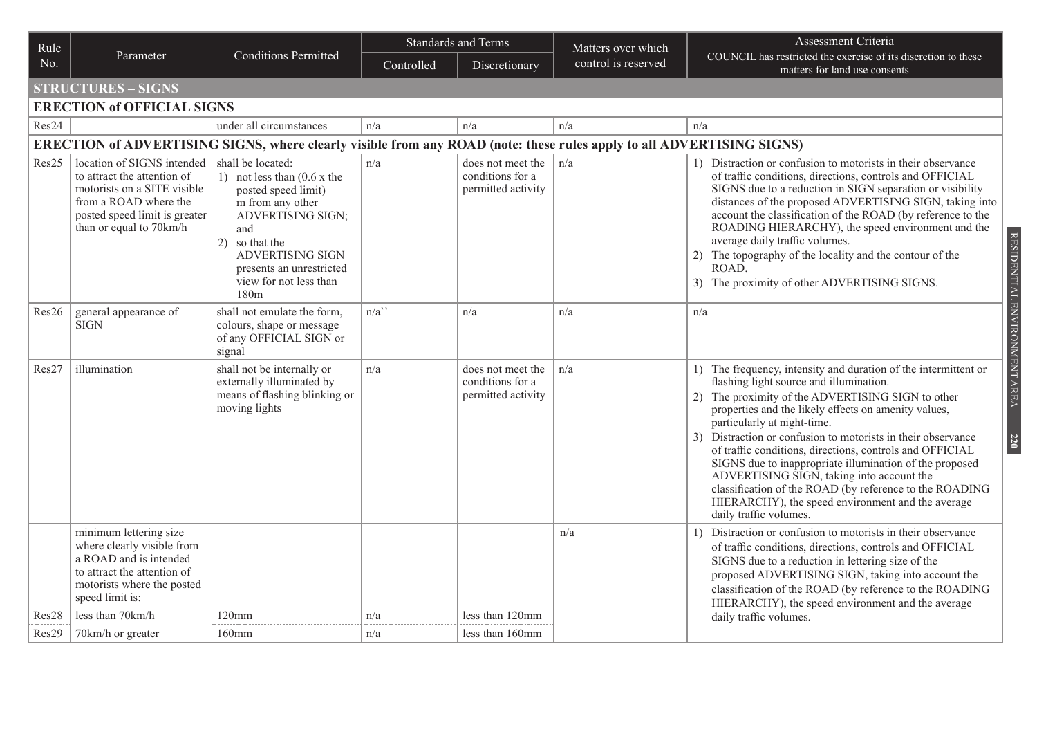| Rule           |                                                                                                                                                                                                         | <b>Conditions Permitted</b>                                                                                                                                                                                                 | <b>Standards and Terms</b> |                                                             | Matters over which  | Assessment Criteria                                                                                                                                                                                                                                                                                                                                                                                                                                                                                                                                                                                                                         |
|----------------|---------------------------------------------------------------------------------------------------------------------------------------------------------------------------------------------------------|-----------------------------------------------------------------------------------------------------------------------------------------------------------------------------------------------------------------------------|----------------------------|-------------------------------------------------------------|---------------------|---------------------------------------------------------------------------------------------------------------------------------------------------------------------------------------------------------------------------------------------------------------------------------------------------------------------------------------------------------------------------------------------------------------------------------------------------------------------------------------------------------------------------------------------------------------------------------------------------------------------------------------------|
| No.            | Parameter                                                                                                                                                                                               |                                                                                                                                                                                                                             | Controlled                 | Discretionary                                               | control is reserved | COUNCIL has restricted the exercise of its discretion to these<br>matters for land use consents                                                                                                                                                                                                                                                                                                                                                                                                                                                                                                                                             |
|                | <b>STRUCTURES - SIGNS</b>                                                                                                                                                                               |                                                                                                                                                                                                                             |                            |                                                             |                     |                                                                                                                                                                                                                                                                                                                                                                                                                                                                                                                                                                                                                                             |
|                | <b>ERECTION of OFFICIAL SIGNS</b>                                                                                                                                                                       |                                                                                                                                                                                                                             |                            |                                                             |                     |                                                                                                                                                                                                                                                                                                                                                                                                                                                                                                                                                                                                                                             |
| Res24          |                                                                                                                                                                                                         | under all circumstances                                                                                                                                                                                                     | n/a                        | n/a                                                         | n/a                 | n/a                                                                                                                                                                                                                                                                                                                                                                                                                                                                                                                                                                                                                                         |
|                |                                                                                                                                                                                                         | ERECTION of ADVERTISING SIGNS, where clearly visible from any ROAD (note: these rules apply to all ADVERTISING SIGNS)                                                                                                       |                            |                                                             |                     |                                                                                                                                                                                                                                                                                                                                                                                                                                                                                                                                                                                                                                             |
| Res25          | location of SIGNS intended   shall be located:<br>to attract the attention of<br>motorists on a SITE visible<br>from a ROAD where the<br>posted speed limit is greater<br>than or equal to 70km/h       | 1) not less than $(0.6 \times$ the<br>posted speed limit)<br>m from any other<br><b>ADVERTISING SIGN;</b><br>and<br>2) so that the<br><b>ADVERTISING SIGN</b><br>presents an unrestricted<br>view for not less than<br>180m | n/a                        | does not meet the<br>conditions for a<br>permitted activity | n/a                 | 1) Distraction or confusion to motorists in their observance<br>of traffic conditions, directions, controls and OFFICIAL<br>SIGNS due to a reduction in SIGN separation or visibility<br>distances of the proposed ADVERTISING SIGN, taking into<br>account the classification of the ROAD (by reference to the<br>ROADING HIERARCHY), the speed environment and the<br>RESIDENTIAL ENVIRONMENT AREA<br>average daily traffic volumes.<br>2) The topography of the locality and the contour of the<br>ROAD.<br>3) The proximity of other ADVERTISING SIGNS.                                                                                 |
| Res26          | general appearance of<br><b>SIGN</b>                                                                                                                                                                    | shall not emulate the form,<br>colours, shape or message<br>of any OFFICIAL SIGN or<br>signal                                                                                                                               | n/a'                       | n/a                                                         | n/a                 | n/a                                                                                                                                                                                                                                                                                                                                                                                                                                                                                                                                                                                                                                         |
| Res27          | illumination                                                                                                                                                                                            | shall not be internally or<br>externally illuminated by<br>means of flashing blinking or<br>moving lights                                                                                                                   | n/a                        | does not meet the<br>conditions for a<br>permitted activity | n/a                 | 1) The frequency, intensity and duration of the intermittent or<br>flashing light source and illumination.<br>2) The proximity of the ADVERTISING SIGN to other<br>properties and the likely effects on amenity values,<br>particularly at night-time.<br>3) Distraction or confusion to motorists in their observance<br>220<br>of traffic conditions, directions, controls and OFFICIAL<br>SIGNS due to inappropriate illumination of the proposed<br>ADVERTISING SIGN, taking into account the<br>classification of the ROAD (by reference to the ROADING<br>HIERARCHY), the speed environment and the average<br>daily traffic volumes. |
| Res28<br>Res29 | minimum lettering size<br>where clearly visible from<br>a ROAD and is intended<br>to attract the attention of<br>motorists where the posted<br>speed limit is:<br>less than 70km/h<br>70km/h or greater | $120$ mm<br>$160$ mm                                                                                                                                                                                                        | n/a<br>n/a                 | less than 120mm<br>less than 160mm                          | n/a                 | 1) Distraction or confusion to motorists in their observance<br>of traffic conditions, directions, controls and OFFICIAL<br>SIGNS due to a reduction in lettering size of the<br>proposed ADVERTISING SIGN, taking into account the<br>classification of the ROAD (by reference to the ROADING<br>HIERARCHY), the speed environment and the average<br>daily traffic volumes.                                                                                                                                                                                                                                                               |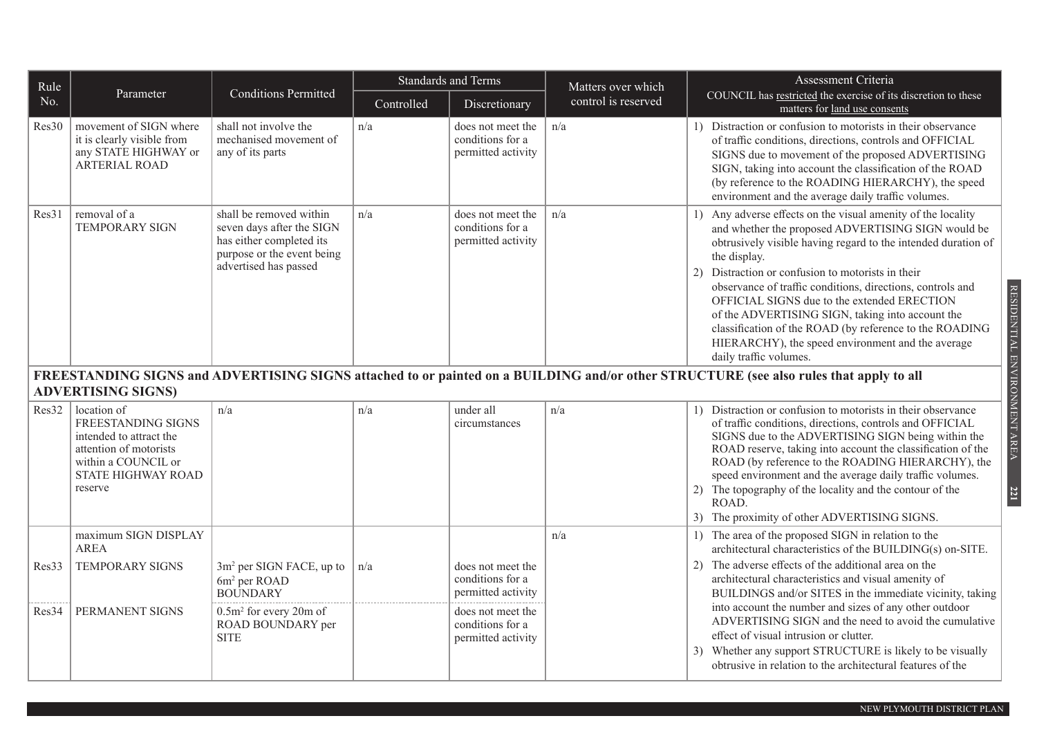| Rule  |                                                                                                                                                       |                                                                                                                                         | <b>Standards and Terms</b> |                                                             | Matters over which  | Assessment Criteria                                                                                                                                                                                                                                                                                                                                                                                                                                                                                                                                                       |  |
|-------|-------------------------------------------------------------------------------------------------------------------------------------------------------|-----------------------------------------------------------------------------------------------------------------------------------------|----------------------------|-------------------------------------------------------------|---------------------|---------------------------------------------------------------------------------------------------------------------------------------------------------------------------------------------------------------------------------------------------------------------------------------------------------------------------------------------------------------------------------------------------------------------------------------------------------------------------------------------------------------------------------------------------------------------------|--|
| No.   | Parameter                                                                                                                                             | <b>Conditions Permitted</b>                                                                                                             | Controlled                 | Discretionary                                               | control is reserved | COUNCIL has restricted the exercise of its discretion to these<br>matters for land use consents                                                                                                                                                                                                                                                                                                                                                                                                                                                                           |  |
| Res30 | movement of SIGN where<br>it is clearly visible from<br>any STATE HIGHWAY or<br>ARTERIAL ROAD                                                         | shall not involve the<br>mechanised movement of<br>any of its parts                                                                     | n/a                        | does not meet the<br>conditions for a<br>permitted activity | n/a                 | 1) Distraction or confusion to motorists in their observance<br>of traffic conditions, directions, controls and OFFICIAL<br>SIGNS due to movement of the proposed ADVERTISING<br>SIGN, taking into account the classification of the ROAD<br>(by reference to the ROADING HIERARCHY), the speed<br>environment and the average daily traffic volumes.                                                                                                                                                                                                                     |  |
| Res31 | removal of a<br><b>TEMPORARY SIGN</b>                                                                                                                 | shall be removed within<br>seven days after the SIGN<br>has either completed its<br>purpose or the event being<br>advertised has passed | n/a                        | does not meet the<br>conditions for a<br>permitted activity | n/a                 | Any adverse effects on the visual amenity of the locality<br>1)<br>and whether the proposed ADVERTISING SIGN would be<br>obtrusively visible having regard to the intended duration of<br>the display.<br>Distraction or confusion to motorists in their<br>2)<br>observance of traffic conditions, directions, controls and<br>OFFICIAL SIGNS due to the extended ERECTION<br>of the ADVERTISING SIGN, taking into account the<br>classification of the ROAD (by reference to the ROADING<br>HIERARCHY), the speed environment and the average<br>daily traffic volumes. |  |
|       | <b>ADVERTISING SIGNS)</b>                                                                                                                             |                                                                                                                                         |                            |                                                             |                     | FREESTANDING SIGNS and ADVERTISING SIGNS attached to or painted on a BUILDING and/or other STRUCTURE (see also rules that apply to all                                                                                                                                                                                                                                                                                                                                                                                                                                    |  |
| Res32 | location of<br><b>FREESTANDING SIGNS</b><br>intended to attract the<br>attention of motorists<br>within a COUNCIL or<br>STATE HIGHWAY ROAD<br>reserve | n/a                                                                                                                                     | n/a                        | under all<br>circumstances                                  | n/a                 | 1) Distraction or confusion to motorists in their observance<br>of traffic conditions, directions, controls and OFFICIAL<br>SIGNS due to the ADVERTISING SIGN being within the<br>ROAD reserve, taking into account the classification of the<br>ROAD (by reference to the ROADING HIERARCHY), the<br>speed environment and the average daily traffic volumes.<br>The topography of the locality and the contour of the<br>2)<br>ROAD.<br>The proximity of other ADVERTISING SIGNS.<br>3)                                                                                 |  |
|       | maximum SIGN DISPLAY<br><b>AREA</b>                                                                                                                   |                                                                                                                                         |                            |                                                             | n/a                 | 1) The area of the proposed SIGN in relation to the<br>architectural characteristics of the BUILDING(s) on-SITE.                                                                                                                                                                                                                                                                                                                                                                                                                                                          |  |
| Res33 | <b>TEMPORARY SIGNS</b>                                                                                                                                | $3m2$ per SIGN FACE, up to<br>6m <sup>2</sup> per ROAD<br><b>BOUNDARY</b>                                                               | n/a                        | does not meet the<br>conditions for a<br>permitted activity |                     | The adverse effects of the additional area on the<br>2)<br>architectural characteristics and visual amenity of<br>BUILDINGS and/or SITES in the immediate vicinity, taking                                                                                                                                                                                                                                                                                                                                                                                                |  |
| Res34 | PERMANENT SIGNS                                                                                                                                       | $0.5m2$ for every 20m of<br>ROAD BOUNDARY per<br><b>SITE</b>                                                                            |                            | does not meet the<br>conditions for a<br>permitted activity |                     | into account the number and sizes of any other outdoor<br>ADVERTISING SIGN and the need to avoid the cumulative<br>effect of visual intrusion or clutter.<br>Whether any support STRUCTURE is likely to be visually<br>3)<br>obtrusive in relation to the architectural features of the                                                                                                                                                                                                                                                                                   |  |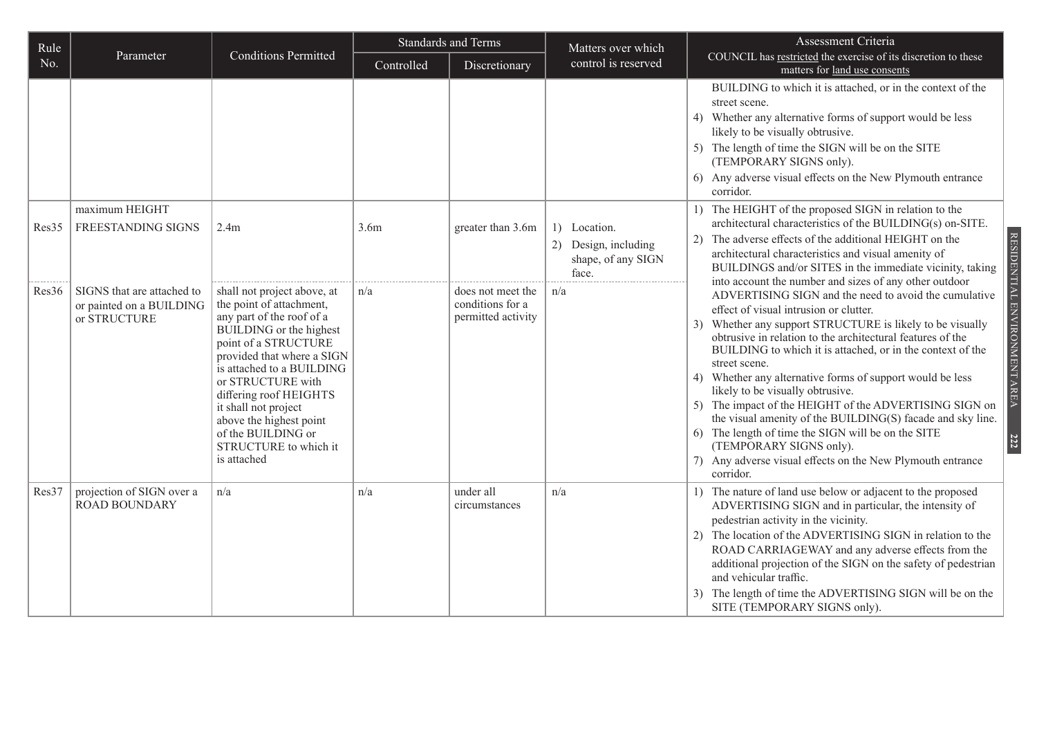| Rule  |                                                                        |                                                                                                                                                                                                                                                                                                                                                                    | <b>Standards and Terms</b> |                                                             | Matters over which                                                  | Assessment Criteria                                                                                                                                                                                                                                                                                                                                                                                                                                                                                                                                                                                                                                                                            |
|-------|------------------------------------------------------------------------|--------------------------------------------------------------------------------------------------------------------------------------------------------------------------------------------------------------------------------------------------------------------------------------------------------------------------------------------------------------------|----------------------------|-------------------------------------------------------------|---------------------------------------------------------------------|------------------------------------------------------------------------------------------------------------------------------------------------------------------------------------------------------------------------------------------------------------------------------------------------------------------------------------------------------------------------------------------------------------------------------------------------------------------------------------------------------------------------------------------------------------------------------------------------------------------------------------------------------------------------------------------------|
| No.   | Parameter                                                              | <b>Conditions Permitted</b>                                                                                                                                                                                                                                                                                                                                        | Controlled                 | Discretionary                                               | control is reserved                                                 | COUNCIL has restricted the exercise of its discretion to these<br>matters for land use consents                                                                                                                                                                                                                                                                                                                                                                                                                                                                                                                                                                                                |
|       |                                                                        |                                                                                                                                                                                                                                                                                                                                                                    |                            |                                                             |                                                                     | BUILDING to which it is attached, or in the context of the<br>street scene.<br>4) Whether any alternative forms of support would be less<br>likely to be visually obtrusive.<br>5) The length of time the SIGN will be on the SITE<br>(TEMPORARY SIGNS only).<br>6) Any adverse visual effects on the New Plymouth entrance<br>corridor.                                                                                                                                                                                                                                                                                                                                                       |
| Res35 | maximum HEIGHT<br>FREESTANDING SIGNS                                   | 2.4 <sub>m</sub>                                                                                                                                                                                                                                                                                                                                                   | 3.6 <sub>m</sub>           | greater than 3.6m                                           | 1) Location.<br>2) Design, including<br>shape, of any SIGN<br>face. | 1) The HEIGHT of the proposed SIGN in relation to the<br>architectural characteristics of the BUILDING(s) on-SITE.<br>2) The adverse effects of the additional HEIGHT on the<br>architectural characteristics and visual amenity of<br>BUILDINGS and/or SITES in the immediate vicinity, taking<br>into account the number and sizes of any other outdoor                                                                                                                                                                                                                                                                                                                                      |
| Res36 | SIGNS that are attached to<br>or painted on a BUILDING<br>or STRUCTURE | shall not project above, at<br>the point of attachment,<br>any part of the roof of a<br>BUILDING or the highest<br>point of a STRUCTURE<br>provided that where a SIGN<br>is attached to a BUILDING<br>or STRUCTURE with<br>differing roof HEIGHTS<br>it shall not project<br>above the highest point<br>of the BUILDING or<br>STRUCTURE to which it<br>is attached | n/a                        | does not meet the<br>conditions for a<br>permitted activity | n/a                                                                 | ADVERTISING SIGN and the need to avoid the cumulative<br>effect of visual intrusion or clutter.<br>3) Whether any support STRUCTURE is likely to be visually<br>obtrusive in relation to the architectural features of the<br>BUILDING to which it is attached, or in the context of the<br>street scene.<br>4) Whether any alternative forms of support would be less<br>likely to be visually obtrusive.<br>5) The impact of the HEIGHT of the ADVERTISING SIGN on<br>the visual amenity of the BUILDING(S) facade and sky line.<br>6) The length of time the SIGN will be on the SITE<br>(TEMPORARY SIGNS only).<br>7) Any adverse visual effects on the New Plymouth entrance<br>corridor. |
| Res37 | projection of SIGN over a<br><b>ROAD BOUNDARY</b>                      | n/a                                                                                                                                                                                                                                                                                                                                                                | n/a                        | under all<br>circumstances                                  | n/a                                                                 | 1) The nature of land use below or adjacent to the proposed<br>ADVERTISING SIGN and in particular, the intensity of<br>pedestrian activity in the vicinity.<br>2) The location of the ADVERTISING SIGN in relation to the<br>ROAD CARRIAGEWAY and any adverse effects from the<br>additional projection of the SIGN on the safety of pedestrian<br>and vehicular traffic.<br>The length of time the ADVERTISING SIGN will be on the<br>SITE (TEMPORARY SIGNS only).                                                                                                                                                                                                                            |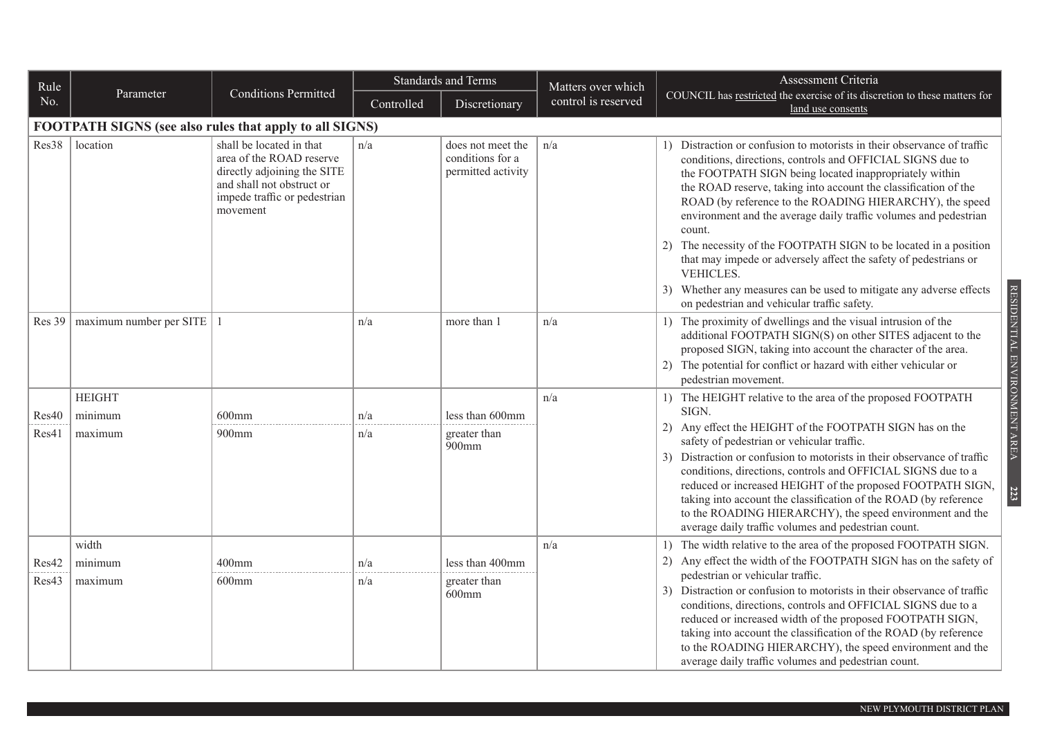| Rule   |                                                         |                                                                                                                                                              |            | <b>Standards and Terms</b>                                  | Matters over which  | Assessment Criteria                                                                                                                                                                                                                                                                                                                                                                                                                                                                                                                                                                                                                                                                     |
|--------|---------------------------------------------------------|--------------------------------------------------------------------------------------------------------------------------------------------------------------|------------|-------------------------------------------------------------|---------------------|-----------------------------------------------------------------------------------------------------------------------------------------------------------------------------------------------------------------------------------------------------------------------------------------------------------------------------------------------------------------------------------------------------------------------------------------------------------------------------------------------------------------------------------------------------------------------------------------------------------------------------------------------------------------------------------------|
| No.    | Parameter                                               | <b>Conditions Permitted</b>                                                                                                                                  | Controlled | Discretionary                                               | control is reserved | COUNCIL has restricted the exercise of its discretion to these matters for<br>land use consents                                                                                                                                                                                                                                                                                                                                                                                                                                                                                                                                                                                         |
|        | FOOTPATH SIGNS (see also rules that apply to all SIGNS) |                                                                                                                                                              |            |                                                             |                     |                                                                                                                                                                                                                                                                                                                                                                                                                                                                                                                                                                                                                                                                                         |
| Res38  | location                                                | shall be located in that<br>area of the ROAD reserve<br>directly adjoining the SITE<br>and shall not obstruct or<br>impede traffic or pedestrian<br>movement | n/a        | does not meet the<br>conditions for a<br>permitted activity | n/a                 | 1) Distraction or confusion to motorists in their observance of traffic<br>conditions, directions, controls and OFFICIAL SIGNS due to<br>the FOOTPATH SIGN being located inappropriately within<br>the ROAD reserve, taking into account the classification of the<br>ROAD (by reference to the ROADING HIERARCHY), the speed<br>environment and the average daily traffic volumes and pedestrian<br>count.<br>2) The necessity of the FOOTPATH SIGN to be located in a position<br>that may impede or adversely affect the safety of pedestrians or<br>VEHICLES.<br>3) Whether any measures can be used to mitigate any adverse effects<br>on pedestrian and vehicular traffic safety. |
| Res 39 | maximum number per SITE   1                             |                                                                                                                                                              | n/a        | more than 1                                                 | n/a                 | RESIDENTIAL ENVIRONMENT AREA<br>1) The proximity of dwellings and the visual intrusion of the<br>additional FOOTPATH SIGN(S) on other SITES adjacent to the<br>proposed SIGN, taking into account the character of the area.<br>2) The potential for conflict or hazard with either vehicular or<br>pedestrian movement.                                                                                                                                                                                                                                                                                                                                                                |
|        | <b>HEIGHT</b>                                           |                                                                                                                                                              |            |                                                             | n/a                 | 1) The HEIGHT relative to the area of the proposed FOOTPATH                                                                                                                                                                                                                                                                                                                                                                                                                                                                                                                                                                                                                             |
| Res40  | minimum                                                 | $600$ mm                                                                                                                                                     | n/a        | less than 600mm                                             |                     | SIGN.                                                                                                                                                                                                                                                                                                                                                                                                                                                                                                                                                                                                                                                                                   |
| Res41  | maximum                                                 | $900$ mm                                                                                                                                                     | n/a        | greater than<br>$900$ mm                                    |                     | 2) Any effect the HEIGHT of the FOOTPATH SIGN has on the<br>safety of pedestrian or vehicular traffic.<br>3) Distraction or confusion to motorists in their observance of traffic<br>conditions, directions, controls and OFFICIAL SIGNS due to a<br>reduced or increased HEIGHT of the proposed FOOTPATH SIGN,<br>223<br>taking into account the classification of the ROAD (by reference<br>to the ROADING HIERARCHY), the speed environment and the<br>average daily traffic volumes and pedestrian count.                                                                                                                                                                           |
|        | width                                                   |                                                                                                                                                              |            |                                                             | n/a                 | 1) The width relative to the area of the proposed FOOTPATH SIGN.                                                                                                                                                                                                                                                                                                                                                                                                                                                                                                                                                                                                                        |
| Res42  | minimum                                                 | $400$ mm                                                                                                                                                     | n/a        | less than 400mm                                             |                     | 2) Any effect the width of the FOOTPATH SIGN has on the safety of<br>pedestrian or vehicular traffic.                                                                                                                                                                                                                                                                                                                                                                                                                                                                                                                                                                                   |
| Res43  | maximum                                                 | $600$ mm                                                                                                                                                     | n/a        | greater than<br>$600$ mm                                    |                     | 3) Distraction or confusion to motorists in their observance of traffic<br>conditions, directions, controls and OFFICIAL SIGNS due to a<br>reduced or increased width of the proposed FOOTPATH SIGN,<br>taking into account the classification of the ROAD (by reference<br>to the ROADING HIERARCHY), the speed environment and the<br>average daily traffic volumes and pedestrian count.                                                                                                                                                                                                                                                                                             |

RESIDENTIAL ENVIRONMENT AREA RESIDENTIAL ENVIRONMENT AREA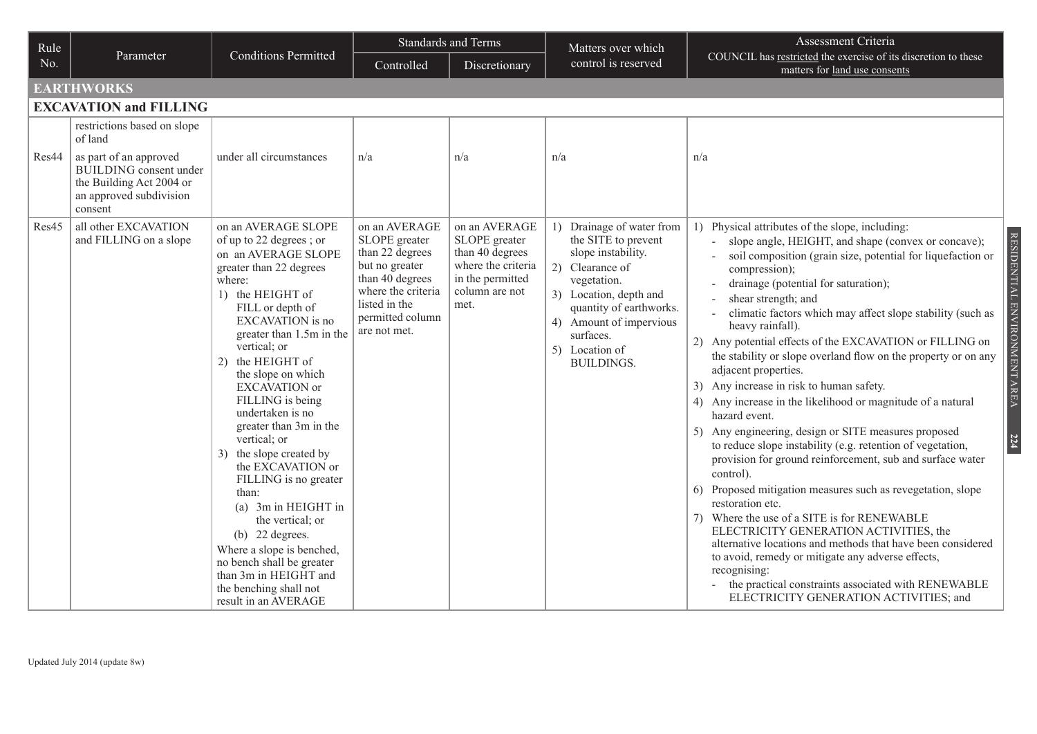| Rule  |                                                                                                 |                                                                                                                                                                                                                                                                                                                                                                                                                                                                                                                                                                                                                                                               |                                                                                                                                                                   | Standards and Terms                                                                                                   | Matters over which                                                                                                                                                                                                                              | Assessment Criteria                                                                                                                                                                                                                                                                                                                                                                                                                                                                                                                                                                                                                                                                                                                                                                                                                                                                                                                                                                                                                                                                                                                                                                                                                             |
|-------|-------------------------------------------------------------------------------------------------|---------------------------------------------------------------------------------------------------------------------------------------------------------------------------------------------------------------------------------------------------------------------------------------------------------------------------------------------------------------------------------------------------------------------------------------------------------------------------------------------------------------------------------------------------------------------------------------------------------------------------------------------------------------|-------------------------------------------------------------------------------------------------------------------------------------------------------------------|-----------------------------------------------------------------------------------------------------------------------|-------------------------------------------------------------------------------------------------------------------------------------------------------------------------------------------------------------------------------------------------|-------------------------------------------------------------------------------------------------------------------------------------------------------------------------------------------------------------------------------------------------------------------------------------------------------------------------------------------------------------------------------------------------------------------------------------------------------------------------------------------------------------------------------------------------------------------------------------------------------------------------------------------------------------------------------------------------------------------------------------------------------------------------------------------------------------------------------------------------------------------------------------------------------------------------------------------------------------------------------------------------------------------------------------------------------------------------------------------------------------------------------------------------------------------------------------------------------------------------------------------------|
| No.   | Parameter                                                                                       | <b>Conditions Permitted</b>                                                                                                                                                                                                                                                                                                                                                                                                                                                                                                                                                                                                                                   | Controlled                                                                                                                                                        | Discretionary                                                                                                         | control is reserved                                                                                                                                                                                                                             | COUNCIL has restricted the exercise of its discretion to these<br>matters for land use consents                                                                                                                                                                                                                                                                                                                                                                                                                                                                                                                                                                                                                                                                                                                                                                                                                                                                                                                                                                                                                                                                                                                                                 |
|       | <b>EARTHWORKS</b>                                                                               |                                                                                                                                                                                                                                                                                                                                                                                                                                                                                                                                                                                                                                                               |                                                                                                                                                                   |                                                                                                                       |                                                                                                                                                                                                                                                 |                                                                                                                                                                                                                                                                                                                                                                                                                                                                                                                                                                                                                                                                                                                                                                                                                                                                                                                                                                                                                                                                                                                                                                                                                                                 |
|       | <b>EXCAVATION and FILLING</b>                                                                   |                                                                                                                                                                                                                                                                                                                                                                                                                                                                                                                                                                                                                                                               |                                                                                                                                                                   |                                                                                                                       |                                                                                                                                                                                                                                                 |                                                                                                                                                                                                                                                                                                                                                                                                                                                                                                                                                                                                                                                                                                                                                                                                                                                                                                                                                                                                                                                                                                                                                                                                                                                 |
| Res44 | restrictions based on slope<br>of land<br>as part of an approved                                | under all circumstances                                                                                                                                                                                                                                                                                                                                                                                                                                                                                                                                                                                                                                       | n/a                                                                                                                                                               | n/a                                                                                                                   | n/a                                                                                                                                                                                                                                             | n/a                                                                                                                                                                                                                                                                                                                                                                                                                                                                                                                                                                                                                                                                                                                                                                                                                                                                                                                                                                                                                                                                                                                                                                                                                                             |
|       | <b>BUILDING</b> consent under<br>the Building Act 2004 or<br>an approved subdivision<br>consent |                                                                                                                                                                                                                                                                                                                                                                                                                                                                                                                                                                                                                                                               |                                                                                                                                                                   |                                                                                                                       |                                                                                                                                                                                                                                                 |                                                                                                                                                                                                                                                                                                                                                                                                                                                                                                                                                                                                                                                                                                                                                                                                                                                                                                                                                                                                                                                                                                                                                                                                                                                 |
| Res45 | all other EXCAVATION<br>and FILLING on a slope                                                  | on an AVERAGE SLOPE<br>of up to 22 degrees; or<br>on an AVERAGE SLOPE<br>greater than 22 degrees<br>where:<br>1) the HEIGHT of<br>FILL or depth of<br>EXCAVATION is no<br>greater than 1.5m in the<br>vertical; or<br>2) the HEIGHT of<br>the slope on which<br><b>EXCAVATION</b> or<br>FILLING is being<br>undertaken is no<br>greater than 3m in the<br>vertical; or<br>3) the slope created by<br>the EXCAVATION or<br>FILLING is no greater<br>than:<br>(a) 3m in HEIGHT in<br>the vertical; or<br>(b) $22$ degrees.<br>Where a slope is benched,<br>no bench shall be greater<br>than 3m in HEIGHT and<br>the benching shall not<br>result in an AVERAGE | on an AVERAGE<br>SLOPE greater<br>than 22 degrees<br>but no greater<br>than 40 degrees<br>where the criteria<br>listed in the<br>permitted column<br>are not met. | on an AVERAGE<br>SLOPE greater<br>than 40 degrees<br>where the criteria<br>in the permitted<br>column are not<br>met. | 1) Drainage of water from<br>the SITE to prevent<br>slope instability.<br>2) Clearance of<br>vegetation.<br>3) Location, depth and<br>quantity of earthworks.<br>4) Amount of impervious<br>surfaces.<br>Location of<br>5)<br><b>BUILDINGS.</b> | 1) Physical attributes of the slope, including:<br>slope angle, HEIGHT, and shape (convex or concave);<br>soil composition (grain size, potential for liquefaction or<br>compression);<br>drainage (potential for saturation);<br>shear strength; and<br>climatic factors which may affect slope stability (such as<br>heavy rainfall).<br>2) Any potential effects of the EXCAVATION or FILLING on<br>the stability or slope overland flow on the property or on any<br>adjacent properties.<br>3) Any increase in risk to human safety.<br>4) Any increase in the likelihood or magnitude of a natural<br>hazard event.<br>5) Any engineering, design or SITE measures proposed<br>to reduce slope instability (e.g. retention of vegetation,<br>provision for ground reinforcement, sub and surface water<br>control).<br>6) Proposed mitigation measures such as revegetation, slope<br>restoration etc.<br>Where the use of a SITE is for RENEWABLE<br>7)<br>ELECTRICITY GENERATION ACTIVITIES, the<br>alternative locations and methods that have been considered<br>to avoid, remedy or mitigate any adverse effects,<br>recognising:<br>- the practical constraints associated with RENEWABLE<br>ELECTRICITY GENERATION ACTIVITIES; and |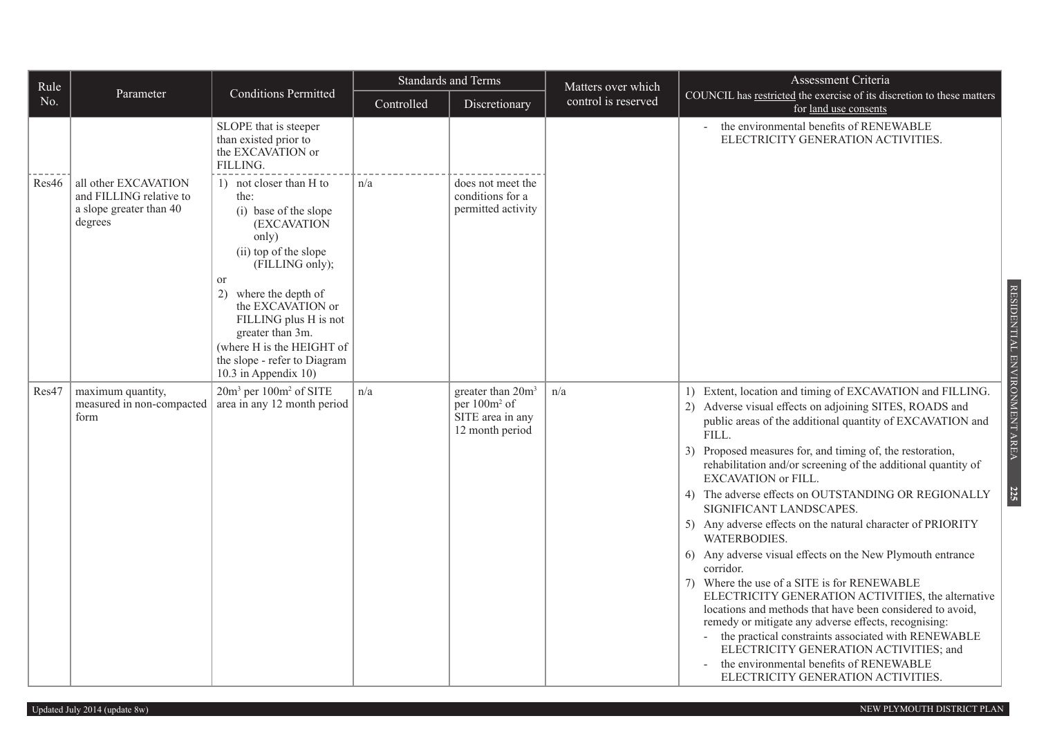| Rule  |                                                                                       |                                                                                                                                                                                                                                                                                                                                     |            | Standards and Terms                                                                              | Matters over which  | Assessment Criteria                                                                                                                                                                                                                                                                                                                                                                                                                                                                                                                                                                                                                                                                                                                                                                                                                                                                                                                                                                                                          |
|-------|---------------------------------------------------------------------------------------|-------------------------------------------------------------------------------------------------------------------------------------------------------------------------------------------------------------------------------------------------------------------------------------------------------------------------------------|------------|--------------------------------------------------------------------------------------------------|---------------------|------------------------------------------------------------------------------------------------------------------------------------------------------------------------------------------------------------------------------------------------------------------------------------------------------------------------------------------------------------------------------------------------------------------------------------------------------------------------------------------------------------------------------------------------------------------------------------------------------------------------------------------------------------------------------------------------------------------------------------------------------------------------------------------------------------------------------------------------------------------------------------------------------------------------------------------------------------------------------------------------------------------------------|
| No.   | Parameter                                                                             | <b>Conditions Permitted</b>                                                                                                                                                                                                                                                                                                         | Controlled | Discretionary                                                                                    | control is reserved | COUNCIL has restricted the exercise of its discretion to these matters<br>for land use consents                                                                                                                                                                                                                                                                                                                                                                                                                                                                                                                                                                                                                                                                                                                                                                                                                                                                                                                              |
|       |                                                                                       | SLOPE that is steeper<br>than existed prior to<br>the EXCAVATION or<br>FILLING.                                                                                                                                                                                                                                                     |            |                                                                                                  |                     | the environmental benefits of RENEWABLE<br>ELECTRICITY GENERATION ACTIVITIES.                                                                                                                                                                                                                                                                                                                                                                                                                                                                                                                                                                                                                                                                                                                                                                                                                                                                                                                                                |
| Res46 | all other EXCAVATION<br>and FILLING relative to<br>a slope greater than 40<br>degrees | 1) not closer than H to<br>the:<br>(i) base of the slope<br>(EXCAVATION<br>only)<br>(ii) top of the slope<br>(FILLING only);<br><sub>or</sub><br>2)<br>where the depth of<br>the EXCAVATION or<br>FILLING plus H is not<br>greater than 3m.<br>(where H is the HEIGHT of<br>the slope - refer to Diagram<br>10.3 in Appendix $10$ ) | n/a        | does not meet the<br>conditions for a<br>permitted activity                                      |                     | RESIDENTIAL ENVIRONMENT AREA                                                                                                                                                                                                                                                                                                                                                                                                                                                                                                                                                                                                                                                                                                                                                                                                                                                                                                                                                                                                 |
| Res47 | maximum quantity,<br>measured in non-compacted<br>form                                | 20m <sup>3</sup> per 100m <sup>2</sup> of SITE<br>area in any 12 month period                                                                                                                                                                                                                                                       | n/a        | greater than 20m <sup>3</sup><br>per 100m <sup>2</sup> of<br>SITE area in any<br>12 month period | n/a                 | 1) Extent, location and timing of EXCAVATION and FILLING.<br>2) Adverse visual effects on adjoining SITES, ROADS and<br>public areas of the additional quantity of EXCAVATION and<br>FILL.<br>3) Proposed measures for, and timing of, the restoration,<br>rehabilitation and/or screening of the additional quantity of<br>EXCAVATION or FILL.<br><b>225</b><br>4) The adverse effects on OUTSTANDING OR REGIONALLY<br>SIGNIFICANT LANDSCAPES.<br>5) Any adverse effects on the natural character of PRIORITY<br><b>WATERBODIES.</b><br>6) Any adverse visual effects on the New Plymouth entrance<br>corridor.<br>7) Where the use of a SITE is for RENEWABLE<br>ELECTRICITY GENERATION ACTIVITIES, the alternative<br>locations and methods that have been considered to avoid,<br>remedy or mitigate any adverse effects, recognising:<br>the practical constraints associated with RENEWABLE<br>ELECTRICITY GENERATION ACTIVITIES; and<br>the environmental benefits of RENEWABLE<br>ELECTRICITY GENERATION ACTIVITIES. |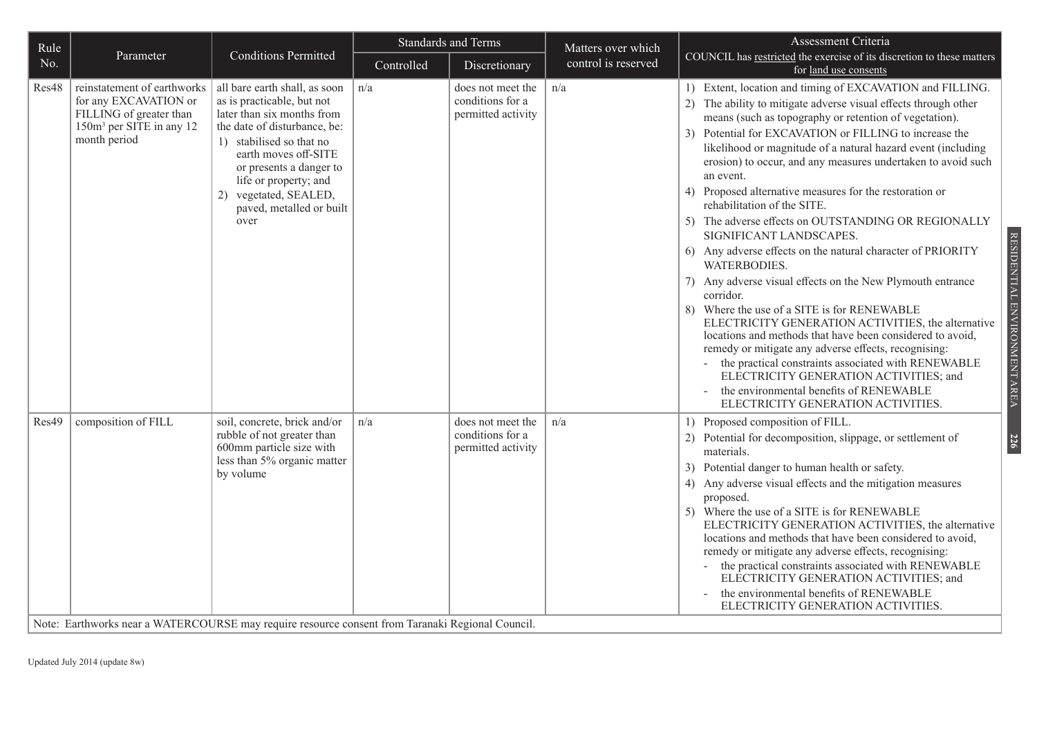| Rule  |                                                                                                                                         |                                                                                                                                                                                                                                                                                                | <b>Standards and Terms</b> |                                                             | Matters over which  | Assessment Criteria                                                                                                                                                                                                                                                                                                                                                                                                                                                                                                                                                                                                                                                                                                                                                                                                                                                                                                                                                                                                                                                                                                                                            |
|-------|-----------------------------------------------------------------------------------------------------------------------------------------|------------------------------------------------------------------------------------------------------------------------------------------------------------------------------------------------------------------------------------------------------------------------------------------------|----------------------------|-------------------------------------------------------------|---------------------|----------------------------------------------------------------------------------------------------------------------------------------------------------------------------------------------------------------------------------------------------------------------------------------------------------------------------------------------------------------------------------------------------------------------------------------------------------------------------------------------------------------------------------------------------------------------------------------------------------------------------------------------------------------------------------------------------------------------------------------------------------------------------------------------------------------------------------------------------------------------------------------------------------------------------------------------------------------------------------------------------------------------------------------------------------------------------------------------------------------------------------------------------------------|
| No.   | Parameter                                                                                                                               | <b>Conditions Permitted</b>                                                                                                                                                                                                                                                                    | Controlled                 | Discretionary                                               | control is reserved | COUNCIL has restricted the exercise of its discretion to these matters<br>for land use consents                                                                                                                                                                                                                                                                                                                                                                                                                                                                                                                                                                                                                                                                                                                                                                                                                                                                                                                                                                                                                                                                |
| Res48 | reinstatement of earthworks<br>for any EXCAVATION or<br>FILLING of greater than<br>150m <sup>3</sup> per SITE in any 12<br>month period | all bare earth shall, as soon<br>as is practicable, but not<br>later than six months from<br>the date of disturbance, be:<br>1) stabilised so that no<br>earth moves off-SITE<br>or presents a danger to<br>life or property; and<br>2) vegetated, SEALED,<br>paved, metalled or built<br>over | n/a                        | does not meet the<br>conditions for a<br>permitted activity | n/a                 | 1) Extent, location and timing of EXCAVATION and FILLING.<br>2) The ability to mitigate adverse visual effects through other<br>means (such as topography or retention of vegetation).<br>Potential for EXCAVATION or FILLING to increase the<br>3 <sup>)</sup><br>likelihood or magnitude of a natural hazard event (including<br>erosion) to occur, and any measures undertaken to avoid such<br>an event.<br>4) Proposed alternative measures for the restoration or<br>rehabilitation of the SITE.<br>5) The adverse effects on OUTSTANDING OR REGIONALLY<br>SIGNIFICANT LANDSCAPES.<br>6) Any adverse effects on the natural character of PRIORITY<br>WATERBODIES.<br>7) Any adverse visual effects on the New Plymouth entrance<br>corridor.<br>8) Where the use of a SITE is for RENEWABLE<br>ELECTRICITY GENERATION ACTIVITIES, the alternative<br>locations and methods that have been considered to avoid,<br>remedy or mitigate any adverse effects, recognising:<br>the practical constraints associated with RENEWABLE<br>ELECTRICITY GENERATION ACTIVITIES; and<br>the environmental benefits of RENEWABLE<br>ELECTRICITY GENERATION ACTIVITIES. |
| Res49 | composition of FILL                                                                                                                     | soil, concrete, brick and/or<br>rubble of not greater than<br>600mm particle size with<br>less than 5% organic matter<br>by volume                                                                                                                                                             | n/a                        | does not meet the<br>conditions for a<br>permitted activity | n/a                 | 1) Proposed composition of FILL.<br>2) Potential for decomposition, slippage, or settlement of<br>materials.<br>3) Potential danger to human health or safety.<br>4) Any adverse visual effects and the mitigation measures<br>proposed.<br>5) Where the use of a SITE is for RENEWABLE<br>ELECTRICITY GENERATION ACTIVITIES, the alternative<br>locations and methods that have been considered to avoid,<br>remedy or mitigate any adverse effects, recognising:<br>the practical constraints associated with RENEWABLE<br>ELECTRICITY GENERATION ACTIVITIES; and<br>the environmental benefits of RENEWABLE<br>ELECTRICITY GENERATION ACTIVITIES.                                                                                                                                                                                                                                                                                                                                                                                                                                                                                                           |

Note: Earthworks near a WATERCOURSE may require resource consent from Taranaki Regional Council.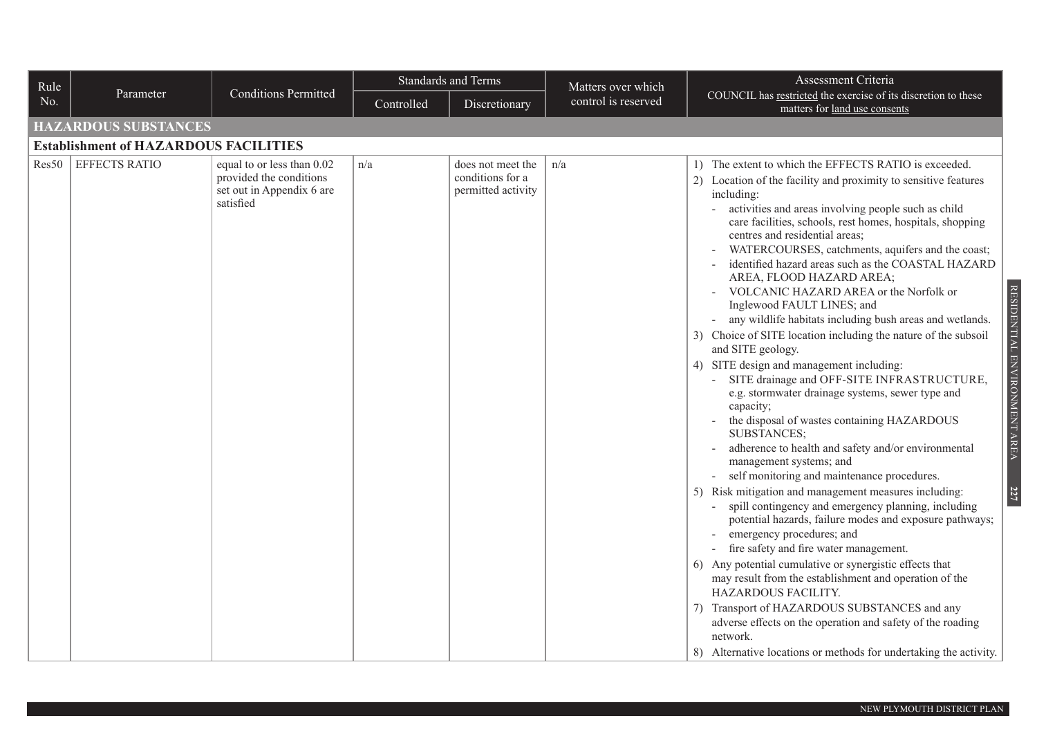| Rule  |                                              |                                                                                                 | <b>Standards and Terms</b> |                                                             | Matters over which  | Assessment Criteria                                                                                                                                                                                                                                                                                                                                                                                                                                                                                                                                                                                                                                                                                                                                                                                                                                                                                                                                                                                                                                                                                                                                                                                                                                                                                                                                                                                                                                                                                                                                                                                                                                          |
|-------|----------------------------------------------|-------------------------------------------------------------------------------------------------|----------------------------|-------------------------------------------------------------|---------------------|--------------------------------------------------------------------------------------------------------------------------------------------------------------------------------------------------------------------------------------------------------------------------------------------------------------------------------------------------------------------------------------------------------------------------------------------------------------------------------------------------------------------------------------------------------------------------------------------------------------------------------------------------------------------------------------------------------------------------------------------------------------------------------------------------------------------------------------------------------------------------------------------------------------------------------------------------------------------------------------------------------------------------------------------------------------------------------------------------------------------------------------------------------------------------------------------------------------------------------------------------------------------------------------------------------------------------------------------------------------------------------------------------------------------------------------------------------------------------------------------------------------------------------------------------------------------------------------------------------------------------------------------------------------|
| No.   | Parameter                                    | <b>Conditions Permitted</b>                                                                     | Controlled                 | Discretionary                                               | control is reserved | COUNCIL has restricted the exercise of its discretion to these<br>matters for land use consents                                                                                                                                                                                                                                                                                                                                                                                                                                                                                                                                                                                                                                                                                                                                                                                                                                                                                                                                                                                                                                                                                                                                                                                                                                                                                                                                                                                                                                                                                                                                                              |
|       | <b>HAZARDOUS SUBSTANCES</b>                  |                                                                                                 |                            |                                                             |                     |                                                                                                                                                                                                                                                                                                                                                                                                                                                                                                                                                                                                                                                                                                                                                                                                                                                                                                                                                                                                                                                                                                                                                                                                                                                                                                                                                                                                                                                                                                                                                                                                                                                              |
|       | <b>Establishment of HAZARDOUS FACILITIES</b> |                                                                                                 |                            |                                                             |                     |                                                                                                                                                                                                                                                                                                                                                                                                                                                                                                                                                                                                                                                                                                                                                                                                                                                                                                                                                                                                                                                                                                                                                                                                                                                                                                                                                                                                                                                                                                                                                                                                                                                              |
| Res50 | <b>EFFECTS RATIO</b>                         | equal to or less than 0.02<br>provided the conditions<br>set out in Appendix 6 are<br>satisfied | n/a                        | does not meet the<br>conditions for a<br>permitted activity | n/a                 | 1) The extent to which the EFFECTS RATIO is exceeded.<br>2) Location of the facility and proximity to sensitive features<br>including:<br>activities and areas involving people such as child<br>care facilities, schools, rest homes, hospitals, shopping<br>centres and residential areas;<br>WATERCOURSES, catchments, aquifers and the coast;<br>identified hazard areas such as the COASTAL HAZARD<br>AREA, FLOOD HAZARD AREA;<br>RESIDENTIAL ENVIRONMENT AREA<br>VOLCANIC HAZARD AREA or the Norfolk or<br>Inglewood FAULT LINES; and<br>any wildlife habitats including bush areas and wetlands.<br>3) Choice of SITE location including the nature of the subsoil<br>and SITE geology.<br>4) SITE design and management including:<br>SITE drainage and OFF-SITE INFRASTRUCTURE,<br>e.g. stormwater drainage systems, sewer type and<br>capacity;<br>the disposal of wastes containing HAZARDOUS<br>SUBSTANCES;<br>adherence to health and safety and/or environmental<br>management systems; and<br>self monitoring and maintenance procedures.<br>227<br>5) Risk mitigation and management measures including:<br>spill contingency and emergency planning, including<br>potential hazards, failure modes and exposure pathways;<br>emergency procedures; and<br>fire safety and fire water management.<br>6) Any potential cumulative or synergistic effects that<br>may result from the establishment and operation of the<br>HAZARDOUS FACILITY.<br>7) Transport of HAZARDOUS SUBSTANCES and any<br>adverse effects on the operation and safety of the roading<br>network.<br>8) Alternative locations or methods for undertaking the activity. |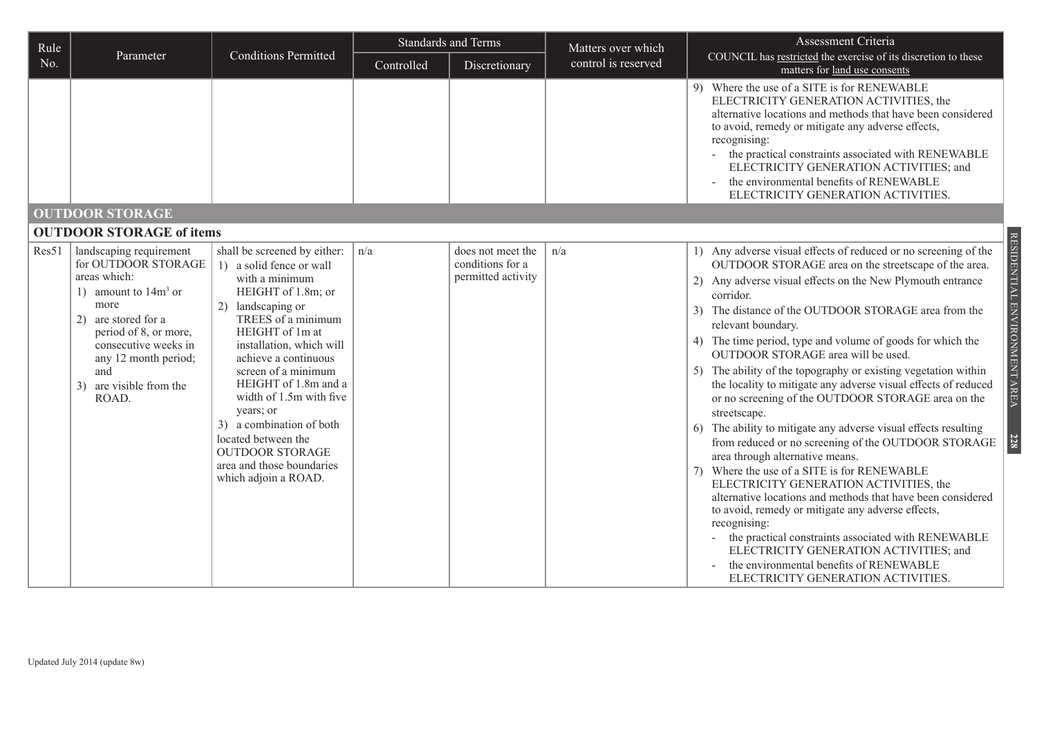| Rule  |                                                                                                                                                                                                                                              |                                                                                                                                                                                                                                                                                                                                                                                                                                             | <b>Standards and Terms</b> |                                                             | Matters over which  | Assessment Criteria                                                                                                                                                                                                                                                                                                                                                                                                                                                                                                                                                                                                                                                                                                                                                                                                                                                                                                                                                                                                                                                                                                                                                                                                         |  |
|-------|----------------------------------------------------------------------------------------------------------------------------------------------------------------------------------------------------------------------------------------------|---------------------------------------------------------------------------------------------------------------------------------------------------------------------------------------------------------------------------------------------------------------------------------------------------------------------------------------------------------------------------------------------------------------------------------------------|----------------------------|-------------------------------------------------------------|---------------------|-----------------------------------------------------------------------------------------------------------------------------------------------------------------------------------------------------------------------------------------------------------------------------------------------------------------------------------------------------------------------------------------------------------------------------------------------------------------------------------------------------------------------------------------------------------------------------------------------------------------------------------------------------------------------------------------------------------------------------------------------------------------------------------------------------------------------------------------------------------------------------------------------------------------------------------------------------------------------------------------------------------------------------------------------------------------------------------------------------------------------------------------------------------------------------------------------------------------------------|--|
| No.   | Parameter                                                                                                                                                                                                                                    | <b>Conditions Permitted</b>                                                                                                                                                                                                                                                                                                                                                                                                                 | Controlled                 | Discretionary                                               | control is reserved | COUNCIL has restricted the exercise of its discretion to these<br>matters for land use consents                                                                                                                                                                                                                                                                                                                                                                                                                                                                                                                                                                                                                                                                                                                                                                                                                                                                                                                                                                                                                                                                                                                             |  |
|       |                                                                                                                                                                                                                                              |                                                                                                                                                                                                                                                                                                                                                                                                                                             |                            |                                                             |                     | 9) Where the use of a SITE is for RENEWABLE<br>ELECTRICITY GENERATION ACTIVITIES, the<br>alternative locations and methods that have been considered<br>to avoid, remedy or mitigate any adverse effects,<br>recognising:<br>the practical constraints associated with RENEWABLE<br>ELECTRICITY GENERATION ACTIVITIES; and<br>the environmental benefits of RENEWABLE<br>ELECTRICITY GENERATION ACTIVITIES.                                                                                                                                                                                                                                                                                                                                                                                                                                                                                                                                                                                                                                                                                                                                                                                                                 |  |
|       | <b>OUTDOOR STORAGE</b>                                                                                                                                                                                                                       |                                                                                                                                                                                                                                                                                                                                                                                                                                             |                            |                                                             |                     |                                                                                                                                                                                                                                                                                                                                                                                                                                                                                                                                                                                                                                                                                                                                                                                                                                                                                                                                                                                                                                                                                                                                                                                                                             |  |
|       | <b>OUTDOOR STORAGE of items</b>                                                                                                                                                                                                              |                                                                                                                                                                                                                                                                                                                                                                                                                                             |                            |                                                             |                     |                                                                                                                                                                                                                                                                                                                                                                                                                                                                                                                                                                                                                                                                                                                                                                                                                                                                                                                                                                                                                                                                                                                                                                                                                             |  |
| Res51 | landscaping requirement<br>for OUTDOOR STORAGE<br>areas which:<br>1) amount to $14m^3$ or<br>more<br>2) are stored for a<br>period of 8, or more,<br>consecutive weeks in<br>any 12 month period;<br>and<br>3) are visible from the<br>ROAD. | shall be screened by either:<br>1) a solid fence or wall<br>with a minimum<br>HEIGHT of 1.8m; or<br>2) landscaping or<br>TREES of a minimum<br>HEIGHT of 1m at<br>installation, which will<br>achieve a continuous<br>screen of a minimum<br>HEIGHT of 1.8m and a<br>width of 1.5m with five<br>years; or<br>3) a combination of both<br>located between the<br><b>OUTDOOR STORAGE</b><br>area and those boundaries<br>which adjoin a ROAD. | n/a                        | does not meet the<br>conditions for a<br>permitted activity | n/a                 | RESIDENTIAL ENVIRONMENT AREA<br>1) Any adverse visual effects of reduced or no screening of the<br>OUTDOOR STORAGE area on the streetscape of the area.<br>2) Any adverse visual effects on the New Plymouth entrance<br>corridor.<br>3) The distance of the OUTDOOR STORAGE area from the<br>relevant boundary.<br>4) The time period, type and volume of goods for which the<br>OUTDOOR STORAGE area will be used.<br>5) The ability of the topography or existing vegetation within<br>the locality to mitigate any adverse visual effects of reduced<br>or no screening of the OUTDOOR STORAGE area on the<br>streetscape.<br>6) The ability to mitigate any adverse visual effects resulting<br>from reduced or no screening of the OUTDOOR STORAGE<br><b>228</b><br>area through alternative means.<br>Where the use of a SITE is for RENEWABLE<br>7)<br>ELECTRICITY GENERATION ACTIVITIES, the<br>alternative locations and methods that have been considered<br>to avoid, remedy or mitigate any adverse effects,<br>recognising:<br>the practical constraints associated with RENEWABLE<br>ELECTRICITY GENERATION ACTIVITIES; and<br>the environmental benefits of RENEWABLE<br>ELECTRICITY GENERATION ACTIVITIES. |  |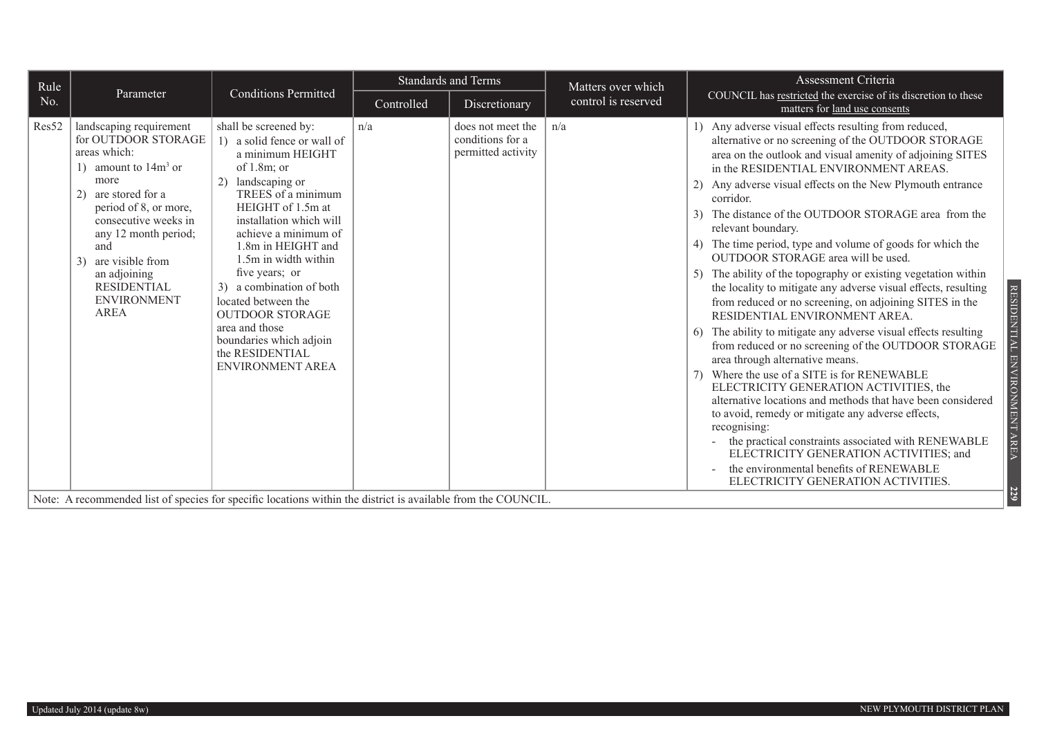| Parameter<br>control is reserved<br>No.<br>Controlled<br>Discretionary<br>matters for land use consents<br>Res52<br>landscaping requirement<br>shall be screened by:<br>n/a<br>n/a<br>1) Any adverse visual effects resulting from reduced,<br>does not meet the<br>for OUTDOOR STORAGE<br>conditions for a<br>1) a solid fence or wall of<br>areas which:<br>permitted activity<br>a minimum HEIGHT<br>1) amount to $14m3$ or<br>of $1.8m$ ; or<br>in the RESIDENTIAL ENVIRONMENT AREAS.                                                                                                                                                                                                                                                                                                                                                                                                                                                                                                                                                                                                | Rule | <b>Conditions Permitted</b> | <b>Standards and Terms</b> |  | Matters over which | Assessment Criteria                                                                                                                                                                                                                                                                                                                                                                                                                                                                                                                                                                                                                                                                                                                                                                    |
|------------------------------------------------------------------------------------------------------------------------------------------------------------------------------------------------------------------------------------------------------------------------------------------------------------------------------------------------------------------------------------------------------------------------------------------------------------------------------------------------------------------------------------------------------------------------------------------------------------------------------------------------------------------------------------------------------------------------------------------------------------------------------------------------------------------------------------------------------------------------------------------------------------------------------------------------------------------------------------------------------------------------------------------------------------------------------------------|------|-----------------------------|----------------------------|--|--------------------|----------------------------------------------------------------------------------------------------------------------------------------------------------------------------------------------------------------------------------------------------------------------------------------------------------------------------------------------------------------------------------------------------------------------------------------------------------------------------------------------------------------------------------------------------------------------------------------------------------------------------------------------------------------------------------------------------------------------------------------------------------------------------------------|
|                                                                                                                                                                                                                                                                                                                                                                                                                                                                                                                                                                                                                                                                                                                                                                                                                                                                                                                                                                                                                                                                                          |      |                             |                            |  |                    | COUNCIL has restricted the exercise of its discretion to these                                                                                                                                                                                                                                                                                                                                                                                                                                                                                                                                                                                                                                                                                                                         |
| more<br>2) landscaping or<br>TREES of a minimum<br>2) are stored for a<br>corridor.<br>HEIGHT of 1.5m at<br>period of 8, or more,<br>consecutive weeks in<br>installation which will<br>relevant boundary.<br>achieve a minimum of<br>any 12 month period;<br>1.8m in HEIGHT and<br>and<br>OUTDOOR STORAGE area will be used.<br>1.5m in width within<br>3) are visible from<br>five years; or<br>an adjoining<br>5)<br><b>RESIDENTIAL</b><br>3) a combination of both<br><b>ENVIRONMENT</b><br>located between the<br><b>AREA</b><br><b>OUTDOOR STORAGE</b><br>RESIDENTIAL ENVIRONMENT AREA.<br>area and those<br>boundaries which adjoin<br>the RESIDENTIAL<br>area through alternative means.<br><b>ENVIRONMENT AREA</b><br>Where the use of a SITE is for RENEWABLE<br>ELECTRICITY GENERATION ACTIVITIES, the<br>to avoid, remedy or mitigate any adverse effects,<br>recognising:<br>the environmental benefits of RENEWABLE<br>ELECTRICITY GENERATION ACTIVITIES.<br>Note: A recommended list of species for specific locations within the district is available from the COUNCIL. |      |                             |                            |  |                    | alternative or no screening of the OUTDOOR STORAGE<br>area on the outlook and visual amenity of adjoining SITES<br>2) Any adverse visual effects on the New Plymouth entrance<br>3) The distance of the OUTDOOR STORAGE area from the<br>4) The time period, type and volume of goods for which the<br>The ability of the topography or existing vegetation within<br>the locality to mitigate any adverse visual effects, resulting<br>from reduced or no screening, on adjoining SITES in the<br>The ability to mitigate any adverse visual effects resulting<br>from reduced or no screening of the OUTDOOR STORAGE<br>alternative locations and methods that have been considered<br>the practical constraints associated with RENEWABLE<br>ELECTRICITY GENERATION ACTIVITIES; and |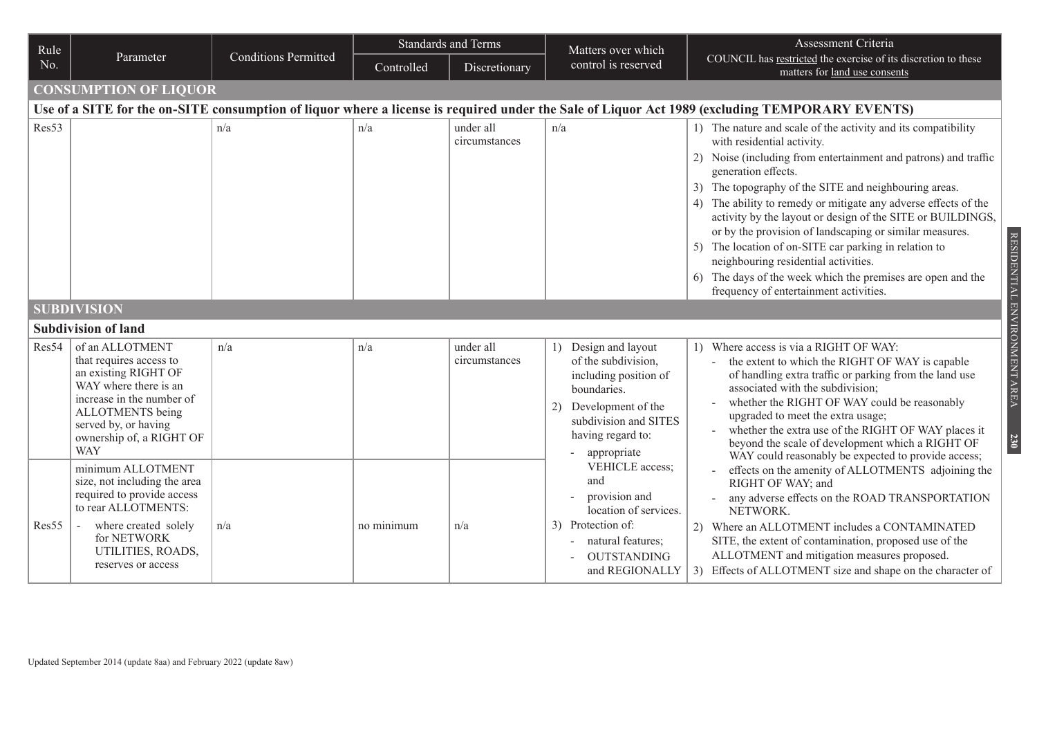| Rule  |                                                                                                                                                                                                                |                             | <b>Standards and Terms</b> |                            | Matters over which                                                                                                                                                        | Assessment Criteria                                                                                                                                                                                                                                                                                                                                                                                                                                                                                                                                                                                                                                  |  |  |  |
|-------|----------------------------------------------------------------------------------------------------------------------------------------------------------------------------------------------------------------|-----------------------------|----------------------------|----------------------------|---------------------------------------------------------------------------------------------------------------------------------------------------------------------------|------------------------------------------------------------------------------------------------------------------------------------------------------------------------------------------------------------------------------------------------------------------------------------------------------------------------------------------------------------------------------------------------------------------------------------------------------------------------------------------------------------------------------------------------------------------------------------------------------------------------------------------------------|--|--|--|
| No.   | Parameter                                                                                                                                                                                                      | <b>Conditions Permitted</b> | Controlled                 | Discretionary              | control is reserved                                                                                                                                                       | COUNCIL has restricted the exercise of its discretion to these<br>matters for land use consents                                                                                                                                                                                                                                                                                                                                                                                                                                                                                                                                                      |  |  |  |
|       | <b>CONSUMPTION OF LIQUOR</b>                                                                                                                                                                                   |                             |                            |                            |                                                                                                                                                                           |                                                                                                                                                                                                                                                                                                                                                                                                                                                                                                                                                                                                                                                      |  |  |  |
|       |                                                                                                                                                                                                                |                             |                            |                            |                                                                                                                                                                           | Use of a SITE for the on-SITE consumption of liquor where a license is required under the Sale of Liquor Act 1989 (excluding TEMPORARY EVENTS)                                                                                                                                                                                                                                                                                                                                                                                                                                                                                                       |  |  |  |
| Res53 |                                                                                                                                                                                                                | n/a                         | n/a                        | under all<br>circumstances | n/a                                                                                                                                                                       | 1) The nature and scale of the activity and its compatibility<br>with residential activity.<br>2) Noise (including from entertainment and patrons) and traffic<br>generation effects.<br>3) The topography of the SITE and neighbouring areas.<br>4) The ability to remedy or mitigate any adverse effects of the<br>activity by the layout or design of the SITE or BUILDINGS,<br>or by the provision of landscaping or similar measures.<br>5) The location of on-SITE car parking in relation to<br>neighbouring residential activities.<br>6) The days of the week which the premises are open and the<br>frequency of entertainment activities. |  |  |  |
|       | <b>SUBDIVISION</b>                                                                                                                                                                                             |                             |                            |                            |                                                                                                                                                                           |                                                                                                                                                                                                                                                                                                                                                                                                                                                                                                                                                                                                                                                      |  |  |  |
|       | <b>Subdivision of land</b>                                                                                                                                                                                     |                             |                            |                            |                                                                                                                                                                           |                                                                                                                                                                                                                                                                                                                                                                                                                                                                                                                                                                                                                                                      |  |  |  |
| Res54 | of an ALLOTMENT<br>that requires access to<br>an existing RIGHT OF<br>WAY where there is an<br>increase in the number of<br>ALLOTMENTS being<br>served by, or having<br>ownership of, a RIGHT OF<br><b>WAY</b> | n/a                         | n/a                        | under all<br>circumstances | 1) Design and layout<br>of the subdivision,<br>including position of<br>boundaries.<br>2) Development of the<br>subdivision and SITES<br>having regard to:<br>appropriate | 1) Where access is via a RIGHT OF WAY:<br>the extent to which the RIGHT OF WAY is capable<br>of handling extra traffic or parking from the land use<br>associated with the subdivision;<br>whether the RIGHT OF WAY could be reasonably<br>upgraded to meet the extra usage;<br>whether the extra use of the RIGHT OF WAY places it<br>beyond the scale of development which a RIGHT OF<br>WAY could reasonably be expected to provide access;                                                                                                                                                                                                       |  |  |  |
| Res55 | minimum ALLOTMENT<br>size, not including the area<br>required to provide access<br>to rear ALLOTMENTS:<br>where created solely<br>for NETWORK<br>UTILITIES, ROADS,<br>reserves or access                       | n/a                         | no minimum                 | n/a                        | VEHICLE access;<br>and<br>provision and<br>location of services.<br>3) Protection of:<br>natural features;<br><b>OUTSTANDING</b><br>and REGIONALLY                        | effects on the amenity of ALLOTMENTS adjoining the<br>RIGHT OF WAY; and<br>any adverse effects on the ROAD TRANSPORTATION<br>NETWORK.<br>2) Where an ALLOTMENT includes a CONTAMINATED<br>SITE, the extent of contamination, proposed use of the<br>ALLOTMENT and mitigation measures proposed.<br>3) Effects of ALLOTMENT size and shape on the character of                                                                                                                                                                                                                                                                                        |  |  |  |

Updated September 2014 (update 8aa) and February 2022 (update 8aw)

RESIDENTIAL ENVIRONMENT AREA RESIDENTIAL ENVIRONMENT AREA **230**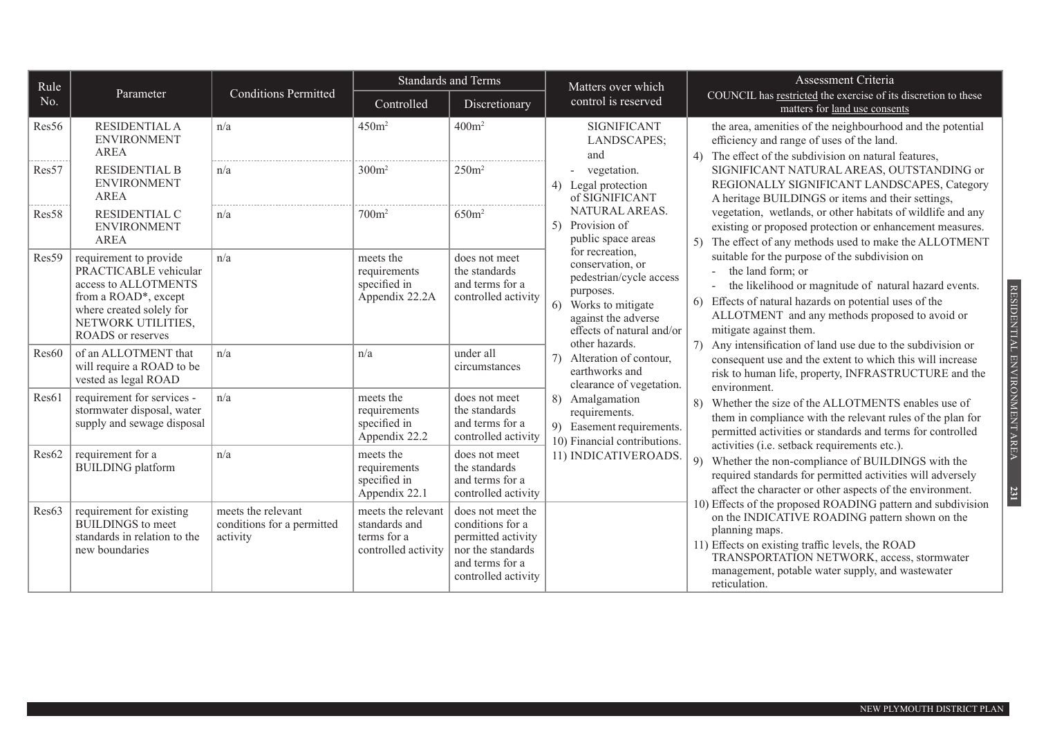| Rule  |                                                                                                                                                                               |                                                              | <b>Standards and Terms</b>                                                |                                                                                                                            | Matters over which                                                                                                                                                                                                       | Assessment Criteria                                                                                                                                                                                                                                                                                                                                                                |  |
|-------|-------------------------------------------------------------------------------------------------------------------------------------------------------------------------------|--------------------------------------------------------------|---------------------------------------------------------------------------|----------------------------------------------------------------------------------------------------------------------------|--------------------------------------------------------------------------------------------------------------------------------------------------------------------------------------------------------------------------|------------------------------------------------------------------------------------------------------------------------------------------------------------------------------------------------------------------------------------------------------------------------------------------------------------------------------------------------------------------------------------|--|
| No.   | Parameter                                                                                                                                                                     | <b>Conditions Permitted</b>                                  | Controlled                                                                | Discretionary                                                                                                              | control is reserved                                                                                                                                                                                                      | COUNCIL has restricted the exercise of its discretion to these<br>matters for land use consents                                                                                                                                                                                                                                                                                    |  |
| Res56 | <b>RESIDENTIAL A</b><br><b>ENVIRONMENT</b><br>AREA                                                                                                                            | n/a                                                          | 450m <sup>2</sup>                                                         | 400m <sup>2</sup>                                                                                                          | <b>SIGNIFICANT</b><br>LANDSCAPES;<br>and                                                                                                                                                                                 | the area, amenities of the neighbourhood and the potential<br>efficiency and range of uses of the land.<br>4) The effect of the subdivision on natural features,                                                                                                                                                                                                                   |  |
| Res57 | <b>RESIDENTIAL B</b><br><b>ENVIRONMENT</b><br><b>AREA</b>                                                                                                                     | n/a                                                          | $300m^2$                                                                  | $250m^2$                                                                                                                   | - vegetation.<br>4) Legal protection<br>of SIGNIFICANT                                                                                                                                                                   | SIGNIFICANT NATURAL AREAS, OUTSTANDING or<br>REGIONALLY SIGNIFICANT LANDSCAPES, Category<br>A heritage BUILDINGS or items and their settings,                                                                                                                                                                                                                                      |  |
| Res58 | RESIDENTIAL C<br><b>ENVIRONMENT</b><br><b>AREA</b>                                                                                                                            | n/a                                                          | 700m <sup>2</sup>                                                         | 650m <sup>2</sup>                                                                                                          | NATURAL AREAS.<br>5) Provision of<br>public space areas                                                                                                                                                                  | vegetation, wetlands, or other habitats of wildlife and any<br>existing or proposed protection or enhancement measures.<br>The effect of any methods used to make the ALLOTMENT                                                                                                                                                                                                    |  |
| Res59 | requirement to provide<br>PRACTICABLE vehicular<br>access to ALLOTMENTS<br>from a ROAD*, except<br>where created solely for<br>NETWORK UTILITIES,<br><b>ROADS</b> or reserves | n/a                                                          | meets the<br>requirements<br>specified in<br>Appendix 22.2A               | does not meet<br>the standards<br>and terms for a<br>controlled activity                                                   | for recreation.<br>conservation, or<br>pedestrian/cycle access<br>purposes.<br>6) Works to mitigate<br>against the adverse<br>effects of natural and/or                                                                  | suitable for the purpose of the subdivision on<br>the land form; or<br>the likelihood or magnitude of natural hazard events.<br>6) Effects of natural hazards on potential uses of the<br>ALLOTMENT and any methods proposed to avoid or<br>mitigate against them.                                                                                                                 |  |
| Res60 | of an ALLOTMENT that<br>will require a ROAD to be<br>vested as legal ROAD                                                                                                     | n/a                                                          | n/a                                                                       | under all<br>circumstances                                                                                                 | other hazards.<br>7) Alteration of contour,<br>earthworks and<br>clearance of vegetation.<br>8) Amalgamation<br>8)<br>requirements.<br>9) Easement requirements.<br>10) Financial contributions.<br>11) INDICATIVEROADS. | 7) Any intensification of land use due to the subdivision or<br>consequent use and the extent to which this will increase<br>risk to human life, property, INFRASTRUCTURE and the<br>environment.<br>Whether the size of the ALLOTMENTS enables use of<br>them in compliance with the relevant rules of the plan for<br>permitted activities or standards and terms for controlled |  |
| Res61 | requirement for services -<br>stormwater disposal, water<br>supply and sewage disposal                                                                                        | n/a                                                          | meets the<br>requirements<br>specified in<br>Appendix 22.2                | does not meet<br>the standards<br>and terms for a<br>controlled activity                                                   |                                                                                                                                                                                                                          |                                                                                                                                                                                                                                                                                                                                                                                    |  |
| Res62 | requirement for a<br><b>BUILDING</b> platform                                                                                                                                 | n/a                                                          | meets the<br>requirements<br>specified in<br>Appendix 22.1                | does not meet<br>the standards<br>and terms for a<br>controlled activity                                                   |                                                                                                                                                                                                                          | activities (i.e. setback requirements etc.).<br>9) Whether the non-compliance of BUILDINGS with the<br>required standards for permitted activities will adversely<br>affect the character or other aspects of the environment.                                                                                                                                                     |  |
| Res63 | requirement for existing<br><b>BUILDINGS</b> to meet<br>standards in relation to the<br>new boundaries                                                                        | meets the relevant<br>conditions for a permitted<br>activity | meets the relevant<br>standards and<br>terms for a<br>controlled activity | does not meet the<br>conditions for a<br>permitted activity<br>nor the standards<br>and terms for a<br>controlled activity |                                                                                                                                                                                                                          | 10) Effects of the proposed ROADING pattern and subdivision<br>on the INDICATIVE ROADING pattern shown on the<br>planning maps.<br>11) Effects on existing traffic levels, the ROAD<br>TRANSPORTATION NETWORK, access, stormwater<br>management, potable water supply, and wastewater<br>reticulation.                                                                             |  |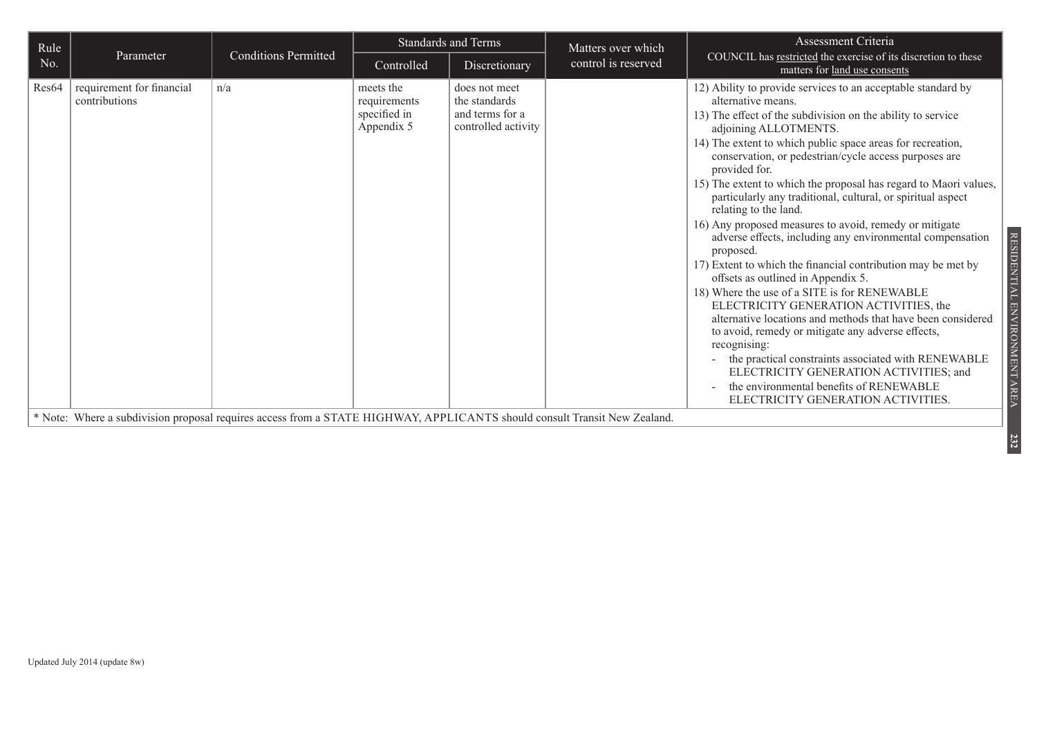| Rule  |                                            |                                                                                                                           | <b>Standards and Terms</b>                              |                                                                          | Matters over which  | Assessment Criteria                                                                                                                                                                                                                                                                                                                                                                                                                                                                                                                                                                                                                                                                                                                                                                                                                                                                                                                                                                                                                                                                                                                                                         |
|-------|--------------------------------------------|---------------------------------------------------------------------------------------------------------------------------|---------------------------------------------------------|--------------------------------------------------------------------------|---------------------|-----------------------------------------------------------------------------------------------------------------------------------------------------------------------------------------------------------------------------------------------------------------------------------------------------------------------------------------------------------------------------------------------------------------------------------------------------------------------------------------------------------------------------------------------------------------------------------------------------------------------------------------------------------------------------------------------------------------------------------------------------------------------------------------------------------------------------------------------------------------------------------------------------------------------------------------------------------------------------------------------------------------------------------------------------------------------------------------------------------------------------------------------------------------------------|
| No.   | Parameter                                  | <b>Conditions Permitted</b>                                                                                               | Controlled                                              | Discretionary                                                            | control is reserved | COUNCIL has restricted the exercise of its discretion to these<br>matters for land use consents                                                                                                                                                                                                                                                                                                                                                                                                                                                                                                                                                                                                                                                                                                                                                                                                                                                                                                                                                                                                                                                                             |
| Res64 | requirement for financial<br>contributions | n/a                                                                                                                       | meets the<br>requirements<br>specified in<br>Appendix 5 | does not meet<br>the standards<br>and terms for a<br>controlled activity |                     | 12) Ability to provide services to an acceptable standard by<br>alternative means.<br>13) The effect of the subdivision on the ability to service<br>adjoining ALLOTMENTS.<br>14) The extent to which public space areas for recreation,<br>conservation, or pedestrian/cycle access purposes are<br>provided for.<br>15) The extent to which the proposal has regard to Maori values,<br>particularly any traditional, cultural, or spiritual aspect<br>relating to the land.<br>16) Any proposed measures to avoid, remedy or mitigate<br>RESIDENTIAL<br>adverse effects, including any environmental compensation<br>proposed.<br>17) Extent to which the financial contribution may be met by<br>offsets as outlined in Appendix 5.<br>18) Where the use of a SITE is for RENEWABLE<br>ELECTRICITY GENERATION ACTIVITIES, the<br>ENVIRONMENT AREA<br>alternative locations and methods that have been considered<br>to avoid, remedy or mitigate any adverse effects,<br>recognising:<br>the practical constraints associated with RENEWABLE<br>ELECTRICITY GENERATION ACTIVITIES; and<br>the environmental benefits of RENEWABLE<br>ELECTRICITY GENERATION ACTIVITIES. |
|       |                                            | * Note: Where a subdivision proposal requires access from a STATE HIGHWAY, APPLICANTS should consult Transit New Zealand. |                                                         |                                                                          |                     |                                                                                                                                                                                                                                                                                                                                                                                                                                                                                                                                                                                                                                                                                                                                                                                                                                                                                                                                                                                                                                                                                                                                                                             |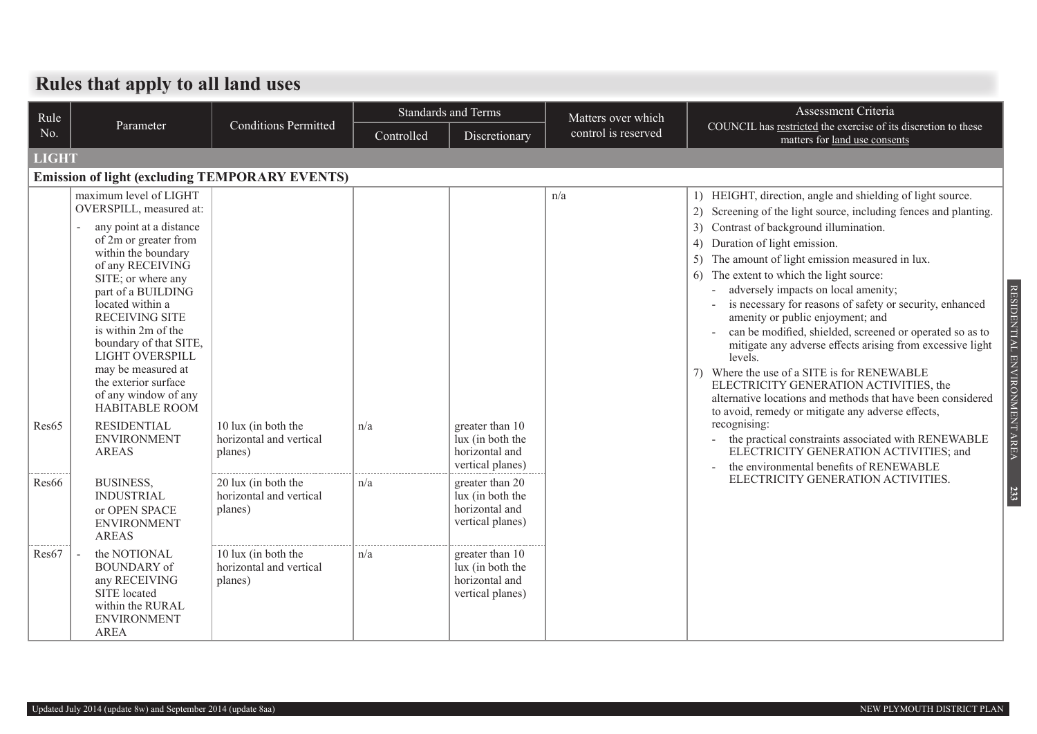#### **Rules that apply to all land uses**

| Rule         |                                                                                                                                                                                                                                                                                                                                                                                                                                                          |                                                                      |            | <b>Standards and Terms</b>                                                                    | Matters over which  | Assessment Criteria                                                                                                                                                                                                                                                                                                                                                                                                                                                                                                                                                                                                                                                                                                                                                                                                                                                                                                                                                                   |
|--------------|----------------------------------------------------------------------------------------------------------------------------------------------------------------------------------------------------------------------------------------------------------------------------------------------------------------------------------------------------------------------------------------------------------------------------------------------------------|----------------------------------------------------------------------|------------|-----------------------------------------------------------------------------------------------|---------------------|---------------------------------------------------------------------------------------------------------------------------------------------------------------------------------------------------------------------------------------------------------------------------------------------------------------------------------------------------------------------------------------------------------------------------------------------------------------------------------------------------------------------------------------------------------------------------------------------------------------------------------------------------------------------------------------------------------------------------------------------------------------------------------------------------------------------------------------------------------------------------------------------------------------------------------------------------------------------------------------|
| No.          | Parameter                                                                                                                                                                                                                                                                                                                                                                                                                                                | <b>Conditions Permitted</b>                                          | Controlled | Discretionary                                                                                 | control is reserved | COUNCIL has restricted the exercise of its discretion to these<br>matters for land use consents                                                                                                                                                                                                                                                                                                                                                                                                                                                                                                                                                                                                                                                                                                                                                                                                                                                                                       |
| <b>LIGHT</b> |                                                                                                                                                                                                                                                                                                                                                                                                                                                          |                                                                      |            |                                                                                               |                     |                                                                                                                                                                                                                                                                                                                                                                                                                                                                                                                                                                                                                                                                                                                                                                                                                                                                                                                                                                                       |
|              | <b>Emission of light (excluding TEMPORARY EVENTS)</b>                                                                                                                                                                                                                                                                                                                                                                                                    |                                                                      |            |                                                                                               |                     |                                                                                                                                                                                                                                                                                                                                                                                                                                                                                                                                                                                                                                                                                                                                                                                                                                                                                                                                                                                       |
| Res65        | maximum level of LIGHT<br>OVERSPILL, measured at:<br>any point at a distance<br>of 2m or greater from<br>within the boundary<br>of any RECEIVING<br>SITE; or where any<br>part of a BUILDING<br>located within a<br><b>RECEIVING SITE</b><br>is within 2m of the<br>boundary of that SITE,<br>LIGHT OVERSPILL<br>may be measured at<br>the exterior surface<br>of any window of any<br><b>HABITABLE ROOM</b><br><b>RESIDENTIAL</b><br><b>ENVIRONMENT</b> | 10 lux (in both the<br>horizontal and vertical                       | n/a        | greater than 10<br>lux (in both the<br>horizontal and                                         | n/a                 | 1) HEIGHT, direction, angle and shielding of light source.<br>2) Screening of the light source, including fences and planting.<br>Contrast of background illumination.<br>3)<br>Duration of light emission.<br>4)<br>The amount of light emission measured in lux.<br>The extent to which the light source:<br>6<br>RESIDENTIAL ENVIRONMENT AREA<br>adversely impacts on local amenity;<br>is necessary for reasons of safety or security, enhanced<br>amenity or public enjoyment; and<br>can be modified, shielded, screened or operated so as to<br>mitigate any adverse effects arising from excessive light<br>levels.<br>7) Where the use of a SITE is for RENEWABLE<br>ELECTRICITY GENERATION ACTIVITIES, the<br>alternative locations and methods that have been considered<br>to avoid, remedy or mitigate any adverse effects,<br>recognising:<br>the practical constraints associated with RENEWABLE<br>$\overline{\phantom{a}}$<br>ELECTRICITY GENERATION ACTIVITIES; and |
| Res66        | <b>AREAS</b><br><b>BUSINESS,</b><br><b>INDUSTRIAL</b><br>or OPEN SPACE<br><b>ENVIRONMENT</b>                                                                                                                                                                                                                                                                                                                                                             | planes)<br>20 lux (in both the<br>horizontal and vertical<br>planes) | n/a        | vertical planes)<br>greater than 20<br>lux (in both the<br>horizontal and<br>vertical planes) |                     | the environmental benefits of RENEWABLE<br>ELECTRICITY GENERATION ACTIVITIES.<br>233                                                                                                                                                                                                                                                                                                                                                                                                                                                                                                                                                                                                                                                                                                                                                                                                                                                                                                  |
| Res67        | <b>AREAS</b><br>the NOTIONAL<br><b>BOUNDARY</b> of<br>any RECEIVING<br>SITE located<br>within the RURAL<br><b>ENVIRONMENT</b><br><b>AREA</b>                                                                                                                                                                                                                                                                                                             | 10 lux (in both the<br>horizontal and vertical<br>planes)            | n/a        | greater than 10<br>lux (in both the<br>horizontal and<br>vertical planes)                     |                     |                                                                                                                                                                                                                                                                                                                                                                                                                                                                                                                                                                                                                                                                                                                                                                                                                                                                                                                                                                                       |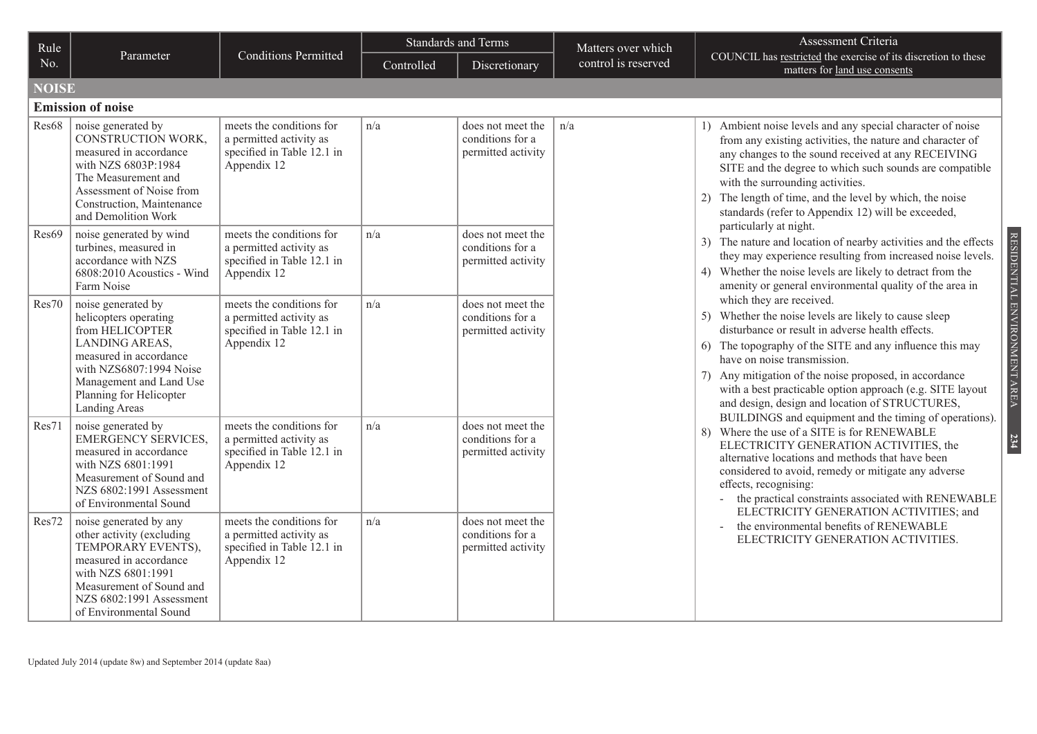| Rule         |                                                                                                                                                                                                              |                                                                                                  |            | <b>Standards and Terms</b>                                  | Matters over which  | Assessment Criteria                                                                                                                                                                                                                                                                                                                                                                                         |
|--------------|--------------------------------------------------------------------------------------------------------------------------------------------------------------------------------------------------------------|--------------------------------------------------------------------------------------------------|------------|-------------------------------------------------------------|---------------------|-------------------------------------------------------------------------------------------------------------------------------------------------------------------------------------------------------------------------------------------------------------------------------------------------------------------------------------------------------------------------------------------------------------|
| No.          | Parameter                                                                                                                                                                                                    | <b>Conditions Permitted</b>                                                                      | Controlled | Discretionary                                               | control is reserved | COUNCIL has restricted the exercise of its discretion to these<br>matters for land use consents                                                                                                                                                                                                                                                                                                             |
| <b>NOISE</b> |                                                                                                                                                                                                              |                                                                                                  |            |                                                             |                     |                                                                                                                                                                                                                                                                                                                                                                                                             |
|              | <b>Emission of noise</b>                                                                                                                                                                                     |                                                                                                  |            |                                                             |                     |                                                                                                                                                                                                                                                                                                                                                                                                             |
| Res68        | noise generated by<br>CONSTRUCTION WORK,<br>measured in accordance<br>with NZS 6803P:1984<br>The Measurement and<br>Assessment of Noise from<br>Construction, Maintenance<br>and Demolition Work             | meets the conditions for<br>a permitted activity as<br>specified in Table 12.1 in<br>Appendix 12 | n/a        | does not meet the<br>conditions for a<br>permitted activity | n/a                 | 1) Ambient noise levels and any special character of noise<br>from any existing activities, the nature and character of<br>any changes to the sound received at any RECEIVING<br>SITE and the degree to which such sounds are compatible<br>with the surrounding activities.<br>2) The length of time, and the level by which, the noise<br>standards (refer to Appendix 12) will be exceeded,              |
| Res69        | noise generated by wind<br>turbines, measured in<br>accordance with NZS<br>6808:2010 Acoustics - Wind<br>Farm Noise                                                                                          | meets the conditions for<br>a permitted activity as<br>specified in Table 12.1 in<br>Appendix 12 | n/a        | does not meet the<br>conditions for a<br>permitted activity |                     | particularly at night.<br>3) The nature and location of nearby activities and the effects<br>they may experience resulting from increased noise levels.<br>4) Whether the noise levels are likely to detract from the<br>amenity or general environmental quality of the area in                                                                                                                            |
| Res70        | noise generated by<br>helicopters operating<br>from HELICOPTER<br>LANDING AREAS,<br>measured in accordance<br>with NZS6807:1994 Noise<br>Management and Land Use<br>Planning for Helicopter<br>Landing Areas | meets the conditions for<br>a permitted activity as<br>specified in Table 12.1 in<br>Appendix 12 | n/a        | does not meet the<br>conditions for a<br>permitted activity |                     | which they are received.<br>5) Whether the noise levels are likely to cause sleep<br>disturbance or result in adverse health effects.<br>6) The topography of the SITE and any influence this may<br>have on noise transmission.<br>7) Any mitigation of the noise proposed, in accordance<br>with a best practicable option approach (e.g. SITE layout<br>and design, design and location of STRUCTURES,   |
| Res71        | noise generated by<br><b>EMERGENCY SERVICES.</b><br>measured in accordance<br>with NZS 6801:1991<br>Measurement of Sound and<br>NZS 6802:1991 Assessment<br>of Environmental Sound                           | meets the conditions for<br>a permitted activity as<br>specified in Table 12.1 in<br>Appendix 12 | n/a        | does not meet the<br>conditions for a<br>permitted activity |                     | BUILDINGS and equipment and the timing of operations).<br>8) Where the use of a SITE is for RENEWABLE<br>ELECTRICITY GENERATION ACTIVITIES, the<br>alternative locations and methods that have been<br>considered to avoid, remedy or mitigate any adverse<br>effects, recognising:<br>the practical constraints associated with RENEWABLE<br>$\omega_{\rm{eff}}$<br>ELECTRICITY GENERATION ACTIVITIES; and |
| Res72        | noise generated by any<br>other activity (excluding<br>TEMPORARY EVENTS),<br>measured in accordance<br>with NZS 6801:1991<br>Measurement of Sound and<br>NZS 6802:1991 Assessment<br>of Environmental Sound  | meets the conditions for<br>a permitted activity as<br>specified in Table 12.1 in<br>Appendix 12 | n/a        | does not meet the<br>conditions for a<br>permitted activity |                     | the environmental benefits of RENEWABLE<br>ELECTRICITY GENERATION ACTIVITIES.                                                                                                                                                                                                                                                                                                                               |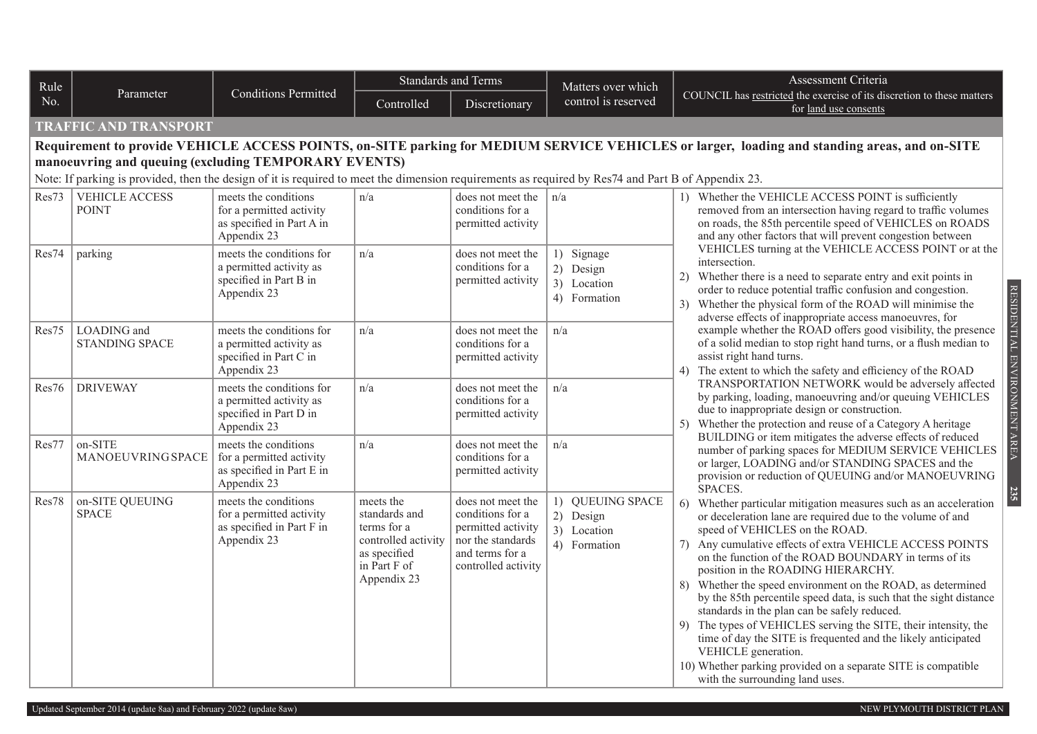| Rule  |                                       |                                                                                                                                                                                                            | <b>Standards and Terms</b>                                                                                      |                                                                                                                            | Matters over which                                           | Assessment Criteria                                                                                                                                                                                                                                                                                                                                                                                                                                                                                                                                                                                                                                                                                                                                                                                 |
|-------|---------------------------------------|------------------------------------------------------------------------------------------------------------------------------------------------------------------------------------------------------------|-----------------------------------------------------------------------------------------------------------------|----------------------------------------------------------------------------------------------------------------------------|--------------------------------------------------------------|-----------------------------------------------------------------------------------------------------------------------------------------------------------------------------------------------------------------------------------------------------------------------------------------------------------------------------------------------------------------------------------------------------------------------------------------------------------------------------------------------------------------------------------------------------------------------------------------------------------------------------------------------------------------------------------------------------------------------------------------------------------------------------------------------------|
| No.   | Parameter                             | <b>Conditions Permitted</b>                                                                                                                                                                                | Controlled                                                                                                      | Discretionary                                                                                                              | control is reserved                                          | COUNCIL has restricted the exercise of its discretion to these matters<br>for land use consents                                                                                                                                                                                                                                                                                                                                                                                                                                                                                                                                                                                                                                                                                                     |
|       | <b>TRAFFIC AND TRANSPORT</b>          |                                                                                                                                                                                                            |                                                                                                                 |                                                                                                                            |                                                              |                                                                                                                                                                                                                                                                                                                                                                                                                                                                                                                                                                                                                                                                                                                                                                                                     |
|       |                                       |                                                                                                                                                                                                            |                                                                                                                 |                                                                                                                            |                                                              | Requirement to provide VEHICLE ACCESS POINTS, on-SITE parking for MEDIUM SERVICE VEHICLES or larger, loading and standing areas, and on-SITE                                                                                                                                                                                                                                                                                                                                                                                                                                                                                                                                                                                                                                                        |
|       |                                       | manoeuvring and queuing (excluding TEMPORARY EVENTS)<br>Note: If parking is provided, then the design of it is required to meet the dimension requirements as required by Res74 and Part B of Appendix 23. |                                                                                                                 |                                                                                                                            |                                                              |                                                                                                                                                                                                                                                                                                                                                                                                                                                                                                                                                                                                                                                                                                                                                                                                     |
| Res73 | <b>VEHICLE ACCESS</b><br><b>POINT</b> | meets the conditions<br>for a permitted activity<br>as specified in Part A in<br>Appendix 23                                                                                                               | n/a                                                                                                             | does not meet the<br>conditions for a<br>permitted activity                                                                | n/a                                                          | 1) Whether the VEHICLE ACCESS POINT is sufficiently<br>removed from an intersection having regard to traffic volumes<br>on roads, the 85th percentile speed of VEHICLES on ROADS<br>and any other factors that will prevent congestion between                                                                                                                                                                                                                                                                                                                                                                                                                                                                                                                                                      |
| Res74 | parking                               | meets the conditions for<br>a permitted activity as<br>specified in Part B in<br>Appendix 23                                                                                                               | n/a                                                                                                             | does not meet the<br>conditions for a<br>permitted activity                                                                | 1) Signage<br>2) Design<br>3) Location<br>4) Formation       | VEHICLES turning at the VEHICLE ACCESS POINT or at the<br>intersection.<br>Whether there is a need to separate entry and exit points in<br>2)<br>order to reduce potential traffic confusion and congestion.<br>Whether the physical form of the ROAD will minimise the<br>3)<br>adverse effects of inappropriate access manoeuvres, for                                                                                                                                                                                                                                                                                                                                                                                                                                                            |
| Res75 | LOADING and<br><b>STANDING SPACE</b>  | meets the conditions for<br>a permitted activity as<br>specified in Part C in<br>Appendix 23                                                                                                               | n/a                                                                                                             | does not meet the<br>conditions for a<br>permitted activity                                                                | n/a                                                          | RESIDENTIAL ENVIRONMENT AREA<br>example whether the ROAD offers good visibility, the presence<br>of a solid median to stop right hand turns, or a flush median to<br>assist right hand turns.<br>The extent to which the safety and efficiency of the ROAD<br>4)                                                                                                                                                                                                                                                                                                                                                                                                                                                                                                                                    |
| Res76 | <b>DRIVEWAY</b>                       | meets the conditions for<br>a permitted activity as<br>specified in Part D in<br>Appendix 23                                                                                                               | n/a                                                                                                             | does not meet the<br>conditions for a<br>permitted activity                                                                | n/a                                                          | TRANSPORTATION NETWORK would be adversely affected<br>by parking, loading, manoeuvring and/or queuing VEHICLES<br>due to inappropriate design or construction.<br>Whether the protection and reuse of a Category A heritage<br>5)                                                                                                                                                                                                                                                                                                                                                                                                                                                                                                                                                                   |
| Res77 | on-SITE<br>MANOEUVRING SPACE          | meets the conditions<br>for a permitted activity<br>as specified in Part E in<br>Appendix 23                                                                                                               | n/a                                                                                                             | does not meet the<br>conditions for a<br>permitted activity                                                                | n/a                                                          | BUILDING or item mitigates the adverse effects of reduced<br>number of parking spaces for MEDIUM SERVICE VEHICLES<br>or larger, LOADING and/or STANDING SPACES and the<br>provision or reduction of QUEUING and/or MANOEUVRING<br>SPACES.                                                                                                                                                                                                                                                                                                                                                                                                                                                                                                                                                           |
| Res78 | on-SITE QUEUING<br><b>SPACE</b>       | meets the conditions<br>for a permitted activity<br>as specified in Part F in<br>Appendix 23                                                                                                               | meets the<br>standards and<br>terms for a<br>controlled activity<br>as specified<br>in Part F of<br>Appendix 23 | does not meet the<br>conditions for a<br>permitted activity<br>nor the standards<br>and terms for a<br>controlled activity | 1) QUEUING SPACE<br>2) Design<br>3) Location<br>4) Formation | <b>235</b><br>6)<br>Whether particular mitigation measures such as an acceleration<br>or deceleration lane are required due to the volume of and<br>speed of VEHICLES on the ROAD.<br>Any cumulative effects of extra VEHICLE ACCESS POINTS<br>7)<br>on the function of the ROAD BOUNDARY in terms of its<br>position in the ROADING HIERARCHY.<br>8) Whether the speed environment on the ROAD, as determined<br>by the 85th percentile speed data, is such that the sight distance<br>standards in the plan can be safely reduced.<br>9) The types of VEHICLES serving the SITE, their intensity, the<br>time of day the SITE is frequented and the likely anticipated<br>VEHICLE generation.<br>10) Whether parking provided on a separate SITE is compatible<br>with the surrounding land uses. |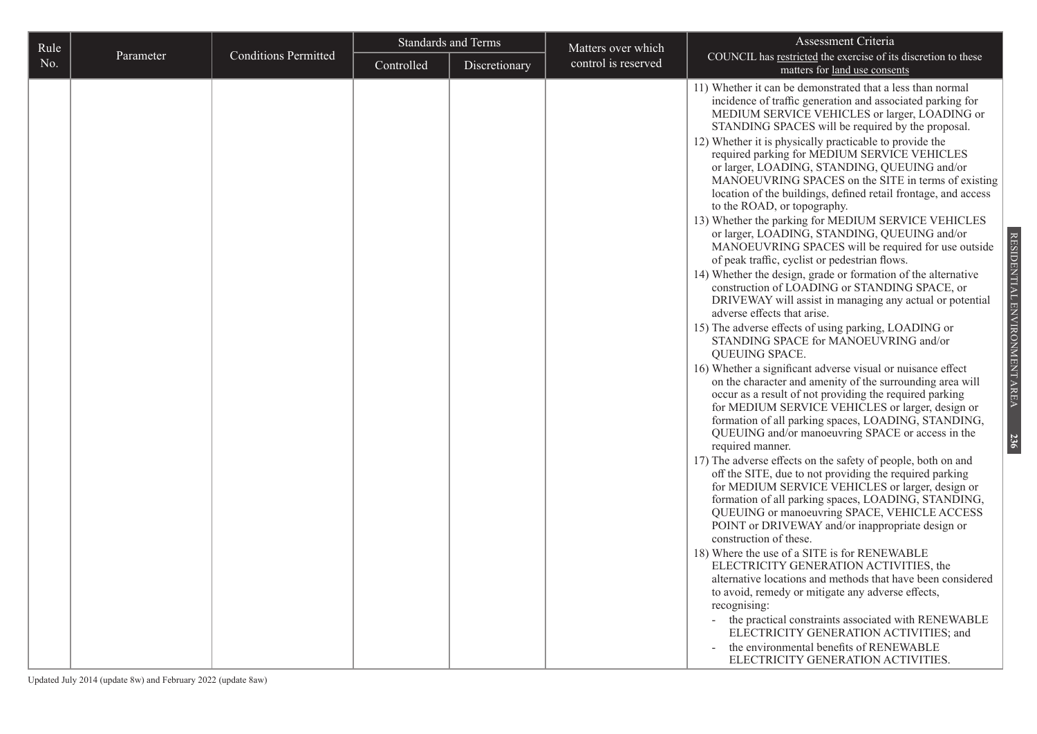| Rule |           |                             |            | <b>Standards and Terms</b> | Matters over which  | Assessment Criteria                                                                                                                                                                                                                                                                                                                                                                                                                                                                                                                                                                                                                                                                                                                                                                                                                                                                                                                                                                                                                                                                                                                                                                                                                                                                                                                                                                                                                                                                                                                                                                                                                                                                                                                                                                                                                                                                                                                                                                                                                                                                                                                                                                                                                 |
|------|-----------|-----------------------------|------------|----------------------------|---------------------|-------------------------------------------------------------------------------------------------------------------------------------------------------------------------------------------------------------------------------------------------------------------------------------------------------------------------------------------------------------------------------------------------------------------------------------------------------------------------------------------------------------------------------------------------------------------------------------------------------------------------------------------------------------------------------------------------------------------------------------------------------------------------------------------------------------------------------------------------------------------------------------------------------------------------------------------------------------------------------------------------------------------------------------------------------------------------------------------------------------------------------------------------------------------------------------------------------------------------------------------------------------------------------------------------------------------------------------------------------------------------------------------------------------------------------------------------------------------------------------------------------------------------------------------------------------------------------------------------------------------------------------------------------------------------------------------------------------------------------------------------------------------------------------------------------------------------------------------------------------------------------------------------------------------------------------------------------------------------------------------------------------------------------------------------------------------------------------------------------------------------------------------------------------------------------------------------------------------------------------|
| No.  | Parameter | <b>Conditions Permitted</b> | Controlled | Discretionary              | control is reserved | COUNCIL has restricted the exercise of its discretion to these<br>matters for land use consents                                                                                                                                                                                                                                                                                                                                                                                                                                                                                                                                                                                                                                                                                                                                                                                                                                                                                                                                                                                                                                                                                                                                                                                                                                                                                                                                                                                                                                                                                                                                                                                                                                                                                                                                                                                                                                                                                                                                                                                                                                                                                                                                     |
|      |           |                             |            |                            |                     | 11) Whether it can be demonstrated that a less than normal<br>incidence of traffic generation and associated parking for<br>MEDIUM SERVICE VEHICLES or larger, LOADING or<br>STANDING SPACES will be required by the proposal.<br>12) Whether it is physically practicable to provide the<br>required parking for MEDIUM SERVICE VEHICLES<br>or larger, LOADING, STANDING, QUEUING and/or<br>MANOEUVRING SPACES on the SITE in terms of existing<br>location of the buildings, defined retail frontage, and access<br>to the ROAD, or topography.<br>13) Whether the parking for MEDIUM SERVICE VEHICLES<br>or larger, LOADING, STANDING, QUEUING and/or<br>MANOEUVRING SPACES will be required for use outside<br>of peak traffic, cyclist or pedestrian flows.<br>14) Whether the design, grade or formation of the alternative<br>construction of LOADING or STANDING SPACE, or<br>DRIVEWAY will assist in managing any actual or potential<br>adverse effects that arise.<br>15) The adverse effects of using parking, LOADING or<br>STANDING SPACE for MANOEUVRING and/or<br>QUEUING SPACE.<br>16) Whether a significant adverse visual or nuisance effect<br>on the character and amenity of the surrounding area will<br>occur as a result of not providing the required parking<br>for MEDIUM SERVICE VEHICLES or larger, design or<br>formation of all parking spaces, LOADING, STANDING,<br>QUEUING and/or manoeuvring SPACE or access in the<br>required manner.<br>17) The adverse effects on the safety of people, both on and<br>off the SITE, due to not providing the required parking<br>for MEDIUM SERVICE VEHICLES or larger, design or<br>formation of all parking spaces, LOADING, STANDING,<br>QUEUING or manoeuvring SPACE, VEHICLE ACCESS<br>POINT or DRIVEWAY and/or inappropriate design or<br>construction of these.<br>18) Where the use of a SITE is for RENEWABLE<br>ELECTRICITY GENERATION ACTIVITIES, the<br>alternative locations and methods that have been considered<br>to avoid, remedy or mitigate any adverse effects,<br>recognising:<br>the practical constraints associated with RENEWABLE<br>$\sim$<br>ELECTRICITY GENERATION ACTIVITIES; and<br>the environmental benefits of RENEWABLE |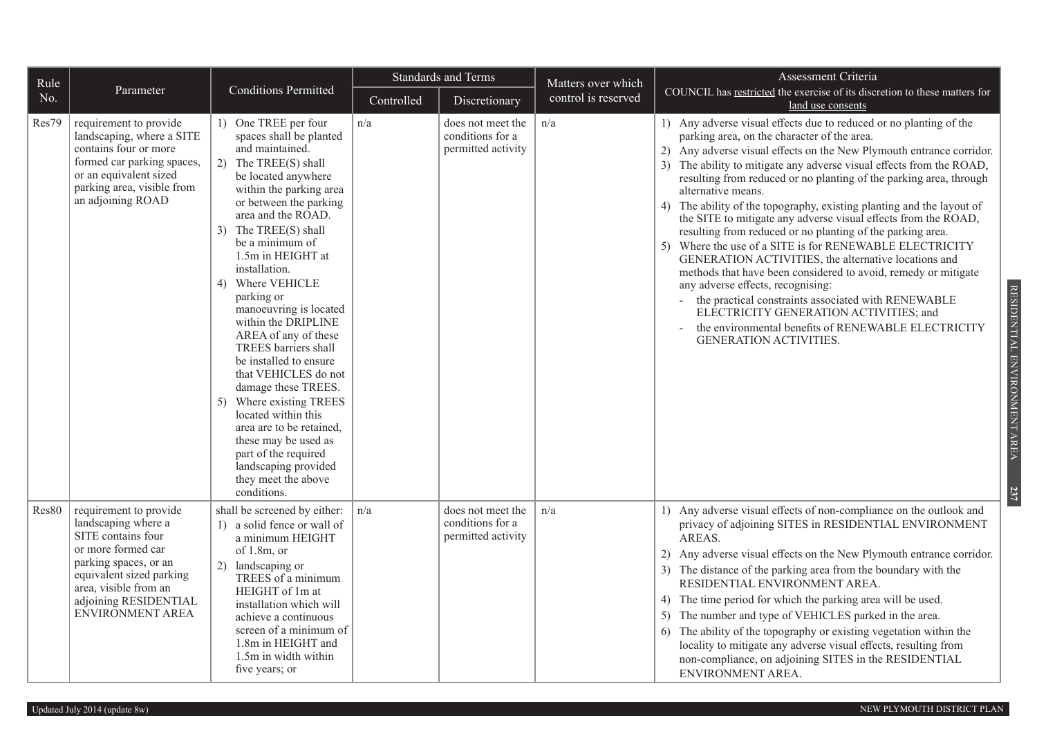| Rule  |                                                                                                                                                                                                                             |                                                                                                                                                                                                                                                                                                                                                                                                                                                                                                                                                                                                                                                                                       |            | <b>Standards and Terms</b>                                  | Matters over which  | Assessment Criteria                                                                                                                                                                                                                                                                                                                                                                                                                                                                                                                                                                                                                                                                                                                                                                                                                                                                                                                                                                       |
|-------|-----------------------------------------------------------------------------------------------------------------------------------------------------------------------------------------------------------------------------|---------------------------------------------------------------------------------------------------------------------------------------------------------------------------------------------------------------------------------------------------------------------------------------------------------------------------------------------------------------------------------------------------------------------------------------------------------------------------------------------------------------------------------------------------------------------------------------------------------------------------------------------------------------------------------------|------------|-------------------------------------------------------------|---------------------|-------------------------------------------------------------------------------------------------------------------------------------------------------------------------------------------------------------------------------------------------------------------------------------------------------------------------------------------------------------------------------------------------------------------------------------------------------------------------------------------------------------------------------------------------------------------------------------------------------------------------------------------------------------------------------------------------------------------------------------------------------------------------------------------------------------------------------------------------------------------------------------------------------------------------------------------------------------------------------------------|
| No.   | Parameter                                                                                                                                                                                                                   | <b>Conditions Permitted</b>                                                                                                                                                                                                                                                                                                                                                                                                                                                                                                                                                                                                                                                           | Controlled | Discretionary                                               | control is reserved | COUNCIL has restricted the exercise of its discretion to these matters for<br>land use consents                                                                                                                                                                                                                                                                                                                                                                                                                                                                                                                                                                                                                                                                                                                                                                                                                                                                                           |
| Res79 | requirement to provide<br>landscaping, where a SITE<br>contains four or more<br>formed car parking spaces,<br>or an equivalent sized<br>parking area, visible from<br>an adjoining ROAD                                     | 1) One TREE per four<br>spaces shall be planted<br>and maintained.<br>2) The TREE(S) shall<br>be located anywhere<br>within the parking area<br>or between the parking<br>area and the ROAD.<br>3) The TREE(S) shall<br>be a minimum of<br>1.5m in HEIGHT at<br>installation.<br>4) Where VEHICLE<br>parking or<br>manoeuvring is located<br>within the DRIPLINE<br>AREA of any of these<br>TREES barriers shall<br>be installed to ensure<br>that VEHICLES do not<br>damage these TREES.<br>5) Where existing TREES<br>located within this<br>area are to be retained,<br>these may be used as<br>part of the required<br>landscaping provided<br>they meet the above<br>conditions. | n/a        | does not meet the<br>conditions for a<br>permitted activity | n/a                 | 1) Any adverse visual effects due to reduced or no planting of the<br>parking area, on the character of the area.<br>2) Any adverse visual effects on the New Plymouth entrance corridor.<br>3) The ability to mitigate any adverse visual effects from the ROAD,<br>resulting from reduced or no planting of the parking area, through<br>alternative means.<br>4) The ability of the topography, existing planting and the layout of<br>the SITE to mitigate any adverse visual effects from the ROAD,<br>resulting from reduced or no planting of the parking area.<br>5) Where the use of a SITE is for RENEWABLE ELECTRICITY<br>GENERATION ACTIVITIES, the alternative locations and<br>methods that have been considered to avoid, remedy or mitigate<br>any adverse effects, recognising:<br>the practical constraints associated with RENEWABLE<br>ELECTRICITY GENERATION ACTIVITIES; and<br>the environmental benefits of RENEWABLE ELECTRICITY<br><b>GENERATION ACTIVITIES.</b> |
| Res80 | requirement to provide<br>landscaping where a<br>SITE contains four<br>or more formed car<br>parking spaces, or an<br>equivalent sized parking<br>area, visible from an<br>adjoining RESIDENTIAL<br><b>ENVIRONMENT AREA</b> | shall be screened by either:<br>1) a solid fence or wall of<br>a minimum HEIGHT<br>of $1.8m$ , or<br>2) landscaping or<br>TREES of a minimum<br>HEIGHT of 1m at<br>installation which will<br>achieve a continuous<br>screen of a minimum of<br>1.8m in HEIGHT and<br>1.5m in width within<br>five years; or                                                                                                                                                                                                                                                                                                                                                                          | n/a        | does not meet the<br>conditions for a<br>permitted activity | n/a                 | 1) Any adverse visual effects of non-compliance on the outlook and<br>privacy of adjoining SITES in RESIDENTIAL ENVIRONMENT<br>AREAS.<br>2) Any adverse visual effects on the New Plymouth entrance corridor.<br>3) The distance of the parking area from the boundary with the<br>RESIDENTIAL ENVIRONMENT AREA.<br>4) The time period for which the parking area will be used.<br>5) The number and type of VEHICLES parked in the area.<br>6) The ability of the topography or existing vegetation within the<br>locality to mitigate any adverse visual effects, resulting from<br>non-compliance, on adjoining SITES in the RESIDENTIAL<br>ENVIRONMENT AREA.                                                                                                                                                                                                                                                                                                                          |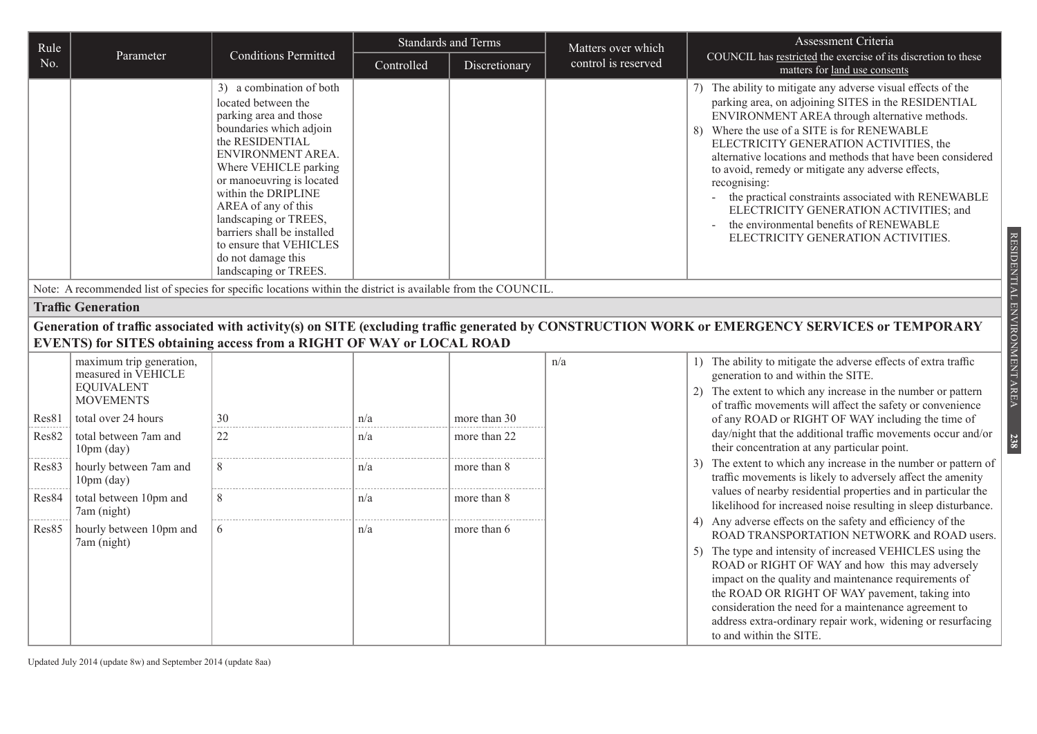| Rule  |                                                                                          |                                                                                                                                                                                                                                                                                                                                                                                    |            | <b>Standards and Terms</b> | Matters over which  | Assessment Criteria                                                                                                                                                                                                                                                                                                                                                                                                                                                                                                                                                                      |
|-------|------------------------------------------------------------------------------------------|------------------------------------------------------------------------------------------------------------------------------------------------------------------------------------------------------------------------------------------------------------------------------------------------------------------------------------------------------------------------------------|------------|----------------------------|---------------------|------------------------------------------------------------------------------------------------------------------------------------------------------------------------------------------------------------------------------------------------------------------------------------------------------------------------------------------------------------------------------------------------------------------------------------------------------------------------------------------------------------------------------------------------------------------------------------------|
| No.   | Parameter                                                                                | <b>Conditions Permitted</b>                                                                                                                                                                                                                                                                                                                                                        | Controlled | Discretionary              | control is reserved | COUNCIL has restricted the exercise of its discretion to these<br>matters for land use consents                                                                                                                                                                                                                                                                                                                                                                                                                                                                                          |
|       |                                                                                          | 3) a combination of both<br>located between the<br>parking area and those<br>boundaries which adjoin<br>the RESIDENTIAL<br>ENVIRONMENT AREA.<br>Where VEHICLE parking<br>or manoeuvring is located<br>within the DRIPLINE<br>AREA of any of this<br>landscaping or TREES,<br>barriers shall be installed<br>to ensure that VEHICLES<br>do not damage this<br>landscaping or TREES. |            |                            |                     | 7) The ability to mitigate any adverse visual effects of the<br>parking area, on adjoining SITES in the RESIDENTIAL<br>ENVIRONMENT AREA through alternative methods.<br>Where the use of a SITE is for RENEWABLE<br>8)<br>ELECTRICITY GENERATION ACTIVITIES, the<br>alternative locations and methods that have been considered<br>to avoid, remedy or mitigate any adverse effects,<br>recognising:<br>- the practical constraints associated with RENEWABLE<br>ELECTRICITY GENERATION ACTIVITIES; and<br>the environmental benefits of RENEWABLE<br>ELECTRICITY GENERATION ACTIVITIES. |
|       |                                                                                          | Note: A recommended list of species for specific locations within the district is available from the COUNCIL.                                                                                                                                                                                                                                                                      |            |                            |                     |                                                                                                                                                                                                                                                                                                                                                                                                                                                                                                                                                                                          |
|       | <b>Traffic Generation</b>                                                                |                                                                                                                                                                                                                                                                                                                                                                                    |            |                            |                     |                                                                                                                                                                                                                                                                                                                                                                                                                                                                                                                                                                                          |
|       |                                                                                          | EVENTS) for SITES obtaining access from a RIGHT OF WAY or LOCAL ROAD                                                                                                                                                                                                                                                                                                               |            |                            |                     | Generation of traffic associated with activity(s) on SITE (excluding traffic generated by CONSTRUCTION WORK or EMERGENCY SERVICES or TEMPORARY                                                                                                                                                                                                                                                                                                                                                                                                                                           |
|       | maximum trip generation,<br>measured in VEHICLE<br><b>EQUIVALENT</b><br><b>MOVEMENTS</b> |                                                                                                                                                                                                                                                                                                                                                                                    |            |                            | n/a                 | 1) The ability to mitigate the adverse effects of extra traffic<br>generation to and within the SITE.<br>2) The extent to which any increase in the number or pattern<br>of traffic movements will affect the safety or convenience                                                                                                                                                                                                                                                                                                                                                      |
| Res81 | total over 24 hours                                                                      | 30                                                                                                                                                                                                                                                                                                                                                                                 | n/a        | more than 30               |                     | of any ROAD or RIGHT OF WAY including the time of                                                                                                                                                                                                                                                                                                                                                                                                                                                                                                                                        |
| Res82 | total between 7am and<br>$10pm$ (day)                                                    | 22                                                                                                                                                                                                                                                                                                                                                                                 | n/a        | more than 22               |                     | day/night that the additional traffic movements occur and/or<br>their concentration at any particular point.                                                                                                                                                                                                                                                                                                                                                                                                                                                                             |
| Res83 | hourly between 7am and<br>$10pm$ (day)                                                   | 8                                                                                                                                                                                                                                                                                                                                                                                  | n/a        | more than 8                |                     | The extent to which any increase in the number or pattern of<br>traffic movements is likely to adversely affect the amenity                                                                                                                                                                                                                                                                                                                                                                                                                                                              |
| Res84 | total between 10pm and<br>7am (night)                                                    | 8                                                                                                                                                                                                                                                                                                                                                                                  | n/a        | more than 8                |                     | values of nearby residential properties and in particular the<br>likelihood for increased noise resulting in sleep disturbance.                                                                                                                                                                                                                                                                                                                                                                                                                                                          |
| Res85 | hourly between 10pm and<br>7am (night)                                                   | 6                                                                                                                                                                                                                                                                                                                                                                                  | n/a        | more than 6                |                     | 4) Any adverse effects on the safety and efficiency of the<br>ROAD TRANSPORTATION NETWORK and ROAD users.<br>5) The type and intensity of increased VEHICLES using the<br>ROAD or RIGHT OF WAY and how this may adversely<br>impact on the quality and maintenance requirements of<br>the ROAD OR RIGHT OF WAY pavement, taking into<br>consideration the need for a maintenance agreement to<br>address extra-ordinary repair work, widening or resurfacing<br>to and within the SITE.                                                                                                  |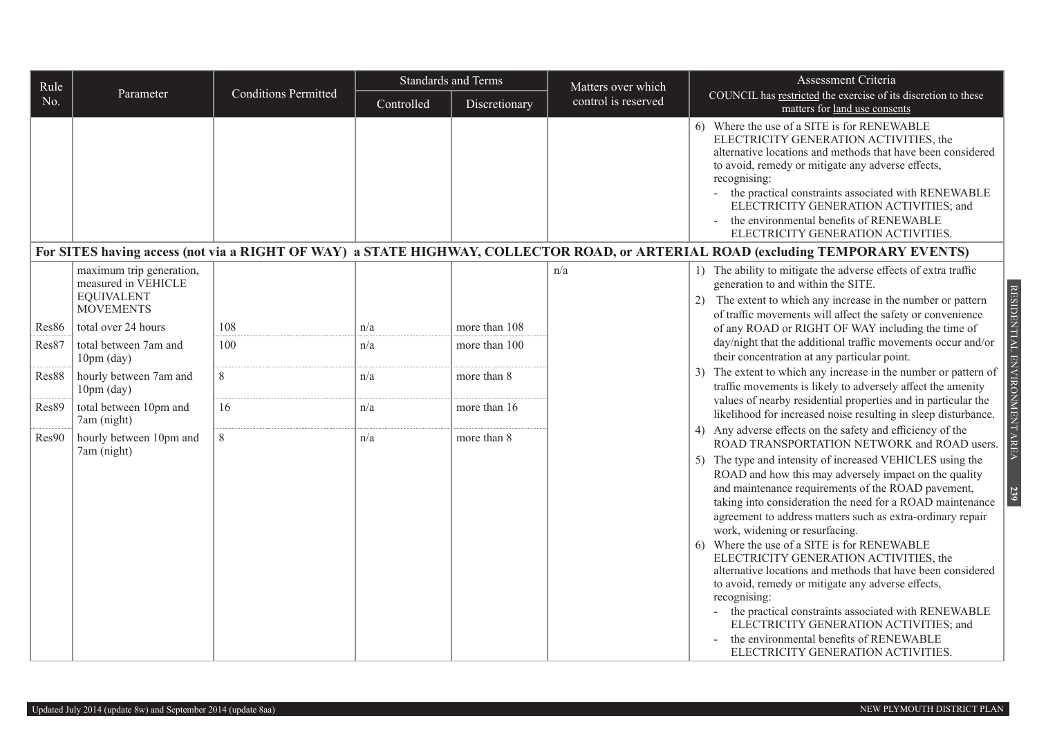| Rule  |                                                                                          |                             |            | <b>Standards and Terms</b> | Matters over which  | Assessment Criteria                                                                                                                                                                                                                                                                                                                                                                                                                                                                                                                                                                                                                                                                                                                                                                                                                                                               |
|-------|------------------------------------------------------------------------------------------|-----------------------------|------------|----------------------------|---------------------|-----------------------------------------------------------------------------------------------------------------------------------------------------------------------------------------------------------------------------------------------------------------------------------------------------------------------------------------------------------------------------------------------------------------------------------------------------------------------------------------------------------------------------------------------------------------------------------------------------------------------------------------------------------------------------------------------------------------------------------------------------------------------------------------------------------------------------------------------------------------------------------|
| No.   | Parameter                                                                                | <b>Conditions Permitted</b> | Controlled | Discretionary              | control is reserved | COUNCIL has restricted the exercise of its discretion to these<br>matters for land use consents                                                                                                                                                                                                                                                                                                                                                                                                                                                                                                                                                                                                                                                                                                                                                                                   |
|       |                                                                                          |                             |            |                            |                     | 6) Where the use of a SITE is for RENEWABLE<br>ELECTRICITY GENERATION ACTIVITIES, the<br>alternative locations and methods that have been considered<br>to avoid, remedy or mitigate any adverse effects,<br>recognising:<br>- the practical constraints associated with RENEWABLE<br>ELECTRICITY GENERATION ACTIVITIES; and<br>the environmental benefits of RENEWABLE<br>ELECTRICITY GENERATION ACTIVITIES.                                                                                                                                                                                                                                                                                                                                                                                                                                                                     |
|       |                                                                                          |                             |            |                            |                     | For SITES having access (not via a RIGHT OF WAY) a STATE HIGHWAY, COLLECTOR ROAD, or ARTERIAL ROAD (excluding TEMPORARY EVENTS)                                                                                                                                                                                                                                                                                                                                                                                                                                                                                                                                                                                                                                                                                                                                                   |
|       | maximum trip generation,<br>measured in VEHICLE<br><b>EQUIVALENT</b><br><b>MOVEMENTS</b> |                             |            |                            | n/a                 | 1) The ability to mitigate the adverse effects of extra traffic<br>generation to and within the SITE.<br>RESIDENTIAL ENVIRONMENT AREA<br>The extent to which any increase in the number or pattern<br>2)<br>of traffic movements will affect the safety or convenience                                                                                                                                                                                                                                                                                                                                                                                                                                                                                                                                                                                                            |
| Res86 | total over 24 hours                                                                      | 108                         | n/a        | more than 108              |                     | of any ROAD or RIGHT OF WAY including the time of                                                                                                                                                                                                                                                                                                                                                                                                                                                                                                                                                                                                                                                                                                                                                                                                                                 |
| Res87 | total between 7am and<br>$10pm$ (day)                                                    | 100                         | n/a        | more than 100              |                     | day/night that the additional traffic movements occur and/or<br>their concentration at any particular point.                                                                                                                                                                                                                                                                                                                                                                                                                                                                                                                                                                                                                                                                                                                                                                      |
| Res88 | hourly between 7am and<br>$10pm$ (day)                                                   | 8                           | n/a        | more than 8                |                     | The extent to which any increase in the number or pattern of<br>traffic movements is likely to adversely affect the amenity                                                                                                                                                                                                                                                                                                                                                                                                                                                                                                                                                                                                                                                                                                                                                       |
| Res89 | total between 10pm and<br>7am (night)                                                    | 16                          | n/a        | more than 16               |                     | values of nearby residential properties and in particular the<br>likelihood for increased noise resulting in sleep disturbance.                                                                                                                                                                                                                                                                                                                                                                                                                                                                                                                                                                                                                                                                                                                                                   |
| Res90 | hourly between 10pm and<br>7am (night)                                                   | 8                           | n/a        | more than 8                |                     | Any adverse effects on the safety and efficiency of the<br>4)<br>ROAD TRANSPORTATION NETWORK and ROAD users.<br>The type and intensity of increased VEHICLES using the<br>5)<br>ROAD and how this may adversely impact on the quality<br>and maintenance requirements of the ROAD pavement,<br>239<br>taking into consideration the need for a ROAD maintenance<br>agreement to address matters such as extra-ordinary repair<br>work, widening or resurfacing.<br>Where the use of a SITE is for RENEWABLE<br>6)<br>ELECTRICITY GENERATION ACTIVITIES, the<br>alternative locations and methods that have been considered<br>to avoid, remedy or mitigate any adverse effects,<br>recognising:<br>the practical constraints associated with RENEWABLE<br>ELECTRICITY GENERATION ACTIVITIES; and<br>the environmental benefits of RENEWABLE<br>ELECTRICITY GENERATION ACTIVITIES. |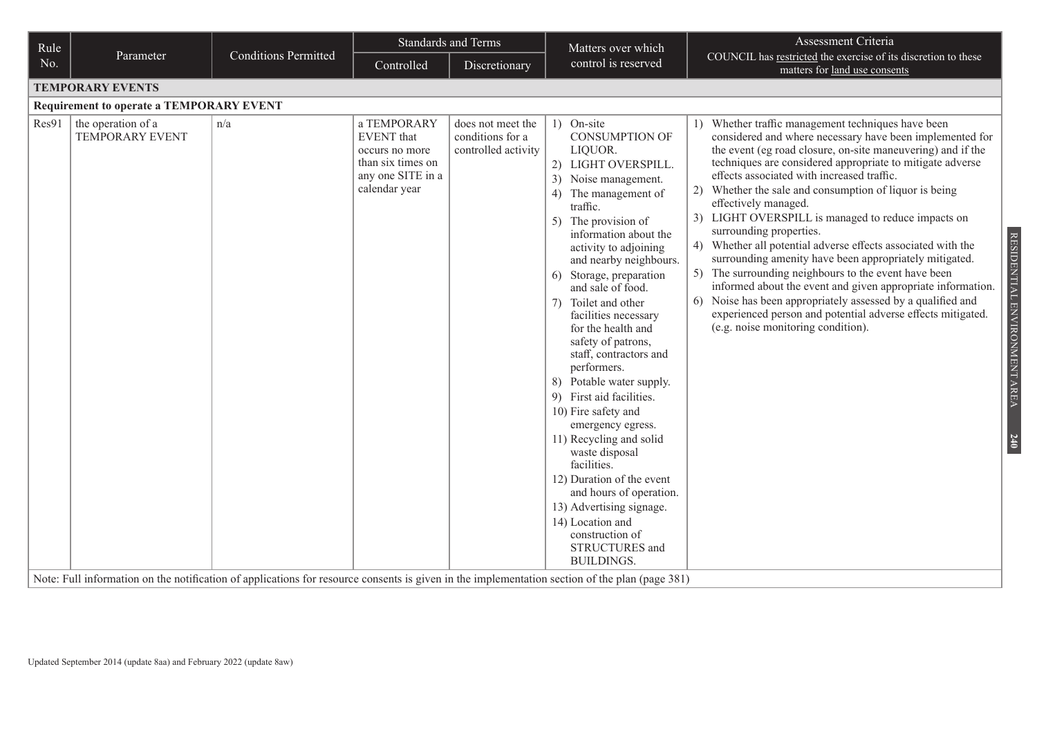| Rule                                                                                                                                                                                                    |                             |                                                                                                               | <b>Standards and Terms</b>                                   | Matters over which                                                                                                                                                                                                                                                                                                                                                                                                                                                                                                                                                                                                                                                                                                                                                     | Assessment Criteria                                                                                                                                                                                                                                                                                                                                                                                                                                                                                                                                                                                                                                                                                                                                                                                                                                                                                                     |
|---------------------------------------------------------------------------------------------------------------------------------------------------------------------------------------------------------|-----------------------------|---------------------------------------------------------------------------------------------------------------|--------------------------------------------------------------|------------------------------------------------------------------------------------------------------------------------------------------------------------------------------------------------------------------------------------------------------------------------------------------------------------------------------------------------------------------------------------------------------------------------------------------------------------------------------------------------------------------------------------------------------------------------------------------------------------------------------------------------------------------------------------------------------------------------------------------------------------------------|-------------------------------------------------------------------------------------------------------------------------------------------------------------------------------------------------------------------------------------------------------------------------------------------------------------------------------------------------------------------------------------------------------------------------------------------------------------------------------------------------------------------------------------------------------------------------------------------------------------------------------------------------------------------------------------------------------------------------------------------------------------------------------------------------------------------------------------------------------------------------------------------------------------------------|
| Parameter<br>No.                                                                                                                                                                                        | <b>Conditions Permitted</b> | Controlled                                                                                                    | Discretionary                                                | control is reserved                                                                                                                                                                                                                                                                                                                                                                                                                                                                                                                                                                                                                                                                                                                                                    | COUNCIL has restricted the exercise of its discretion to these<br>matters for land use consents                                                                                                                                                                                                                                                                                                                                                                                                                                                                                                                                                                                                                                                                                                                                                                                                                         |
| <b>TEMPORARY EVENTS</b>                                                                                                                                                                                 |                             |                                                                                                               |                                                              |                                                                                                                                                                                                                                                                                                                                                                                                                                                                                                                                                                                                                                                                                                                                                                        |                                                                                                                                                                                                                                                                                                                                                                                                                                                                                                                                                                                                                                                                                                                                                                                                                                                                                                                         |
| <b>Requirement to operate a TEMPORARY EVENT</b>                                                                                                                                                         |                             |                                                                                                               |                                                              |                                                                                                                                                                                                                                                                                                                                                                                                                                                                                                                                                                                                                                                                                                                                                                        |                                                                                                                                                                                                                                                                                                                                                                                                                                                                                                                                                                                                                                                                                                                                                                                                                                                                                                                         |
| Res91<br>the operation of a<br><b>TEMPORARY EVENT</b><br>Note: Full information on the notification of applications for resource consents is given in the implementation section of the plan (page 381) | n/a                         | a TEMPORARY<br><b>EVENT</b> that<br>occurs no more<br>than six times on<br>any one SITE in a<br>calendar year | does not meet the<br>conditions for a<br>controlled activity | 1) On-site<br><b>CONSUMPTION OF</b><br>LIQUOR.<br>2) LIGHT OVERSPILL.<br>3)<br>Noise management.<br>4)<br>The management of<br>traffic.<br>5) The provision of<br>information about the<br>activity to adjoining<br>and nearby neighbours.<br>Storage, preparation<br>6)<br>and sale of food.<br>Toilet and other<br>7)<br>facilities necessary<br>for the health and<br>safety of patrons,<br>staff, contractors and<br>performers.<br>8) Potable water supply.<br>9) First aid facilities.<br>10) Fire safety and<br>emergency egress.<br>11) Recycling and solid<br>waste disposal<br>facilities.<br>12) Duration of the event<br>and hours of operation.<br>13) Advertising signage.<br>14) Location and<br>construction of<br>STRUCTURES and<br><b>BUILDINGS.</b> | Whether traffic management techniques have been<br>considered and where necessary have been implemented for<br>the event (eg road closure, on-site maneuvering) and if the<br>techniques are considered appropriate to mitigate adverse<br>effects associated with increased traffic.<br>Whether the sale and consumption of liquor is being<br>2)<br>effectively managed.<br>3) LIGHT OVERSPILL is managed to reduce impacts on<br>surrounding properties.<br>RESIDENTIAL ENVIRONMENT AREA<br>4) Whether all potential adverse effects associated with the<br>surrounding amenity have been appropriately mitigated.<br>5) The surrounding neighbours to the event have been<br>informed about the event and given appropriate information.<br>6) Noise has been appropriately assessed by a qualified and<br>experienced person and potential adverse effects mitigated.<br>(e.g. noise monitoring condition).<br>240 |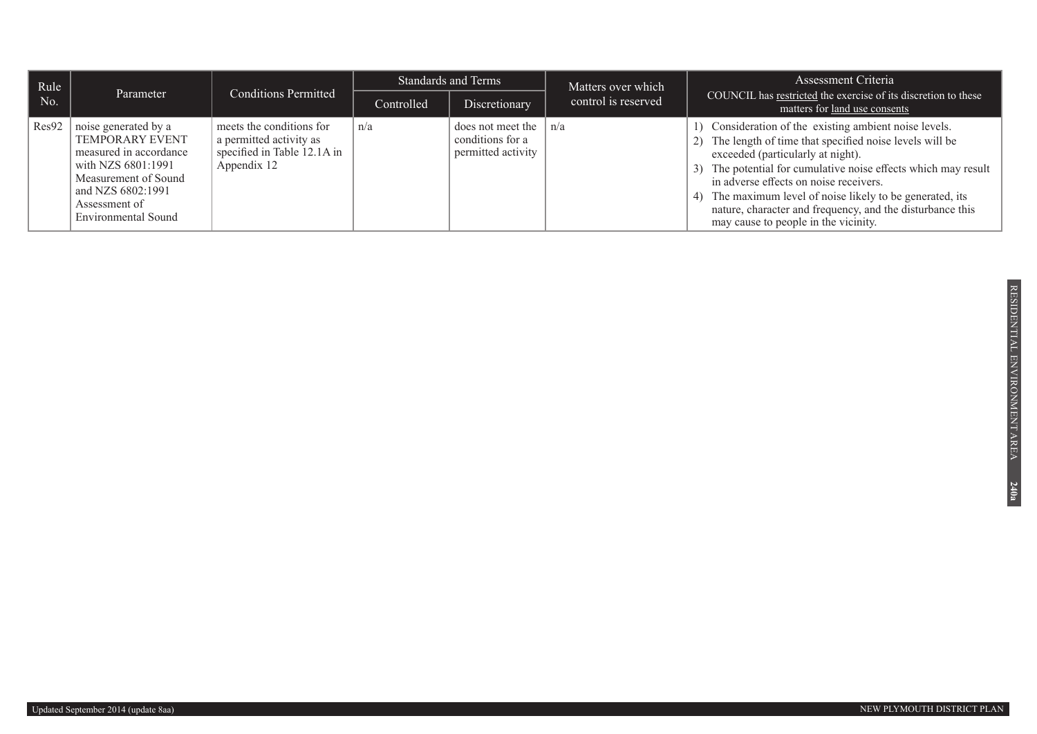| Rule  |                                                                                                                                                                              |                                                                                                   |            | <b>Standards and Terms</b>                                          | Matters over which  | Assessment Criteria                                                                                                                                                                                                                                                                                                                                                                                                                       |
|-------|------------------------------------------------------------------------------------------------------------------------------------------------------------------------------|---------------------------------------------------------------------------------------------------|------------|---------------------------------------------------------------------|---------------------|-------------------------------------------------------------------------------------------------------------------------------------------------------------------------------------------------------------------------------------------------------------------------------------------------------------------------------------------------------------------------------------------------------------------------------------------|
| No.   | Parameter                                                                                                                                                                    | <b>Conditions Permitted</b>                                                                       | Controlled | Discretionary                                                       | control is reserved | COUNCIL has restricted the exercise of its discretion to these<br>matters for land use consents                                                                                                                                                                                                                                                                                                                                           |
| Res92 | noise generated by a<br>TEMPORARY EVENT<br>measured in accordance<br>with NZS 6801:1991<br>Measurement of Sound<br>and NZS 6802:1991<br>Assessment of<br>Environmental Sound | meets the conditions for<br>a permitted activity as<br>specified in Table 12.1A in<br>Appendix 12 | n/a        | does not meet the $ n/a $<br>conditions for a<br>permitted activity |                     | 1) Consideration of the existing ambient noise levels.<br>2) The length of time that specified noise levels will be<br>exceeded (particularly at night).<br>3) The potential for cumulative noise effects which may result<br>in adverse effects on noise receivers.<br>The maximum level of noise likely to be generated, its<br>4)<br>nature, character and frequency, and the disturbance this<br>may cause to people in the vicinity. |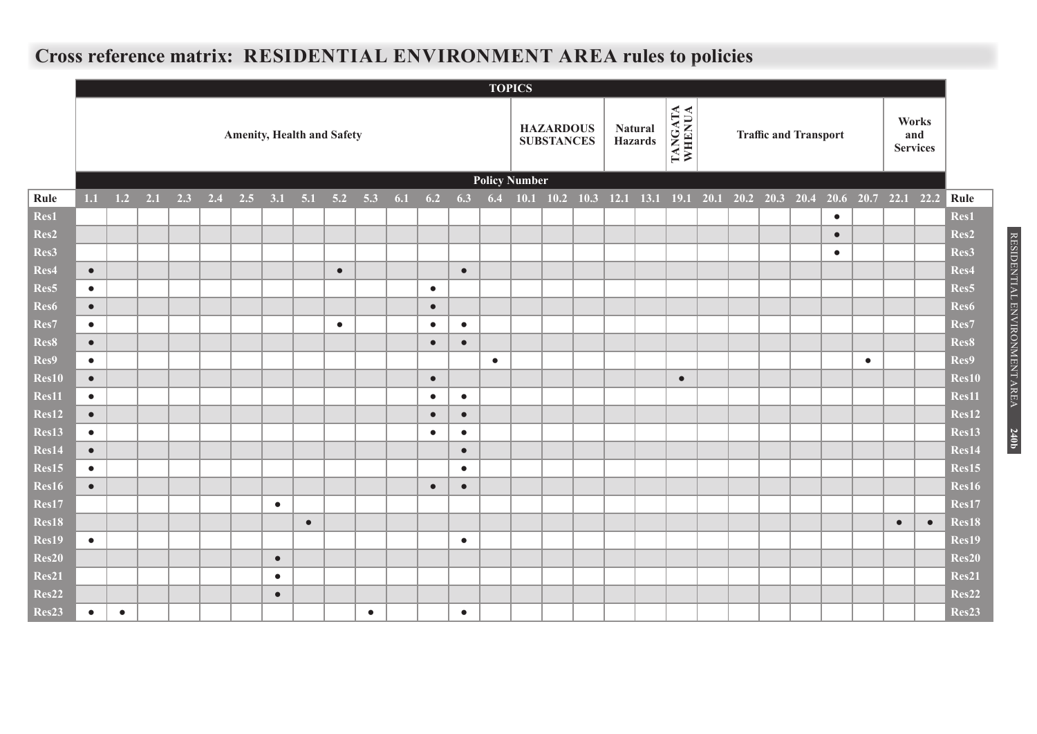## **Cross reference matrix: RESIDENTIAL ENVIRONMENT AREA rules to policies**

|                   |           |              |     |     |     |     |           |           |                                   |           |     |           |           |           | <b>TOPICS</b>        |                                       |                                                   |                                  |                   |  |                              |           |           |                |                                 |                   |
|-------------------|-----------|--------------|-----|-----|-----|-----|-----------|-----------|-----------------------------------|-----------|-----|-----------|-----------|-----------|----------------------|---------------------------------------|---------------------------------------------------|----------------------------------|-------------------|--|------------------------------|-----------|-----------|----------------|---------------------------------|-------------------|
|                   |           |              |     |     |     |     |           |           | <b>Amenity, Health and Safety</b> |           |     |           |           |           |                      | <b>HAZARDOUS</b><br><b>SUBSTANCES</b> |                                                   | <b>Natural</b><br><b>Hazards</b> | TANGATA<br>WHENUA |  | <b>Traffic and Transport</b> |           |           |                | Works<br>and<br><b>Services</b> |                   |
|                   |           |              |     |     |     |     |           |           |                                   |           |     |           |           |           | <b>Policy Number</b> |                                       |                                                   |                                  |                   |  |                              |           |           |                |                                 |                   |
| <b>Rule</b>       |           | $1.1 \t 1.2$ | 2.1 | 2.3 | 2.4 | 2.5 | 3.1       | 5.1       | 5.2                               | 5.3       | 6.1 | 6.2       | 6.3       | 6.4       |                      |                                       | 10.1 10.2 10.3 12.1 13.1 19.1 20.1 20.2 20.3 20.4 |                                  |                   |  |                              | 20.6      |           | 20.7 22.1 22.2 |                                 | Rule              |
| Res1              |           |              |     |     |     |     |           |           |                                   |           |     |           |           |           |                      |                                       |                                                   |                                  |                   |  |                              | $\bullet$ |           |                |                                 | Res1              |
| Res2              |           |              |     |     |     |     |           |           |                                   |           |     |           |           |           |                      |                                       |                                                   |                                  |                   |  |                              | $\bullet$ |           |                |                                 | Res2              |
| Res3              |           |              |     |     |     |     |           |           |                                   |           |     |           |           |           |                      |                                       |                                                   |                                  |                   |  |                              | $\bullet$ |           |                |                                 | Res3              |
| Res4              | $\bullet$ |              |     |     |     |     |           |           | $\bullet$                         |           |     |           | $\bullet$ |           |                      |                                       |                                                   |                                  |                   |  |                              |           |           |                |                                 | Res4              |
| Res5              | $\bullet$ |              |     |     |     |     |           |           |                                   |           |     | $\bullet$ |           |           |                      |                                       |                                                   |                                  |                   |  |                              |           |           |                |                                 | Res <sub>5</sub>  |
| Res6              | $\bullet$ |              |     |     |     |     |           |           |                                   |           |     | $\bullet$ |           |           |                      |                                       |                                                   |                                  |                   |  |                              |           |           |                |                                 | Res6              |
| Res7              | $\bullet$ |              |     |     |     |     |           |           | $\bullet$                         |           |     | $\bullet$ | $\bullet$ |           |                      |                                       |                                                   |                                  |                   |  |                              |           |           |                |                                 | Res7              |
| Res8              | $\bullet$ |              |     |     |     |     |           |           |                                   |           |     | $\bullet$ | $\bullet$ |           |                      |                                       |                                                   |                                  |                   |  |                              |           |           |                |                                 | Res8              |
| Res9              | $\bullet$ |              |     |     |     |     |           |           |                                   |           |     |           |           | $\bullet$ |                      |                                       |                                                   |                                  |                   |  |                              |           | $\bullet$ |                |                                 | Res9              |
| Res10             | $\bullet$ |              |     |     |     |     |           |           |                                   |           |     | $\bullet$ |           |           |                      |                                       |                                                   |                                  | $\bullet$         |  |                              |           |           |                |                                 | Res10             |
| Res11             | $\bullet$ |              |     |     |     |     |           |           |                                   |           |     | $\bullet$ | $\bullet$ |           |                      |                                       |                                                   |                                  |                   |  |                              |           |           |                |                                 | Res11             |
| Res12             | $\bullet$ |              |     |     |     |     |           |           |                                   |           |     | $\bullet$ | $\bullet$ |           |                      |                                       |                                                   |                                  |                   |  |                              |           |           |                |                                 | Res12             |
| Res13             | $\bullet$ |              |     |     |     |     |           |           |                                   |           |     | $\bullet$ | $\bullet$ |           |                      |                                       |                                                   |                                  |                   |  |                              |           |           |                |                                 | Res13             |
| Res14             | $\bullet$ |              |     |     |     |     |           |           |                                   |           |     |           | $\bullet$ |           |                      |                                       |                                                   |                                  |                   |  |                              |           |           |                |                                 | Res14             |
| Res15             | $\bullet$ |              |     |     |     |     |           |           |                                   |           |     |           | $\bullet$ |           |                      |                                       |                                                   |                                  |                   |  |                              |           |           |                |                                 | Res15             |
| Res16             | $\bullet$ |              |     |     |     |     |           |           |                                   |           |     | $\bullet$ | $\bullet$ |           |                      |                                       |                                                   |                                  |                   |  |                              |           |           |                |                                 | Res16             |
| Res17             |           |              |     |     |     |     | $\bullet$ |           |                                   |           |     |           |           |           |                      |                                       |                                                   |                                  |                   |  |                              |           |           |                |                                 | Res17             |
| Res18             |           |              |     |     |     |     |           | $\bullet$ |                                   |           |     |           |           |           |                      |                                       |                                                   |                                  |                   |  |                              |           |           | $\bullet$      | $\bullet$                       | Res18             |
| Res19             | $\bullet$ |              |     |     |     |     |           |           |                                   |           |     |           | $\bullet$ |           |                      |                                       |                                                   |                                  |                   |  |                              |           |           |                |                                 | Res19             |
| Res20             |           |              |     |     |     |     | $\bullet$ |           |                                   |           |     |           |           |           |                      |                                       |                                                   |                                  |                   |  |                              |           |           |                |                                 | Res20             |
| Res21             |           |              |     |     |     |     | $\bullet$ |           |                                   |           |     |           |           |           |                      |                                       |                                                   |                                  |                   |  |                              |           |           |                |                                 | Res21             |
| Res22             |           |              |     |     |     |     | $\bullet$ |           |                                   |           |     |           |           |           |                      |                                       |                                                   |                                  |                   |  |                              |           |           |                |                                 | Res22             |
| Res <sub>23</sub> | $\bullet$ | $\bullet$    |     |     |     |     |           |           |                                   | $\bullet$ |     |           | $\bullet$ |           |                      |                                       |                                                   |                                  |                   |  |                              |           |           |                |                                 | Res <sub>23</sub> |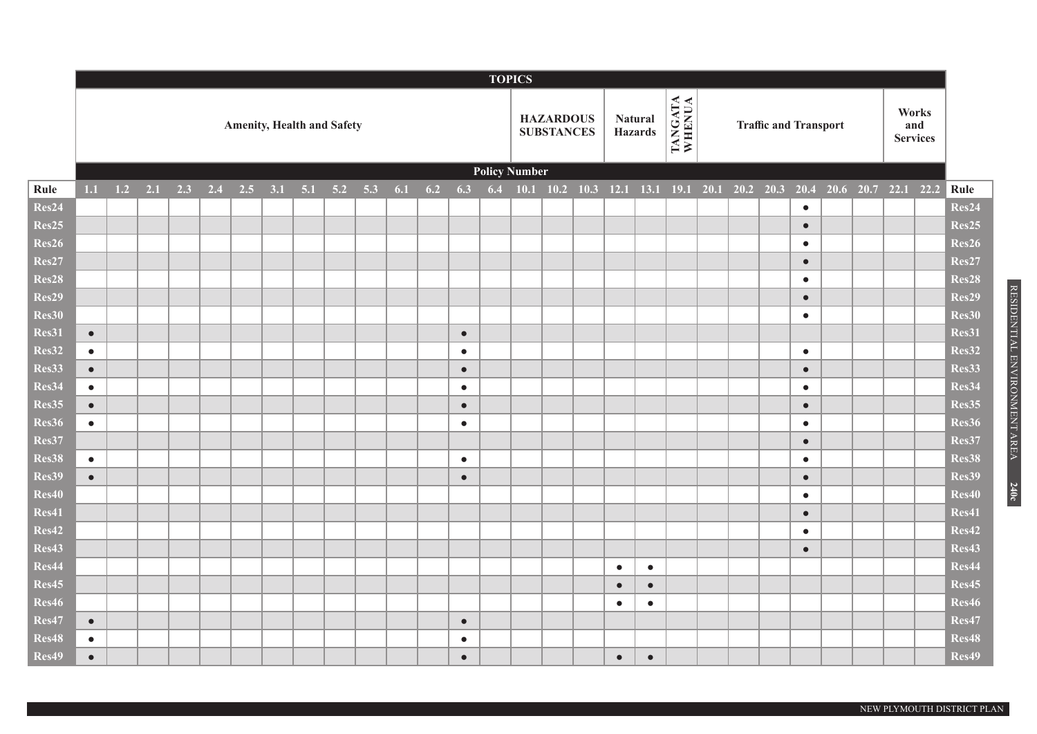|                   |                        |     |     |     |     |     |     |     |                                   |     |     |     |                        |                      | <b>TOPICS</b> |                                       |                                  |           |                   |             |                              |                        |                     |                                 |                   |
|-------------------|------------------------|-----|-----|-----|-----|-----|-----|-----|-----------------------------------|-----|-----|-----|------------------------|----------------------|---------------|---------------------------------------|----------------------------------|-----------|-------------------|-------------|------------------------------|------------------------|---------------------|---------------------------------|-------------------|
|                   |                        |     |     |     |     |     |     |     | <b>Amenity, Health and Safety</b> |     |     |     |                        |                      |               | <b>HAZARDOUS</b><br><b>SUBSTANCES</b> | <b>Natural</b><br><b>Hazards</b> |           | TANGATA<br>WHENUA |             | <b>Traffic and Transport</b> |                        |                     | Works<br>and<br><b>Services</b> |                   |
|                   |                        |     |     |     |     |     |     |     |                                   |     |     |     |                        | <b>Policy Number</b> |               |                                       |                                  |           |                   |             |                              |                        |                     |                                 |                   |
| Rule              | $1.1$                  | 1.2 | 2.1 | 2.3 | 2.4 | 2.5 | 3.1 | 5.1 | 5.2                               | 5.3 | 6.1 | 6.2 | 6.3                    | 6.4                  |               | $10.1$ $10.2$ $10.3$                  | 12.1                             | 13.1      | $19.1$ 20.1       | $20.2$ 20.3 |                              | 20.4                   | 20.6 20.7 22.1 22.2 |                                 | Rule              |
| Res24             |                        |     |     |     |     |     |     |     |                                   |     |     |     |                        |                      |               |                                       |                                  |           |                   |             |                              | $\bullet$              |                     |                                 | Res24             |
| Res <sub>25</sub> |                        |     |     |     |     |     |     |     |                                   |     |     |     |                        |                      |               |                                       |                                  |           |                   |             |                              | $\bullet$              |                     |                                 | Res <sub>25</sub> |
| Res26             |                        |     |     |     |     |     |     |     |                                   |     |     |     |                        |                      |               |                                       |                                  |           |                   |             |                              | $\bullet$              |                     |                                 | Res26             |
| Res27             |                        |     |     |     |     |     |     |     |                                   |     |     |     |                        |                      |               |                                       |                                  |           |                   |             |                              | $\bullet$              |                     |                                 | Res27             |
| Res28             |                        |     |     |     |     |     |     |     |                                   |     |     |     |                        |                      |               |                                       |                                  |           |                   |             |                              | $\bullet$              |                     |                                 | Res28             |
| Res29             |                        |     |     |     |     |     |     |     |                                   |     |     |     |                        |                      |               |                                       |                                  |           |                   |             |                              | $\bullet$              |                     |                                 | Res29             |
| Res30             |                        |     |     |     |     |     |     |     |                                   |     |     |     |                        |                      |               |                                       |                                  |           |                   |             |                              | $\bullet$              |                     |                                 | Res30             |
| Res31             | $\bullet$              |     |     |     |     |     |     |     |                                   |     |     |     | $\bullet$              |                      |               |                                       |                                  |           |                   |             |                              |                        |                     |                                 | Res31             |
| Res32             | $\bullet$              |     |     |     |     |     |     |     |                                   |     |     |     | $\bullet$              |                      |               |                                       |                                  |           |                   |             |                              | $\bullet$              |                     |                                 | Res32             |
| Res33             | $\bullet$              |     |     |     |     |     |     |     |                                   |     |     |     | $\bullet$              |                      |               |                                       |                                  |           |                   |             |                              | $\bullet$              |                     |                                 | Res33             |
| Res34             | $\bullet$              |     |     |     |     |     |     |     |                                   |     |     |     | $\bullet$              |                      |               |                                       |                                  |           |                   |             |                              | $\bullet$              |                     |                                 | Res34             |
| Res35             | $\bullet$              |     |     |     |     |     |     |     |                                   |     |     |     | $\bullet$              |                      |               |                                       |                                  |           |                   |             |                              | $\bullet$              |                     |                                 | Res35             |
| Res36             | $\bullet$              |     |     |     |     |     |     |     |                                   |     |     |     | $\bullet$              |                      |               |                                       |                                  |           |                   |             |                              | $\bullet$              |                     |                                 | Res36             |
| Res37             |                        |     |     |     |     |     |     |     |                                   |     |     |     |                        |                      |               |                                       |                                  |           |                   |             |                              | $\bullet$              |                     |                                 | Res37             |
| Res38<br>Res39    | $\bullet$<br>$\bullet$ |     |     |     |     |     |     |     |                                   |     |     |     | $\bullet$<br>$\bullet$ |                      |               |                                       |                                  |           |                   |             |                              | $\bullet$              |                     |                                 | Res38<br>Res39    |
| Res40             |                        |     |     |     |     |     |     |     |                                   |     |     |     |                        |                      |               |                                       |                                  |           |                   |             |                              | $\bullet$<br>$\bullet$ |                     |                                 | Res40             |
| Res41             |                        |     |     |     |     |     |     |     |                                   |     |     |     |                        |                      |               |                                       |                                  |           |                   |             |                              | $\bullet$              |                     |                                 | Res41             |
| Res42             |                        |     |     |     |     |     |     |     |                                   |     |     |     |                        |                      |               |                                       |                                  |           |                   |             |                              | $\bullet$              |                     |                                 | Res42             |
| Res43             |                        |     |     |     |     |     |     |     |                                   |     |     |     |                        |                      |               |                                       |                                  |           |                   |             |                              | $\bullet$              |                     |                                 | Res43             |
| Res44             |                        |     |     |     |     |     |     |     |                                   |     |     |     |                        |                      |               |                                       | $\bullet$                        | $\bullet$ |                   |             |                              |                        |                     |                                 | Res44             |
| Res45             |                        |     |     |     |     |     |     |     |                                   |     |     |     |                        |                      |               |                                       | $\bullet$                        | $\bullet$ |                   |             |                              |                        |                     |                                 | Res45             |
| Res46             |                        |     |     |     |     |     |     |     |                                   |     |     |     |                        |                      |               |                                       | $\bullet$                        | $\bullet$ |                   |             |                              |                        |                     |                                 | Res46             |
| Res47             | $\bullet$              |     |     |     |     |     |     |     |                                   |     |     |     | $\bullet$              |                      |               |                                       |                                  |           |                   |             |                              |                        |                     |                                 | Res47             |
| Res48             | $\bullet$              |     |     |     |     |     |     |     |                                   |     |     |     | $\bullet$              |                      |               |                                       |                                  |           |                   |             |                              |                        |                     |                                 | Res48             |
| Res49             | $\bullet$              |     |     |     |     |     |     |     |                                   |     |     |     | $\bullet$              |                      |               |                                       | $\bullet$                        | $\bullet$ |                   |             |                              |                        |                     |                                 | Res49             |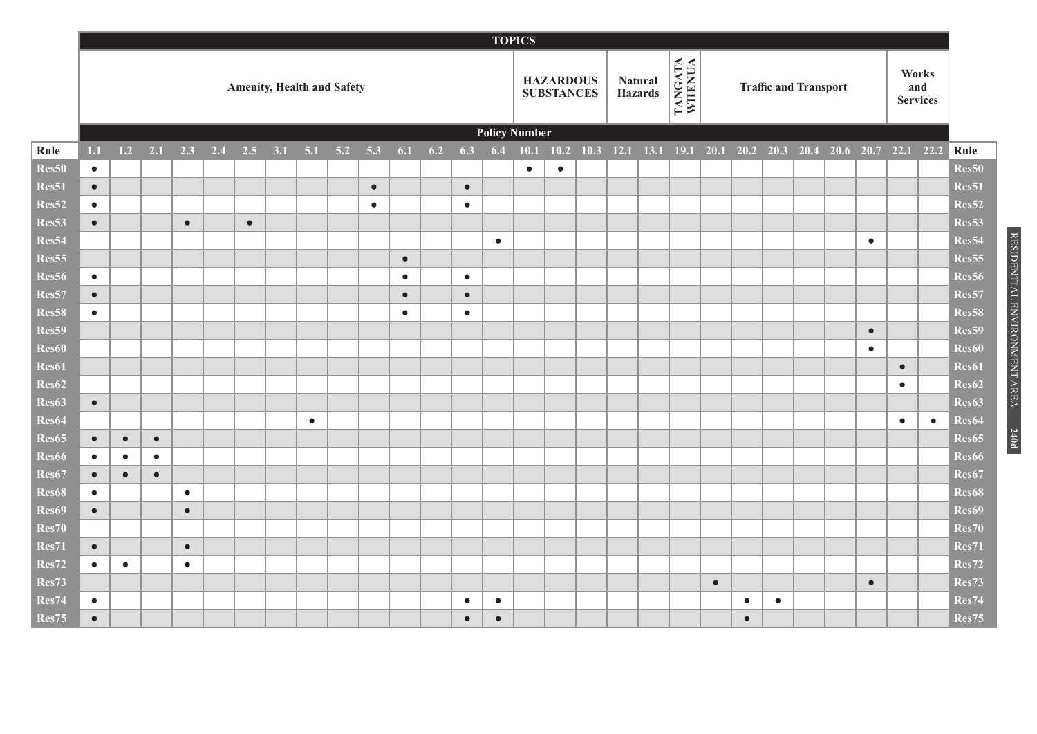|                |           |           |           |           |     |           |     |           |                                   |           |           |     |           |           | <b>TOPICS</b>        |                                       |             |                                              |                   |           |           |                              |  |           |                                 |           |                            |
|----------------|-----------|-----------|-----------|-----------|-----|-----------|-----|-----------|-----------------------------------|-----------|-----------|-----|-----------|-----------|----------------------|---------------------------------------|-------------|----------------------------------------------|-------------------|-----------|-----------|------------------------------|--|-----------|---------------------------------|-----------|----------------------------|
|                |           |           |           |           |     |           |     |           | <b>Amenity, Health and Safety</b> |           |           |     |           |           |                      | <b>HAZARDOUS</b><br><b>SUBSTANCES</b> | Hazards     | <b>Natural</b>                               | TANGATA<br>WHENUA |           |           | <b>Traffic and Transport</b> |  |           | Works<br>and<br><b>Services</b> |           |                            |
|                |           |           |           |           |     |           |     |           |                                   |           |           |     |           |           | <b>Policy Number</b> |                                       |             |                                              |                   |           |           |                              |  |           |                                 |           |                            |
| Rule           | 1.1       | 1.2       | 2.1       | 2.3       | 2.4 | 2.5       | 3.1 | 5.1       | 5.2                               | 5.3       | 6.1       | 6.2 | 6.3       | 6.4       | 10.1                 | 10.2                                  | $10.3$ 12.1 | 13.1 19.1 20.1 20.2 20.3 20.4 20.6 20.7 22.1 |                   |           |           |                              |  |           |                                 | 22.2      | Rule                       |
| Res50          | $\bullet$ |           |           |           |     |           |     |           |                                   |           |           |     |           |           | $\bullet$            | $\bullet$                             |             |                                              |                   |           |           |                              |  |           |                                 |           | Res50                      |
| Res51          | $\bullet$ |           |           |           |     |           |     |           |                                   | $\bullet$ |           |     | $\bullet$ |           |                      |                                       |             |                                              |                   |           |           |                              |  |           |                                 |           | Res51                      |
| Res52<br>Res53 | $\bullet$ |           |           |           |     |           |     |           |                                   | $\bullet$ |           |     | $\bullet$ |           |                      |                                       |             |                                              |                   |           |           |                              |  |           |                                 |           | Res52<br>Res <sub>53</sub> |
| Res54          | $\bullet$ |           |           | $\bullet$ |     | $\bullet$ |     |           |                                   |           |           |     |           |           |                      |                                       |             |                                              |                   |           |           |                              |  | $\bullet$ |                                 |           | Res54                      |
| Res55          |           |           |           |           |     |           |     |           |                                   |           | $\bullet$ |     |           | $\bullet$ |                      |                                       |             |                                              |                   |           |           |                              |  |           |                                 |           | Res55                      |
| Res56          | $\bullet$ |           |           |           |     |           |     |           |                                   |           | $\bullet$ |     | $\bullet$ |           |                      |                                       |             |                                              |                   |           |           |                              |  |           |                                 |           | Res56                      |
| Res57          | $\bullet$ |           |           |           |     |           |     |           |                                   |           | $\bullet$ |     | $\bullet$ |           |                      |                                       |             |                                              |                   |           |           |                              |  |           |                                 |           | Res57                      |
| Res58          | $\bullet$ |           |           |           |     |           |     |           |                                   |           | $\bullet$ |     | $\bullet$ |           |                      |                                       |             |                                              |                   |           |           |                              |  |           |                                 |           | Res58                      |
| Res59          |           |           |           |           |     |           |     |           |                                   |           |           |     |           |           |                      |                                       |             |                                              |                   |           |           |                              |  | $\bullet$ |                                 |           | Res59                      |
| <b>Res60</b>   |           |           |           |           |     |           |     |           |                                   |           |           |     |           |           |                      |                                       |             |                                              |                   |           |           |                              |  | $\bullet$ |                                 |           | <b>Res60</b>               |
| Res61          |           |           |           |           |     |           |     |           |                                   |           |           |     |           |           |                      |                                       |             |                                              |                   |           |           |                              |  |           | $\bullet$                       |           | Res61                      |
| Res62          |           |           |           |           |     |           |     |           |                                   |           |           |     |           |           |                      |                                       |             |                                              |                   |           |           |                              |  |           | $\bullet$                       |           | Res62                      |
| Res63          | $\bullet$ |           |           |           |     |           |     |           |                                   |           |           |     |           |           |                      |                                       |             |                                              |                   |           |           |                              |  |           |                                 |           | Res63                      |
| Res64          |           |           |           |           |     |           |     | $\bullet$ |                                   |           |           |     |           |           |                      |                                       |             |                                              |                   |           |           |                              |  |           | $\bullet$                       | $\bullet$ | Res64                      |
| Res65          | $\bullet$ | $\bullet$ | $\bullet$ |           |     |           |     |           |                                   |           |           |     |           |           |                      |                                       |             |                                              |                   |           |           |                              |  |           |                                 |           | Res65                      |
| Res66          | $\bullet$ | $\bullet$ | $\bullet$ |           |     |           |     |           |                                   |           |           |     |           |           |                      |                                       |             |                                              |                   |           |           |                              |  |           |                                 |           | Res66                      |
| Res67          | $\bullet$ | $\bullet$ | $\bullet$ |           |     |           |     |           |                                   |           |           |     |           |           |                      |                                       |             |                                              |                   |           |           |                              |  |           |                                 |           | Res67                      |
| Res68          | $\bullet$ |           |           | $\bullet$ |     |           |     |           |                                   |           |           |     |           |           |                      |                                       |             |                                              |                   |           |           |                              |  |           |                                 |           | Res68                      |
| Res69          | $\bullet$ |           |           | $\bullet$ |     |           |     |           |                                   |           |           |     |           |           |                      |                                       |             |                                              |                   |           |           |                              |  |           |                                 |           | Res69                      |
| <b>Res70</b>   |           |           |           |           |     |           |     |           |                                   |           |           |     |           |           |                      |                                       |             |                                              |                   |           |           |                              |  |           |                                 |           | Res70                      |
| <b>Res71</b>   | $\bullet$ |           |           | $\bullet$ |     |           |     |           |                                   |           |           |     |           |           |                      |                                       |             |                                              |                   |           |           |                              |  |           |                                 |           | <b>Res71</b>               |
| Res72          | $\bullet$ | $\bullet$ |           | $\bullet$ |     |           |     |           |                                   |           |           |     |           |           |                      |                                       |             |                                              |                   |           |           |                              |  |           |                                 |           | Res72                      |
| Res73          |           |           |           |           |     |           |     |           |                                   |           |           |     |           |           |                      |                                       |             |                                              |                   | $\bullet$ |           |                              |  | $\bullet$ |                                 |           | Res73                      |
| Res74          | $\bullet$ |           |           |           |     |           |     |           |                                   |           |           |     | $\bullet$ | $\bullet$ |                      |                                       |             |                                              |                   |           | $\bullet$ | $\bullet$                    |  |           |                                 |           | Res74                      |
| Res75          | $\bullet$ |           |           |           |     |           |     |           |                                   |           |           |     | $\bullet$ | $\bullet$ |                      |                                       |             |                                              |                   |           | $\bullet$ |                              |  |           |                                 |           | Res75                      |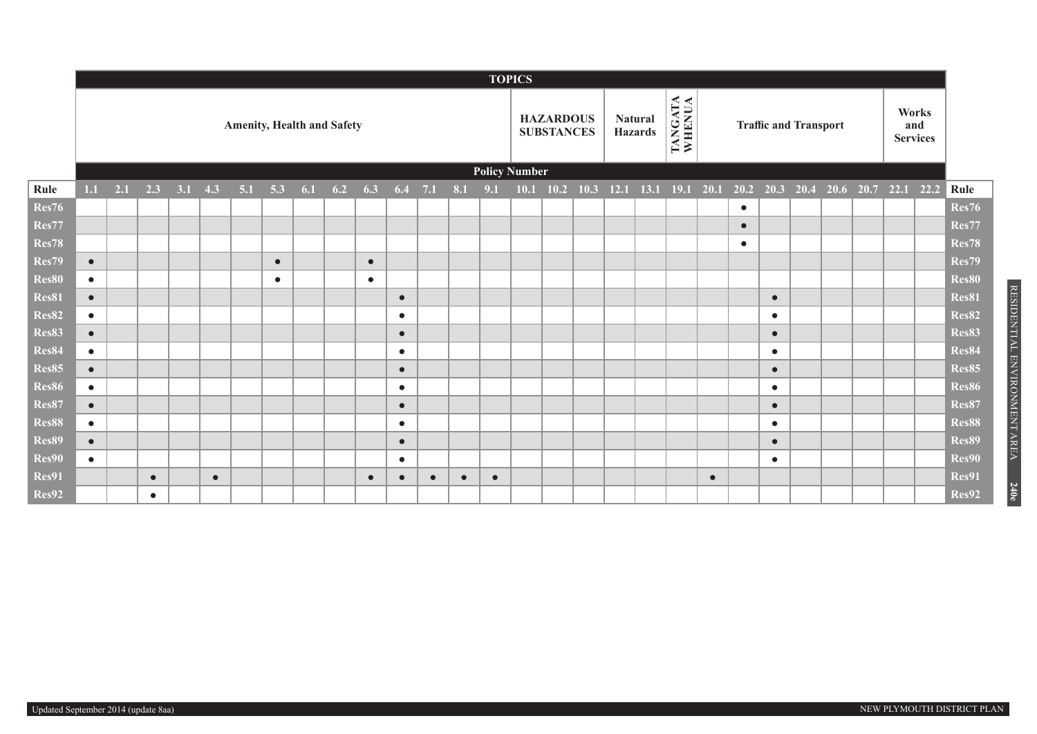|              |           |     |           |     |           |     |           |     |                                   |           |           |           |     |           | <b>TOPICS</b>        |                                       |      |                                  |                   |           |           |                              |                |                                 |      |              |
|--------------|-----------|-----|-----------|-----|-----------|-----|-----------|-----|-----------------------------------|-----------|-----------|-----------|-----|-----------|----------------------|---------------------------------------|------|----------------------------------|-------------------|-----------|-----------|------------------------------|----------------|---------------------------------|------|--------------|
|              |           |     |           |     |           |     |           |     | <b>Amenity, Health and Safety</b> |           |           |           |     |           |                      | <b>HAZARDOUS</b><br><b>SUBSTANCES</b> |      | <b>Natural</b><br><b>Hazards</b> | TANGATA<br>WHENUA |           |           | <b>Traffic and Transport</b> |                | Works<br>and<br><b>Services</b> |      |              |
|              |           |     |           |     |           |     |           |     |                                   |           |           |           |     |           | <b>Policy Number</b> |                                       |      |                                  |                   |           |           |                              |                |                                 |      |              |
| Rule         | 1.1       | 2.1 | 2.3       | 3.1 | 4.3       | 5.1 | 5.3       | 6.1 | 6.2                               | 6.3       | $6.4$ 7.1 |           | 8.1 | 9.1       | 10.1                 | 10.2                                  | 10.3 | $12.1$ 13.1                      | $19.1 \quad 20.1$ |           | 20.2      | 20.3                         | 20.4 20.6 20.7 | 22.1                            | 22.2 | Rule         |
| <b>Res76</b> |           |     |           |     |           |     |           |     |                                   |           |           |           |     |           |                      |                                       |      |                                  |                   |           | $\bullet$ |                              |                |                                 |      | <b>Res76</b> |
| Res77        |           |     |           |     |           |     |           |     |                                   |           |           |           |     |           |                      |                                       |      |                                  |                   |           | $\bullet$ |                              |                |                                 |      | Res77        |
| <b>Res78</b> |           |     |           |     |           |     |           |     |                                   |           |           |           |     |           |                      |                                       |      |                                  |                   |           | $\bullet$ |                              |                |                                 |      | Res78        |
| Res79        | $\bullet$ |     |           |     |           |     | $\bullet$ |     |                                   | $\bullet$ |           |           |     |           |                      |                                       |      |                                  |                   |           |           |                              |                |                                 |      | Res79        |
| Res80        | $\bullet$ |     |           |     |           |     | $\bullet$ |     |                                   | $\bullet$ |           |           |     |           |                      |                                       |      |                                  |                   |           |           |                              |                |                                 |      | <b>Res80</b> |
| Res81        | $\bullet$ |     |           |     |           |     |           |     |                                   |           | $\bullet$ |           |     |           |                      |                                       |      |                                  |                   |           |           | $\bullet$                    |                |                                 |      | Res81        |
| <b>Res82</b> | $\bullet$ |     |           |     |           |     |           |     |                                   |           | $\bullet$ |           |     |           |                      |                                       |      |                                  |                   |           |           | $\bullet$                    |                |                                 |      | <b>Res82</b> |
| Res83        | $\bullet$ |     |           |     |           |     |           |     |                                   |           | $\bullet$ |           |     |           |                      |                                       |      |                                  |                   |           |           | $\bullet$                    |                |                                 |      | <b>Res83</b> |
| Res84        | $\bullet$ |     |           |     |           |     |           |     |                                   |           | $\bullet$ |           |     |           |                      |                                       |      |                                  |                   |           |           | $\bullet$                    |                |                                 |      | Res84        |
| <b>Res85</b> | $\bullet$ |     |           |     |           |     |           |     |                                   |           | $\bullet$ |           |     |           |                      |                                       |      |                                  |                   |           |           | $\bullet$                    |                |                                 |      | Res85        |
| <b>Res86</b> | $\bullet$ |     |           |     |           |     |           |     |                                   |           | $\bullet$ |           |     |           |                      |                                       |      |                                  |                   |           |           | $\bullet$                    |                |                                 |      | Res86        |
| <b>Res87</b> | $\bullet$ |     |           |     |           |     |           |     |                                   |           | $\bullet$ |           |     |           |                      |                                       |      |                                  |                   |           |           | $\bullet$                    |                |                                 |      | Res87        |
| Res88        | $\bullet$ |     |           |     |           |     |           |     |                                   |           | $\bullet$ |           |     |           |                      |                                       |      |                                  |                   |           |           | $\bullet$                    |                |                                 |      | Res88        |
| <b>Res89</b> | $\bullet$ |     |           |     |           |     |           |     |                                   |           | $\bullet$ |           |     |           |                      |                                       |      |                                  |                   |           |           | $\bullet$                    |                |                                 |      | Res89        |
| Res90        | $\bullet$ |     |           |     |           |     |           |     |                                   |           | $\bullet$ |           |     |           |                      |                                       |      |                                  |                   |           |           | $\bullet$                    |                |                                 |      | Res90        |
| Res91        |           |     | $\bullet$ |     | $\bullet$ |     |           |     |                                   | $\bullet$ |           | $\bullet$ |     | $\bullet$ |                      |                                       |      |                                  |                   | $\bullet$ |           |                              |                |                                 |      | Res91        |
| Res92        |           |     | $\bullet$ |     |           |     |           |     |                                   |           |           |           |     |           |                      |                                       |      |                                  |                   |           |           |                              |                |                                 |      | Res92        |